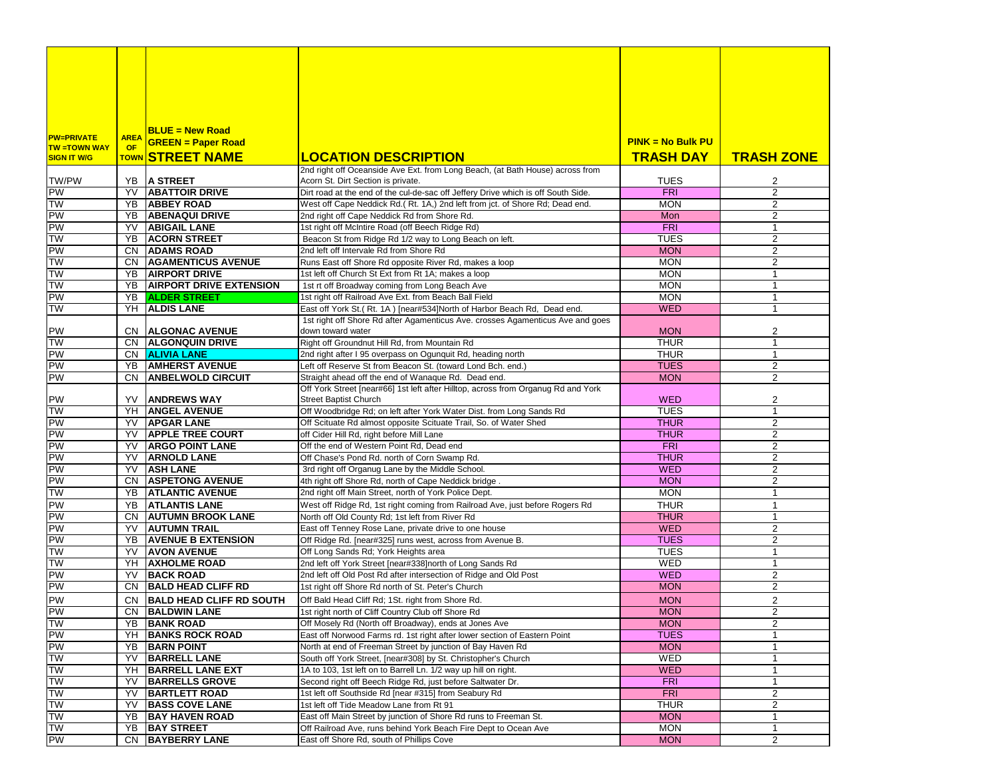|                                           |             | $BLUE = New Road$               |                                                                                   |                     |                   |
|-------------------------------------------|-------------|---------------------------------|-----------------------------------------------------------------------------------|---------------------|-------------------|
| <b>PW=PRIVATE</b>                         | <b>AREA</b> | <b>GREEN = Paper Road</b>       |                                                                                   | $PINK = No$ Bulk PU |                   |
| <b>TW =TOWN WAY</b><br><b>SIGN IT W/G</b> | <b>OF</b>   | TOWN STREET NAME                | <b>LOCATION DESCRIPTION</b>                                                       | <b>TRASH DAY</b>    | <b>TRASH ZONE</b> |
|                                           |             |                                 | 2nd right off Oceanside Ave Ext. from Long Beach, (at Bath House) across from     |                     |                   |
| TW/PW                                     |             | YB A STREET                     | Acorn St. Dirt Section is private.                                                | TUES                | 2                 |
| PW                                        | YV          | <b>ABATTOIR DRIVE</b>           | Dirt road at the end of the cul-de-sac off Jeffery Drive which is off South Side. | <b>FRI</b>          | $\overline{2}$    |
| <b>TW</b>                                 |             | YB ABBEY ROAD                   | West off Cape Neddick Rd.(Rt. 1A,) 2nd left from jct. of Shore Rd; Dead end.      | <b>MON</b>          | $\overline{2}$    |
| PW                                        |             | YB ABENAQUI DRIVE               | 2nd right off Cape Neddick Rd from Shore Rd.                                      | Mon                 | $\overline{2}$    |
| PW                                        |             | <b>YV ABIGAIL LANE</b>          | 1st right off McIntire Road (off Beech Ridge Rd)                                  | FRI                 | $\mathbf{1}$      |
| <b>TW</b>                                 | YB          | <b>ACORN STREET</b>             | Beacon St from Ridge Rd 1/2 way to Long Beach on left.                            | <b>TUES</b>         | 2                 |
| PW                                        |             | <b>CN ADAMS ROAD</b>            | 2nd left off Intervale Rd from Shore Rd                                           | <b>MON</b>          | 2                 |
| TW                                        |             | CN AGAMENTICUS AVENUE           | Runs East off Shore Rd opposite River Rd, makes a loop                            | <b>MON</b>          | 2                 |
| <b>TW</b>                                 |             | <b>YB AIRPORT DRIVE</b>         | 1st left off Church St Ext from Rt 1A; makes a loop                               | <b>MON</b>          | $\mathbf{1}$      |
| TW                                        | YB          | <b>AIRPORT DRIVE EXTENSION</b>  | 1st rt off Broadway coming from Long Beach Ave                                    | <b>MON</b>          | $\mathbf{1}$      |
| PW                                        |             | <b>YB ALDER STREET</b>          | 1st right off Railroad Ave Ext. from Beach Ball Field                             | <b>MON</b>          | $\mathbf{1}$      |
| TW                                        |             | YH ALDIS LANE                   | East off York St.(Rt. 1A) [near#534]North of Harbor Beach Rd, Dead end.           | <b>WED</b>          | $\mathbf{1}$      |
|                                           |             |                                 | 1st right off Shore Rd after Agamenticus Ave. crosses Agamenticus Ave and goes    |                     |                   |
| PW                                        | CN.         | <b>ALGONAC AVENUE</b>           | down toward water                                                                 | <b>MON</b>          | 2                 |
| <b>TW</b>                                 |             | CN ALGONQUIN DRIVE              | Right off Groundnut Hill Rd, from Mountain Rd                                     | <b>THUR</b>         | $\mathbf{1}$      |
| PW                                        |             | CN <b>ALIVIA LANE</b>           | 2nd right after I 95 overpass on Ogunquit Rd, heading north                       | <b>THUR</b>         | $\mathbf{1}$      |
| PW                                        | YB          | <b>AMHERST AVENUE</b>           | Left off Reserve St from Beacon St. (toward Lond Bch. end.)                       | <b>TUES</b>         | 2                 |
| PW                                        | CN.         | <b>ANBELWOLD CIRCUIT</b>        | Straight ahead off the end of Wanaque Rd. Dead end.                               | <b>MON</b>          | 2                 |
|                                           |             |                                 | Off York Street [near#66] 1st left after Hilltop, across from Organug Rd and York |                     |                   |
| PW                                        | YV          | <b>ANDREWS WAY</b>              | <b>Street Baptist Church</b>                                                      | <b>WED</b>          | 2                 |
| <b>TW</b>                                 |             | YH <b>ANGEL AVENUE</b>          | Off Woodbridge Rd; on left after York Water Dist. from Long Sands Rd              | <b>TUES</b>         | $\mathbf{1}$      |
| PW                                        | YV          | <b>APGAR LANE</b>               | Off Scituate Rd almost opposite Scituate Trail, So. of Water Shed                 | <b>THUR</b>         | $\overline{2}$    |
| PW<br>PW                                  | YV          | <b>APPLE TREE COURT</b>         | off Cider Hill Rd, right before Mill Lane                                         | <b>THUR</b>         | 2                 |
|                                           | YV          | <b>ARGO POINT LANE</b>          | Off the end of Western Point Rd, Dead end                                         | <b>FRI</b>          | 2                 |
| PW                                        | YV          | <b>ARNOLD LANE</b>              | Off Chase's Pond Rd. north of Corn Swamp Rd.                                      | <b>THUR</b>         | $\overline{2}$    |
| PW                                        | YV          | <b>ASH LANE</b>                 | 3rd right off Organug Lane by the Middle School.                                  | <b>WED</b>          | 2                 |
| PW                                        |             | CN ASPETONG AVENUE              | 4th right off Shore Rd, north of Cape Neddick bridge.                             | <b>MON</b>          | 2                 |
| <b>TW</b>                                 |             | YB   ATLANTIC AVENUE            | 2nd right off Main Street, north of York Police Dept.                             | <b>MON</b>          | $\mathbf{1}$      |
| PW                                        | YB          | <b>ATLANTIS LANE</b>            | West off Ridge Rd, 1st right coming from Railroad Ave, just before Rogers Rd      | <b>THUR</b>         | $\mathbf{1}$      |
| PW                                        | CN.         | <b>AUTUMN BROOK LANE</b>        | North off Old County Rd; 1st left from River Rd                                   | <b>THUR</b>         | $\mathbf{1}$      |
| PW                                        | YV          | <b>AUTUMN TRAIL</b>             | East off Tenney Rose Lane, private drive to one house                             | <b>WED</b>          | 2                 |
| PW                                        | YB          | <b>AVENUE B EXTENSION</b>       | Off Ridge Rd. [near#325] runs west, across from Avenue B.                         | <b>TUES</b>         | $\overline{2}$    |
| <b>TW</b>                                 | YV          | <b>AVON AVENUE</b>              | Off Long Sands Rd; York Heights area                                              | <b>TUES</b>         | $\mathbf{1}$      |
| <b>TW</b>                                 |             | YH AXHOLME ROAD                 | 2nd left off York Street [near#338]north of Long Sands Rd                         | WED                 | $\mathbf{1}$      |
| PW                                        | YV          | <b>BACK ROAD</b>                | 2nd left off Old Post Rd after intersection of Ridge and Old Post                 | <b>WED</b>          | 2                 |
| PW                                        | CN.         | <b>BALD HEAD CLIFF RD</b>       | 1st right off Shore Rd north of St. Peter's Church                                | <b>MON</b>          | $\overline{2}$    |
| PW<br>PW<br>TW                            | CN.         | <b>BALD HEAD CLIFF RD SOUTH</b> | Off Bald Head Cliff Rd; 1St. right from Shore Rd.                                 | <b>MON</b>          | 2                 |
|                                           |             | CN BALDWIN LANE                 | 1st right north of Cliff Country Club off Shore Rd                                | <b>MON</b>          | 2                 |
|                                           |             | YB   BANK ROAD                  | Off Mosely Rd (North off Broadway), ends at Jones Ave                             | <b>MON</b>          | 2                 |
| PW                                        |             | YH BANKS ROCK ROAD              | East off Norwood Farms rd. 1st right after lower section of Eastern Point         | <b>TUES</b>         | 1                 |
|                                           | YB          | <b>BARN POINT</b>               | North at end of Freeman Street by junction of Bay Haven Rd                        | <b>MON</b>          | $\mathbf{1}$      |
| PW<br>TW                                  | YV          | <b>BARRELL LANE</b>             | South off York Street, [near#308] by St. Christopher's Church                     | WED                 | 1                 |
| TW                                        | YH          | <b>BARRELL LANE EXT</b>         | 1A to 103, 1st left on to Barrell Ln. 1/2 way up hill on right.                   | <b>WED</b>          | $\mathbf{1}$      |
| TW                                        | YV          | <b>BARRELLS GROVE</b>           | Second right off Beech Ridge Rd, just before Saltwater Dr.                        | <b>FRI</b>          | 1                 |
| <b>TW</b>                                 | YV          | <b>BARTLETT ROAD</b>            | 1st left off Southside Rd [near #315] from Seabury Rd                             | <b>FRI</b>          | $\overline{2}$    |
| <b>TW</b>                                 | YV.         | <b>BASS COVE LANE</b>           | 1st left off Tide Meadow Lane from Rt 91                                          | THUR                | $\overline{2}$    |
| <b>TW</b>                                 | YB          | <b>BAY HAVEN ROAD</b>           | East off Main Street by junction of Shore Rd runs to Freeman St.                  | <b>MON</b>          | $\mathbf{1}$      |
| TW                                        |             | YB BAY STREET                   | Off Railroad Ave, runs behind York Beach Fire Dept to Ocean Ave                   | <b>MON</b>          | $\mathbf{1}$      |
| PW                                        |             | CN BAYBERRY LANE                | East off Shore Rd, south of Phillips Cove                                         | <b>MON</b>          | 2                 |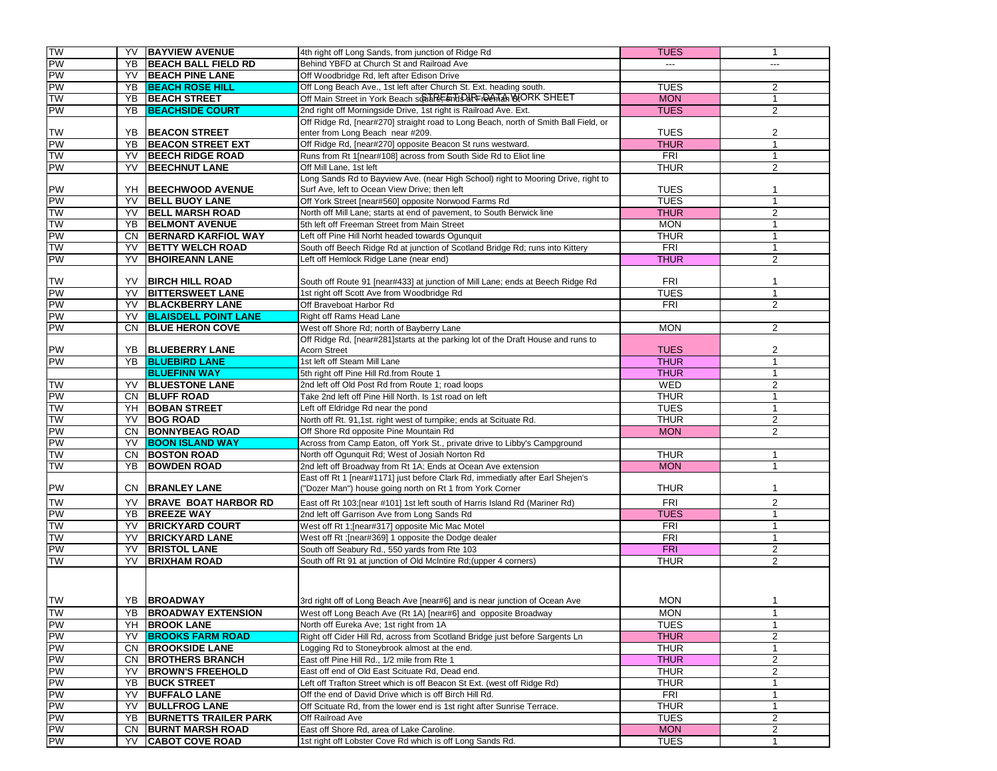| <b>TW</b>            | YV  | <b>BAYVIEW AVENUE</b>        | 4th right off Long Sands, from junction of Ridge Rd                                 | <b>TUES</b>    | $\mathbf 1$    |
|----------------------|-----|------------------------------|-------------------------------------------------------------------------------------|----------------|----------------|
| PW                   | YB. | <b>BEACH BALL FIELD RD</b>   | Behind YBFD at Church St and Railroad Ave                                           | $\overline{a}$ | $---$          |
| PW                   | YV  | <b>BEACH PINE LANE</b>       |                                                                                     |                |                |
|                      |     |                              | Off Woodbridge Rd, left after Edison Drive                                          |                |                |
| PW                   | YB. | <b>BEACH ROSE HILL</b>       | Off Long Beach Ave., 1st left after Church St. Ext. heading south.                  | <b>TUES</b>    | 2              |
| <b>TW</b>            | YB  | <b>BEACH STREET</b>          | Off Main Street in York Beach sopter End Par Pend MORK SHEET                        | <b>MON</b>     | $\mathbf{1}$   |
| PW                   | YB  | <b>BEACHSIDE COURT</b>       | 2nd right off Morningside Drive, 1st right is Railroad Ave. Ext.                    | <b>TUES</b>    | $\overline{2}$ |
|                      |     |                              | Off Ridge Rd, [near#270] straight road to Long Beach, north of Smith Ball Field, or |                |                |
| <b>TW</b>            | YB  | <b>BEACON STREET</b>         | enter from Long Beach near #209.                                                    | <b>TUES</b>    | 2              |
| PW                   | YB  | <b>BEACON STREET EXT</b>     | Off Ridge Rd, [near#270] opposite Beacon St runs westward.                          | <b>THUR</b>    | $\mathbf{1}$   |
| TW                   | YV  | <b>BEECH RIDGE ROAD</b>      | Runs from Rt 1[near#108] across from South Side Rd to Eliot line                    | FRI            | $\mathbf{1}$   |
| <b>PW</b>            | YV  | <b>BEECHNUT LANE</b>         | Off Mill Lane, 1st left                                                             | <b>THUR</b>    | 2              |
|                      |     |                              | Long Sands Rd to Bayview Ave. (near High School) right to Mooring Drive, right to   |                |                |
| PW                   |     | YH BEECHWOOD AVENUE          | Surf Ave, left to Ocean View Drive; then left                                       | <b>TUES</b>    | 1              |
| PW                   | YV  | <b>BELL BUOY LANE</b>        | Off York Street [near#560] opposite Norwood Farms Rd                                | <b>TUES</b>    | $\mathbf{1}$   |
| <b>NL</b>            | YV  | <b>BELL MARSH ROAD</b>       | North off Mill Lane; starts at end of pavement, to South Berwick line               | <b>THUR</b>    | $\overline{2}$ |
| <b>TW</b>            | YB  | <b>BELMONT AVENUE</b>        | 5th left off Freeman Street from Main Street                                        | <b>MON</b>     | $\mathbf{1}$   |
| PW                   |     | CN BERNARD KARFIOL WAY       | Left off Pine Hill Norht headed towards Ogunquit                                    | THUR           | $\mathbf{1}$   |
| <b>TW</b>            | YV  | <b>BETTY WELCH ROAD</b>      | South off Beech Ridge Rd at junction of Scotland Bridge Rd; runs into Kittery       | FRI            | $\mathbf{1}$   |
| <b>PW</b>            | YV  | <b>BHOIREANN LANE</b>        | Left off Hemlock Ridge Lane (near end)                                              | <b>THUR</b>    | 2              |
|                      |     |                              |                                                                                     |                |                |
| <b>TW</b>            | YV  | <b>BIRCH HILL ROAD</b>       | South off Route 91 [near#433] at junction of Mill Lane; ends at Beech Ridge Rd      | <b>FRI</b>     | 1              |
| PW                   | YV  | <b>BITTERSWEET LANE</b>      | 1st right off Scott Ave from Woodbridge Rd                                          | <b>TUES</b>    | $\mathbf{1}$   |
| <b>PW</b>            |     | YV BLACKBERRY LANE           | Off Braveboat Harbor Rd                                                             | <b>FRI</b>     | 2              |
| <b>PW</b>            | YV  | <b>BLAISDELL POINT LANE</b>  | Right off Rams Head Lane                                                            |                |                |
| <b>PW</b>            | CN. | <b>BLUE HERON COVE</b>       | West off Shore Rd; north of Bayberry Lane                                           | <b>MON</b>     | 2              |
|                      |     |                              | Off Ridge Rd, [near#281]starts at the parking lot of the Draft House and runs to    |                |                |
| PW                   |     | YB BLUEBERRY LANE            | <b>Acorn Street</b>                                                                 | <b>TUES</b>    | 2              |
| PW                   | YB  | <b>BLUEBIRD LANE</b>         | 1st left off Steam Mill Lane                                                        | <b>THUR</b>    | $\mathbf{1}$   |
|                      |     | <b>BLUEFINN WAY</b>          | 5th right off Pine Hill Rd.from Route 1                                             | <b>THUR</b>    | $\mathbf{1}$   |
| <b>TW</b>            | YV  | <b>BLUESTONE LANE</b>        | 2nd left off Old Post Rd from Route 1; road loops                                   | <b>WED</b>     | $\overline{c}$ |
| PW                   |     | CN BLUFF ROAD                | Take 2nd left off Pine Hill North. Is 1st road on left                              | <b>THUR</b>    | $\mathbf{1}$   |
| <b>TW</b>            |     | YH BOBAN STREET              | Left off Eldridge Rd near the pond                                                  | <b>TUES</b>    | $\mathbf{1}$   |
| <b>TW</b>            | YV  | <b>BOG ROAD</b>              | North off Rt. 91,1st. right west of turnpike; ends at Scituate Rd.                  | <b>THUR</b>    | 2              |
| PW                   |     | CN BONNYBEAG ROAD            | Off Shore Rd opposite Pine Mountain Rd                                              | <b>MON</b>     | 2              |
| <b>PW</b>            | YV  | <b>BOON ISLAND WAY</b>       | Across from Camp Eaton, off York St., private drive to Libby's Campground           |                |                |
| TW                   |     | CN BOSTON ROAD               | North off Ogunquit Rd; West of Josiah Norton Rd                                     | THUR           | $\mathbf{1}$   |
| <b>TW</b>            | YB  | <b>BOWDEN ROAD</b>           | 2nd left off Broadway from Rt 1A; Ends at Ocean Ave extension                       | <b>MON</b>     | $\mathbf{1}$   |
|                      |     |                              | East off Rt 1 [near#1171] just before Clark Rd, immediatly after Earl Shejen's      |                |                |
| PW                   | CN. | <b>BRANLEY LANE</b>          | "Dozer Man") house going north on Rt 1 from York Corner                             | <b>THUR</b>    | $\mathbf 1$    |
| <b>TW</b>            | YV  | <b>BRAVE BOAT HARBOR RD</b>  | East off Rt 103; [near #101] 1st left south of Harris Island Rd (Mariner Rd)        | <b>FRI</b>     | $\overline{2}$ |
| PW                   | YB  | <b>BREEZE WAY</b>            | 2nd left off Garrison Ave from Long Sands Rd                                        | <b>TUES</b>    | $\mathbf{1}$   |
| TW                   | YV  | <b>BRICKYARD COURT</b>       | West off Rt 1; [near#317] opposite Mic Mac Motel                                    | <b>FRI</b>     | $\mathbf{1}$   |
| <b>NL</b>            | YV  | <b>BRICKYARD LANE</b>        | West off Rt ;[near#369] 1 opposite the Dodge dealer                                 | <b>FRI</b>     | $\mathbf{1}$   |
| <b>PW</b>            | YV  | <b>BRISTOL LANE</b>          | South off Seabury Rd., 550 yards from Rte 103                                       | FRI            | $\overline{c}$ |
| <b>TW</b>            | YV  | <b>BRIXHAM ROAD</b>          | South off Rt 91 at junction of Old McIntire Rd; (upper 4 corners)                   | THUR           | $\overline{2}$ |
|                      |     |                              |                                                                                     |                |                |
|                      |     |                              |                                                                                     |                |                |
|                      |     |                              |                                                                                     |                |                |
| <b>TW</b>            |     | YB BROADWAY                  | 3rd right off of Long Beach Ave [near#6] and is near junction of Ocean Ave          | <b>MON</b>     | $\mathbf{1}$   |
| TW<br>PW             |     | YB  BROADWAY EXTENSION       | West off Long Beach Ave (Rt 1A) [near#6] and opposite Broadway                      | <b>MON</b>     | $\mathbf{1}$   |
|                      |     | YH BROOK LANE                | North off Eureka Ave; 1st right from 1A                                             | <b>TUES</b>    | $\mathbf{1}$   |
| PW<br>PW<br>PW<br>PW | YV  | <b>BROOKS FARM ROAD</b>      | Right off Cider Hill Rd, across from Scotland Bridge just before Sargents Ln        | <b>THUR</b>    | 2              |
|                      | CN  | <b>BROOKSIDE LANE</b>        | Logging Rd to Stoneybrook almost at the end.                                        | <b>THUR</b>    | $\mathbf{1}$   |
|                      | CN. | <b>BROTHERS BRANCH</b>       | East off Pine Hill Rd., 1/2 mile from Rte 1                                         | <b>THUR</b>    | $\overline{2}$ |
|                      | YV  | <b>BROWN'S FREEHOLD</b>      | East off end of Old East Scituate Rd, Dead end.                                     | THUR           | $\overline{2}$ |
| PW<br>PW<br>PW<br>PW | YB  | <b>BUCK STREET</b>           | Left off Trafton Street which is off Beacon St Ext. (west off Ridge Rd)             | <b>THUR</b>    | $\mathbf{1}$   |
|                      | YV  | <b>BUFFALO LANE</b>          | Off the end of David Drive which is off Birch Hill Rd.                              | <b>FRI</b>     | 1              |
|                      | YV  | <b>BULLFROG LANE</b>         | Off Scituate Rd, from the lower end is 1st right after Sunrise Terrace.             | <b>THUR</b>    | 1              |
|                      | YB  | <b>BURNETTS TRAILER PARK</b> | Off Railroad Ave                                                                    | <b>TUES</b>    | $\overline{2}$ |
| PW                   | CN. | <b>BURNT MARSH ROAD</b>      | East off Shore Rd, area of Lake Caroline.                                           | <b>MON</b>     | $\overline{2}$ |
| PW                   | YV  | <b>CABOT COVE ROAD</b>       | 1st right off Lobster Cove Rd which is off Long Sands Rd.                           | <b>TUES</b>    | $\mathbf{1}$   |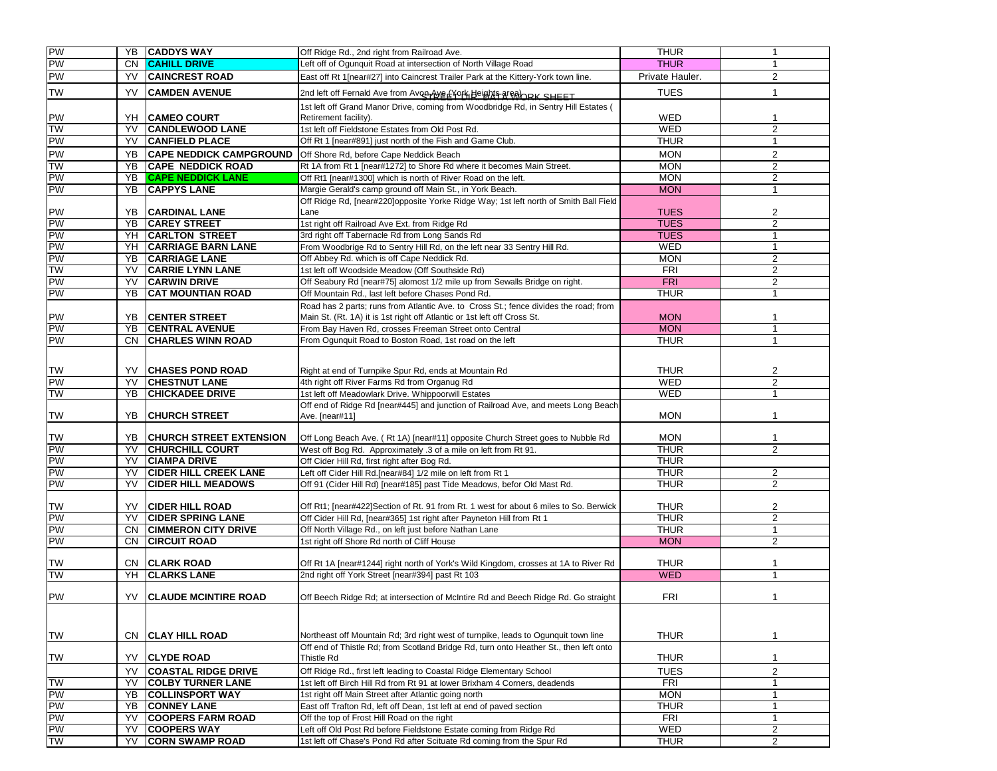| PW                     |           |                                |                                                                                       |                            |                |
|------------------------|-----------|--------------------------------|---------------------------------------------------------------------------------------|----------------------------|----------------|
|                        |           | <b>YB CADDYS WAY</b>           | Off Ridge Rd., 2nd right from Railroad Ave.                                           | <b>THUR</b>                | $\mathbf{1}$   |
| PW                     | CN.       | <b>CAHILL DRIVE</b>            | Left off of Ogunquit Road at intersection of North Village Road                       | <b>THUR</b>                | 1              |
| <b>PW</b>              | YV        | <b>CAINCREST ROAD</b>          | East off Rt 1[near#27] into Caincrest Trailer Park at the Kittery-York town line.     | Private Hauler.            | $\overline{2}$ |
| <b>TW</b>              | YV        | <b>CAMDEN AVENUE</b>           | 2nd left off Fernald Ave from Avon Aye LYork Height area hRK SHEFT                    | <b>TUES</b>                | $\mathbf{1}$   |
|                        |           |                                | 1st left off Grand Manor Drive, coming from Woodbridge Rd, in Sentry Hill Estates (   |                            |                |
| PW                     | YH        | <b>CAMEO COURT</b>             | Retirement facility).                                                                 | WED                        | 1              |
| <b>TW</b>              | YV        | <b>CANDLEWOOD LANE</b>         | 1st left off Fieldstone Estates from Old Post Rd.                                     | <b>WED</b>                 | 2              |
| PW                     | YV        | <b>CANFIELD PLACE</b>          | Off Rt 1 [near#891] just north of the Fish and Game Club.                             | THUR                       | $\mathbf{1}$   |
| <b>PW</b>              |           |                                |                                                                                       |                            |                |
| <b>TW</b>              | YB        | <b>CAPE NEDDICK CAMPGROUND</b> | Off Shore Rd, before Cape Neddick Beach                                               | <b>MON</b><br><b>MON</b>   | 2              |
|                        | YB        | <b>CAPE NEDDICK ROAD</b>       | Rt 1A from Rt 1 [near#1272] to Shore Rd where it becomes Main Street.                 |                            | $\overline{2}$ |
| PW                     | YB        | <b>CAPE NEDDICK LANE</b>       | Off Rt1 [near#1300] which is north of River Road on the left.                         | <b>MON</b>                 | 2              |
| <b>PW</b>              | YB        | <b>CAPPYS LANE</b>             | Margie Gerald's camp ground off Main St., in York Beach.                              | <b>MON</b>                 | 1              |
|                        |           |                                | Off Ridge Rd, [near#220]opposite Yorke Ridge Way; 1st left north of Smith Ball Field  |                            |                |
| PW<br>PW               | <b>YB</b> | YB CARDINAL LANE               | Lane                                                                                  | <b>TUES</b><br><b>TUES</b> | 2              |
|                        |           | <b>CAREY STREET</b>            | 1st right off Railroad Ave Ext. from Ridge Rd                                         |                            | 2              |
| PW<br><b>PW</b>        |           | YH CARLTON STREET              | 3rd right off Tabernacle Rd from Long Sands Rd                                        | <b>TUES</b>                | $\mathbf{1}$   |
|                        |           | YH CARRIAGE BARN LANE          | From Woodbrige Rd to Sentry Hill Rd, on the left near 33 Sentry Hill Rd.              | WED                        | $\mathbf{1}$   |
| <b>PW</b><br><b>TW</b> |           | <b>YB CARRIAGE LANE</b>        | Off Abbey Rd. which is off Cape Neddick Rd.                                           | <b>MON</b>                 | 2              |
|                        | YV        | <b>CARRIE LYNN LANE</b>        | 1st left off Woodside Meadow (Off Southside Rd)                                       | <b>FRI</b>                 | 2              |
| PW                     | YV        | <b>CARWIN DRIVE</b>            | Off Seabury Rd [near#75] alomost 1/2 mile up from Sewalls Bridge on right.            | <b>FRI</b>                 | $\overline{2}$ |
| <b>PW</b>              | YΒ        | <b>CAT MOUNTIAN ROAD</b>       | Off Mountain Rd., last left before Chases Pond Rd.                                    | THUR                       | 1              |
|                        |           |                                | Road has 2 parts; runs from Atlantic Ave. to Cross St.; fence divides the road; from  |                            |                |
| PW                     | YB        | <b>CENTER STREET</b>           | Main St. (Rt. 1A) it is 1st right off Atlantic or 1st left off Cross St.              | <b>MON</b>                 | 1              |
| PW                     | YB        | <b>CENTRAL AVENUE</b>          | From Bay Haven Rd, crosses Freeman Street onto Central                                | <b>MON</b>                 | $\mathbf{1}$   |
| <b>PW</b>              | CN.       | <b>CHARLES WINN ROAD</b>       | From Ogunquit Road to Boston Road, 1st road on the left                               | <b>THUR</b>                | $\mathbf{1}$   |
|                        |           |                                |                                                                                       |                            |                |
| <b>TW</b>              |           | <b>YV CHASES POND ROAD</b>     | Right at end of Turnpike Spur Rd, ends at Mountain Rd                                 | <b>THUR</b>                | 2              |
| PW                     | YV        | <b>CHESTNUT LANE</b>           | 4th right off River Farms Rd from Organug Rd                                          | <b>WED</b>                 | 2              |
| <b>TW</b>              | YB        | <b>CHICKADEE DRIVE</b>         | 1st left off Meadowlark Drive. Whippoorwill Estates                                   | <b>WED</b>                 | $\mathbf{1}$   |
|                        |           |                                | Off end of Ridge Rd [near#445] and junction of Railroad Ave, and meets Long Beach     |                            |                |
| <b>TW</b>              | YB        | <b>CHURCH STREET</b>           | Ave. [near#11]                                                                        | <b>MON</b>                 | 1              |
|                        |           |                                |                                                                                       |                            |                |
| TW                     | YB.       | <b>CHURCH STREET EXTENSION</b> | Off Long Beach Ave. (Rt 1A) [near#11] opposite Church Street goes to Nubble Rd        | <b>MON</b>                 | 1              |
| PW                     | YV        | <b>CHURCHILL COURT</b>         | West off Bog Rd. Approximately .3 of a mile on left from Rt 91.                       | <b>THUR</b>                | $\overline{2}$ |
| PW                     | YV        | <b>CIAMPA DRIVE</b>            | Off Cider Hill Rd, first right after Bog Rd.                                          | <b>THUR</b>                |                |
| <b>PW</b>              | YV        | <b>CIDER HILL CREEK LANE</b>   | Left off Cider Hill Rd.[near#84] 1/2 mile on left from Rt 1                           | <b>THUR</b>                | $\overline{c}$ |
| <b>PW</b>              | YV        | <b>CIDER HILL MEADOWS</b>      | Off 91 (Cider Hill Rd) [near#185] past Tide Meadows, befor Old Mast Rd.               | THUR                       | $\overline{2}$ |
|                        |           |                                |                                                                                       |                            |                |
| <b>TW</b>              | YV.       | <b>CIDER HILL ROAD</b>         | Off Rt1; [near#422]Section of Rt. 91 from Rt. 1 west for about 6 miles to So. Berwick | <b>THUR</b>                | 2              |
| PW                     | YV        | <b>CIDER SPRING LANE</b>       | Off Cider Hill Rd, [near#365] 1st right after Payneton Hill from Rt 1                 | <b>THUR</b>                | $\overline{2}$ |
| PW                     | CN.       | <b>CIMMERON CITY DRIVE</b>     | Off North Village Rd., on left just before Nathan Lane                                | THUR                       | $\mathbf{1}$   |
| <b>PW</b>              | <b>CN</b> | <b>CIRCUIT ROAD</b>            | 1st right off Shore Rd north of Cliff House                                           | <b>MON</b>                 | $\overline{2}$ |
|                        |           |                                |                                                                                       |                            |                |
| <b>TW</b>              |           | CN CLARK ROAD                  | Off Rt 1A [near#1244] right north of York's Wild Kingdom, crosses at 1A to River Rd   | <b>THUR</b>                | $\mathbf{1}$   |
| <b>NL</b>              |           | YH CLARKS LANE                 | 2nd right off York Street [near#394] past Rt 103                                      | <b>WED</b>                 | $\mathbf{1}$   |
|                        |           |                                |                                                                                       |                            |                |
| PW                     | YV.       | <b>CLAUDE MCINTIRE ROAD</b>    | Off Beech Ridge Rd; at intersection of McIntire Rd and Beech Ridge Rd. Go straight    | <b>FRI</b>                 | $\mathbf{1}$   |
|                        |           |                                |                                                                                       |                            |                |
|                        |           |                                |                                                                                       |                            |                |
| <b>TW</b>              |           | CN CLAY HILL ROAD              | Northeast off Mountain Rd; 3rd right west of turnpike, leads to Ogunquit town line    | <b>THUR</b>                | 1              |
|                        |           |                                | Off end of Thistle Rd; from Scotland Bridge Rd, turn onto Heather St., then left onto |                            |                |
| <b>TW</b>              | YV        | <b>CLYDE ROAD</b>              | Thistle Rd                                                                            | <b>THUR</b>                | 1              |
|                        | YV        | <b>COASTAL RIDGE DRIVE</b>     | Off Ridge Rd., first left leading to Coastal Ridge Elementary School                  | <b>TUES</b>                | $\sqrt{2}$     |
| <b>TW</b>              | YV        | <b>COLBY TURNER LANE</b>       | 1st left off Birch Hill Rd from Rt 91 at lower Brixham 4 Corners, deadends            | <b>FRI</b>                 | $\mathbf{1}$   |
| <b>PW</b>              | YB        | <b>COLLINSPORT WAY</b>         | 1st right off Main Street after Atlantic going north                                  | <b>MON</b>                 | 1              |
| <b>PW</b>              | YB        | <b>CONNEY LANE</b>             | East off Trafton Rd, left off Dean, 1st left at end of paved section                  | <b>THUR</b>                | $\mathbf{1}$   |
|                        | YV        | <b>COOPERS FARM ROAD</b>       | Off the top of Frost Hill Road on the right                                           | <b>FRI</b>                 | $\mathbf{1}$   |
| PW<br>PW               | YV        | <b>COOPERS WAY</b>             | Left off Old Post Rd before Fieldstone Estate coming from Ridge Rd                    | WED                        | 2              |
| <b>NL</b>              | YV        | <b>CORN SWAMP ROAD</b>         | 1st left off Chase's Pond Rd after Scituate Rd coming from the Spur Rd                | THUR                       | 2              |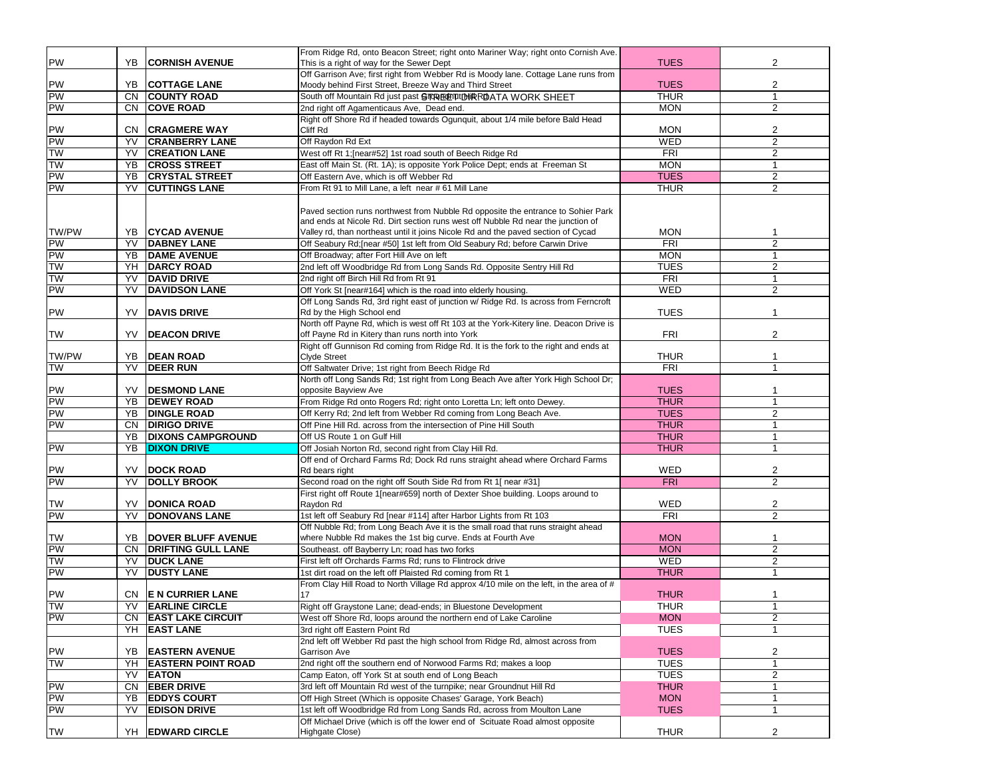|           |           |                           | From Ridge Rd, onto Beacon Street; right onto Mariner Way; right onto Cornish Ave.     |             |                |
|-----------|-----------|---------------------------|----------------------------------------------------------------------------------------|-------------|----------------|
| PW        | YB        | <b>CORNISH AVENUE</b>     | This is a right of way for the Sewer Dept                                              | <b>TUES</b> | 2              |
|           |           |                           | Off Garrison Ave; first right from Webber Rd is Moody lane. Cottage Lane runs from     |             |                |
|           |           | <b>YB COTTAGE LANE</b>    | Moody behind First Street, Breeze Way and Third Street                                 | <b>TUES</b> | $\overline{2}$ |
| PW<br>PW  |           | CN COUNTY ROAD            | South off Mountain Rd just past STRRECETURIRRDATA WORK SHEET                           | <b>THUR</b> | $\overline{1}$ |
| PW        | CN        | <b>COVE ROAD</b>          | 2nd right off Agamenticaus Ave, Dead end.                                              | <b>MON</b>  | 2              |
|           |           |                           | Right off Shore Rd if headed towards Ogunquit, about 1/4 mile before Bald Head         |             |                |
|           |           | CN CRAGMERE WAY           | Cliff Rd                                                                               | <b>MON</b>  | $\overline{2}$ |
| PW<br>PW  | YV        | <b>CRANBERRY LANE</b>     | Off Raydon Rd Ext                                                                      | WED         | 2              |
| <b>TW</b> | YV        | <b>CREATION LANE</b>      | West off Rt 1; [near#52] 1st road south of Beech Ridge Rd                              | <b>FRI</b>  | 2              |
| <b>TW</b> | YB        | <b>CROSS STREET</b>       | East off Main St. (Rt. 1A); is opposite York Police Dept; ends at Freeman St           | <b>MON</b>  | $\mathbf{1}$   |
| PW        | YB        | <b>CRYSTAL STREET</b>     | Off Eastern Ave, which is off Webber Rd                                                | <b>TUES</b> | $\overline{2}$ |
| PW        | YV        | <b>CUTTINGS LANE</b>      | From Rt 91 to Mill Lane, a left near # 61 Mill Lane                                    | <b>THUR</b> | $\overline{c}$ |
|           |           |                           |                                                                                        |             |                |
|           |           |                           | Paved section runs northwest from Nubble Rd opposite the entrance to Sohier Park       |             |                |
|           |           |                           | and ends at Nicole Rd. Dirt section runs west off Nubble Rd near the junction of       |             |                |
| TW/PW     |           | YB CYCAD AVENUE           | Valley rd, than northeast until it joins Nicole Rd and the paved section of Cycad      | <b>MON</b>  | $\mathbf 1$    |
|           | YV        | <b>DABNEY LANE</b>        | Off Seabury Rd; [near #50] 1st left from Old Seabury Rd; before Carwin Drive           | <b>FRI</b>  | 2              |
| PW<br>PW  | YB        | <b>DAME AVENUE</b>        | Off Broadway; after Fort Hill Ave on left                                              | <b>MON</b>  | $\mathbf{1}$   |
| <b>TW</b> | YH        | <b>DARCY ROAD</b>         | 2nd left off Woodbridge Rd from Long Sands Rd. Opposite Sentry Hill Rd                 | <b>TUES</b> | 2              |
| <b>TW</b> | YV        | <b>DAVID DRIVE</b>        | 2nd right off Birch Hill Rd from Rt 91                                                 | FRI         | $\overline{1}$ |
| PW        | YV        | <b>DAVIDSON LANE</b>      | Off York St [near#164] which is the road into elderly housing.                         | <b>WED</b>  | $\overline{c}$ |
|           |           |                           | Off Long Sands Rd, 3rd right east of junction w/ Ridge Rd. Is across from Ferncroft    |             |                |
| PW        | YV        | <b>DAVIS DRIVE</b>        | Rd by the High School end                                                              | <b>TUES</b> | 1              |
|           |           |                           | North off Payne Rd, which is west off Rt 103 at the York-Kitery line. Deacon Drive is  |             |                |
| <b>TW</b> | YV        | <b>DEACON DRIVE</b>       | off Payne Rd in Kitery than runs north into York                                       | <b>FRI</b>  | 2              |
|           |           |                           | Right off Gunnison Rd coming from Ridge Rd. It is the fork to the right and ends at    |             |                |
| TW/PW     |           | YB <b>DEAN ROAD</b>       | <b>Clyde Street</b>                                                                    | <b>THUR</b> | 1              |
| <b>TW</b> | YV        | <b>DEER RUN</b>           | Off Saltwater Drive; 1st right from Beech Ridge Rd                                     | <b>FRI</b>  | $\mathbf{1}$   |
|           |           |                           | North off Long Sands Rd; 1st right from Long Beach Ave after York High School Dr;      |             |                |
| PW        | YV.       | <b>DESMOND LANE</b>       | opposite Bayview Ave                                                                   | <b>TUES</b> | -1             |
| PW        | YB        | <b>DEWEY ROAD</b>         | From Ridge Rd onto Rogers Rd; right onto Loretta Ln; left onto Dewey.                  | <b>THUR</b> | -1             |
| PW        | YB        | <b>DINGLE ROAD</b>        | Off Kerry Rd; 2nd left from Webber Rd coming from Long Beach Ave.                      | <b>TUES</b> | 2              |
| PW        | CN.       | <b>DIRIGO DRIVE</b>       | Off Pine Hill Rd. across from the intersection of Pine Hill South                      | <b>THUR</b> | $\mathbf{1}$   |
|           | YB        | <b>DIXONS CAMPGROUND</b>  | Off US Route 1 on Gulf Hill                                                            | <b>THUR</b> | $\mathbf{1}$   |
| PW        | YB        | <b>DIXON DRIVE</b>        | Off Josiah Norton Rd, second right from Clay Hill Rd.                                  | <b>THUR</b> | $\mathbf{1}$   |
|           |           |                           | Off end of Orchard Farms Rd; Dock Rd runs straight ahead where Orchard Farms           |             |                |
|           |           | YV <b>DOCK ROAD</b>       | Rd bears right                                                                         | WED         | $\overline{c}$ |
| PW<br>PW  | YV        | <b>DOLLY BROOK</b>        | Second road on the right off South Side Rd from Rt 1[ near #31]                        | FRI         | $\overline{2}$ |
|           |           |                           | First right off Route 1[near#659] north of Dexter Shoe building. Loops around to       |             |                |
| TW        | YV        | <b>DONICA ROAD</b>        | Raydon Rd                                                                              | WED         | $\overline{2}$ |
| PW        | YV        | <b>DONOVANS LANE</b>      | 1st left off Seabury Rd [near #114] after Harbor Lights from Rt 103                    | <b>FRI</b>  | 2              |
|           |           |                           | Off Nubble Rd; from Long Beach Ave it is the small road that runs straight ahead       |             |                |
|           |           | YB   DOVER BLUFF AVENUE   | where Nubble Rd makes the 1st big curve. Ends at Fourth Ave                            | <b>MON</b>  | $\mathbf 1$    |
| TW<br>PW  | <b>CN</b> | <b>DRIFTING GULL LANE</b> | Southeast. off Bayberry Ln; road has two forks                                         | <b>MON</b>  | 2              |
| <b>TW</b> | YV        | <b>DUCK LANE</b>          | First left off Orchards Farms Rd; runs to Flintrock drive                              | <b>WED</b>  | 2              |
| PW        | YV        | <b>DUSTY LANE</b>         | 1st dirt road on the left off Plaisted Rd coming from Rt 1                             | <b>THUR</b> | $\mathbf{1}$   |
|           |           |                           | From Clay Hill Road to North Village Rd approx 4/10 mile on the left, in the area of # |             |                |
|           |           | CN E N CURRIER LANE       | 17                                                                                     | <b>THUR</b> | 1              |
| PW<br>TW  |           | <b>YV EARLINE CIRCLE</b>  | Right off Graystone Lane; dead-ends; in Bluestone Development                          | <b>THUR</b> | 1              |
| PW        |           | CN EAST LAKE CIRCUIT      | West off Shore Rd, loops around the northern end of Lake Caroline                      | <b>MON</b>  | $\overline{2}$ |
|           |           | YH EAST LANE              | 3rd right off Eastern Point Rd                                                         | <b>TUES</b> | 1              |
|           |           |                           | 2nd left off Webber Rd past the high school from Ridge Rd, almost across from          |             |                |
|           | YB        | <b>EASTERN AVENUE</b>     | Garrison Ave                                                                           | <b>TUES</b> | 2              |
| PW<br>TW  | YH        | <b>EASTERN POINT ROAD</b> | 2nd right off the southern end of Norwood Farms Rd; makes a loop                       | <b>TUES</b> | $\mathbf{1}$   |
|           | YV        | <b>EATON</b>              | Camp Eaton, off York St at south end of Long Beach                                     | <b>TUES</b> | $\overline{2}$ |
| PW        | CN        | <b>EBER DRIVE</b>         | 3rd left off Mountain Rd west of the turnpike; near Groundnut Hill Rd                  | <b>THUR</b> | $\mathbf{1}$   |
| PW        | YB        | <b>EDDYS COURT</b>        | Off High Street (Which is opposite Chases' Garage, York Beach)                         | <b>MON</b>  | $\mathbf{1}$   |
| PW        | YV        | <b>EDISON DRIVE</b>       | 1st left off Woodbridge Rd from Long Sands Rd, across from Moulton Lane                | <b>TUES</b> | $\mathbf 1$    |
|           |           |                           | Off Michael Drive (which is off the lower end of Scituate Road almost opposite         |             |                |
| <b>TW</b> |           | YH EDWARD CIRCLE          | Highgate Close)                                                                        | <b>THUR</b> | 2              |
|           |           |                           |                                                                                        |             |                |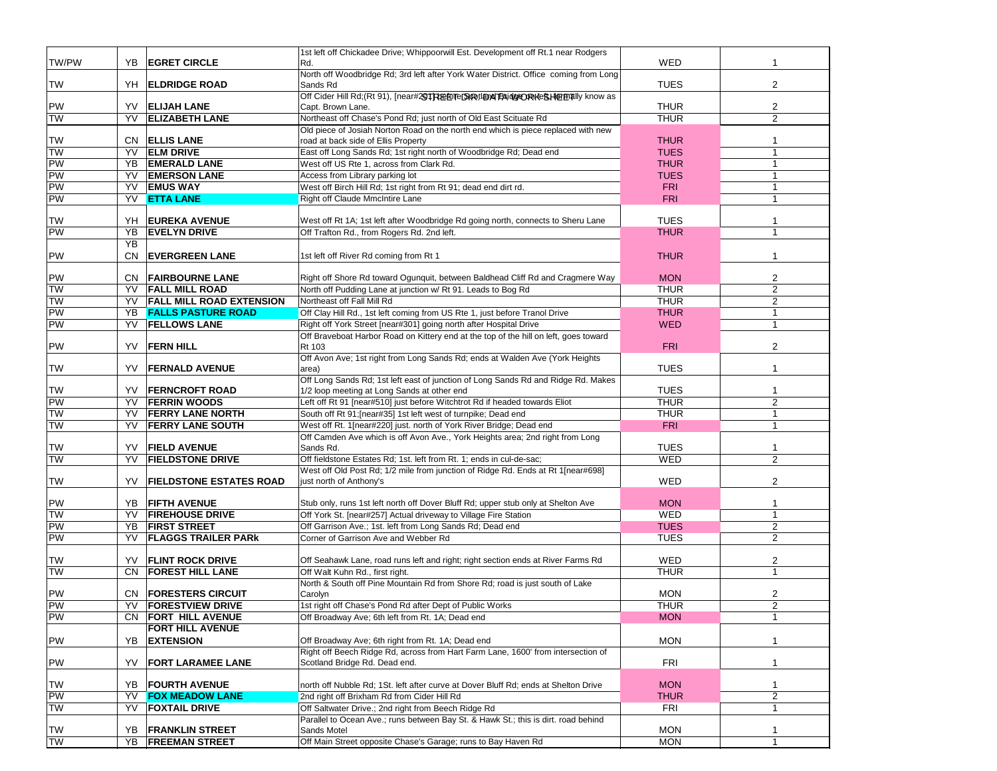| TW/PW     | YΒ  | <b>EGRET CIRCLE</b>             | 1st left off Chickadee Drive; Whippoorwill Est. Development off Rt.1 near Rodgers<br>Rd.                                                               | <b>WED</b>  | 1              |
|-----------|-----|---------------------------------|--------------------------------------------------------------------------------------------------------------------------------------------------------|-------------|----------------|
|           |     |                                 | North off Woodbridge Rd; 3rd left after York Water District. Office coming from Long                                                                   |             |                |
| <b>TW</b> | YH  | <b>ELDRIDGE ROAD</b>            | Sands Rd                                                                                                                                               | <b>TUES</b> | 2              |
|           |     |                                 | Off Cider Hill Rd;(Rt 91), [near#201RtefelTeDiRotlandTBAidlgeORKeSHerEnally know as                                                                    |             |                |
| <b>PW</b> | YV. | <b>ELIJAH LANE</b>              | Capt. Brown Lane.                                                                                                                                      | <b>THUR</b> | $\overline{2}$ |
| <b>TW</b> | YV  | <b>ELIZABETH LANE</b>           | Northeast off Chase's Pond Rd; just north of Old East Scituate Rd<br>Old piece of Josiah Norton Road on the north end which is piece replaced with new | <b>THUR</b> | $\overline{2}$ |
| <b>TW</b> | CN. | <b>ELLIS LANE</b>               | road at back side of Ellis Property                                                                                                                    | <b>THUR</b> | $\mathbf{1}$   |
| <b>TW</b> | YV. | <b>ELM DRIVE</b>                | East off Long Sands Rd; 1st right north of Woodbridge Rd; Dead end                                                                                     | <b>TUES</b> | $\mathbf{1}$   |
| <b>PW</b> | YB  | <b>EMERALD LANE</b>             | West off US Rte 1, across from Clark Rd.                                                                                                               | <b>THUR</b> | $\mathbf{1}$   |
| PW        | YV  | <b>EMERSON LANE</b>             | Access from Library parking lot                                                                                                                        | <b>TUES</b> | $\mathbf{1}$   |
| PW        | YV  | <b>EMUS WAY</b>                 | West off Birch Hill Rd; 1st right from Rt 91; dead end dirt rd.                                                                                        | <b>FRI</b>  | $\mathbf{1}$   |
| PW        |     | YV ETTA LANE                    | Right off Claude MmcIntire Lane                                                                                                                        | <b>FRI</b>  | $\mathbf{1}$   |
|           |     |                                 |                                                                                                                                                        |             |                |
| TW        | YH  | <b>EUREKA AVENUE</b>            | West off Rt 1A; 1st left after Woodbridge Rd going north, connects to Sheru Lane                                                                       | <b>TUES</b> | 1              |
| PW        | YΒ  | <b>EVELYN DRIVE</b>             | Off Trafton Rd., from Rogers Rd. 2nd left.                                                                                                             | <b>THUR</b> | 1              |
|           | YB  |                                 |                                                                                                                                                        |             |                |
| PW        | CN. | <b>EVERGREEN LANE</b>           | 1st left off River Rd coming from Rt 1                                                                                                                 | <b>THUR</b> | 1              |
|           |     |                                 |                                                                                                                                                        |             |                |
| <b>PW</b> | CN. | <b>FAIRBOURNE LANE</b>          | Right off Shore Rd toward Ogunquit, between Baldhead Cliff Rd and Cragmere Way                                                                         | <b>MON</b>  | 2              |
| <b>TW</b> | YV  | <b>FALL MILL ROAD</b>           | North off Pudding Lane at junction w/ Rt 91. Leads to Bog Rd                                                                                           | <b>THUR</b> | $\overline{2}$ |
| <b>TW</b> | YV  | <b>FALL MILL ROAD EXTENSION</b> | Northeast off Fall Mill Rd                                                                                                                             | <b>THUR</b> | $\overline{2}$ |
| PW        | YB  | <b>FALLS PASTURE ROAD</b>       | Off Clay Hill Rd., 1st left coming from US Rte 1, just before Tranol Drive                                                                             | <b>THUR</b> | 1              |
| PW        | YV  | <b>FELLOWS LANE</b>             | Right off York Street [near#301] going north after Hospital Drive                                                                                      | <b>WED</b>  | $\mathbf{1}$   |
| PW        | YV  | <b>FERN HILL</b>                | Off Braveboat Harbor Road on Kittery end at the top of the hill on left, goes toward                                                                   | <b>FRI</b>  | 2              |
|           |     |                                 | Rt 103<br>Off Avon Ave; 1st right from Long Sands Rd; ends at Walden Ave (York Heights                                                                 |             |                |
| <b>TW</b> | YV  | <b>FERNALD AVENUE</b>           | area)                                                                                                                                                  | <b>TUES</b> | 1              |
|           |     |                                 | Off Long Sands Rd; 1st left east of junction of Long Sands Rd and Ridge Rd. Makes                                                                      |             |                |
| TW        | YV  | <b>FERNCROFT ROAD</b>           | 1/2 loop meeting at Long Sands at other end                                                                                                            | <b>TUES</b> | 1              |
| <b>PW</b> | YV  | <b>FERRIN WOODS</b>             | Left off Rt 91 [near#510] just before Witchtrot Rd if headed towards Eliot                                                                             | <b>THUR</b> | $\overline{2}$ |
| <b>TW</b> | YV  | <b>FERRY LANE NORTH</b>         | South off Rt 91; [near#35] 1st left west of turnpike; Dead end                                                                                         | <b>THUR</b> | $\mathbf{1}$   |
| <b>TW</b> | YV  | <b>FERRY LANE SOUTH</b>         | West off Rt. 1[near#220] just. north of York River Bridge; Dead end                                                                                    | <b>FRI</b>  | 1              |
|           |     |                                 | Off Camden Ave which is off Avon Ave., York Heights area; 2nd right from Long                                                                          |             |                |
| TW        | YV  | <b>FIELD AVENUE</b>             | Sands Rd.                                                                                                                                              | <b>TUES</b> | 1              |
| <b>TW</b> | YV  | <b>FIELDSTONE DRIVE</b>         | Off fieldstone Estates Rd; 1st. left from Rt. 1; ends in cul-de-sac;                                                                                   | WED         | $\overline{2}$ |
|           |     |                                 | West off Old Post Rd; 1/2 mile from junction of Ridge Rd. Ends at Rt 1[near#698]                                                                       |             |                |
| TW        | YV  | <b>FIELDSTONE ESTATES ROAD</b>  | just north of Anthony's                                                                                                                                | <b>WED</b>  | $\overline{2}$ |
|           |     |                                 |                                                                                                                                                        |             |                |
| PW        | YB  | <b>FIFTH AVENUE</b>             | Stub only, runs 1st left north off Dover Bluff Rd; upper stub only at Shelton Ave                                                                      | <b>MON</b>  | 1              |
| <b>TW</b> | YV  | <b>FIREHOUSE DRIVE</b>          | Off York St. [near#257] Actual driveway to Village Fire Station                                                                                        | WED         | 1              |
| <b>PW</b> | YΒ  | <b>FIRST STREET</b>             | Off Garrison Ave.; 1st. left from Long Sands Rd; Dead end                                                                                              | <b>TUES</b> | $\overline{2}$ |
| <b>PW</b> | YV  | <b>FLAGGS TRAILER PARK</b>      | Corner of Garrison Ave and Webber Rd                                                                                                                   | <b>TUES</b> | $\overline{2}$ |
| TW        | YV  | <b>FLINT ROCK DRIVE</b>         | Off Seahawk Lane, road runs left and right; right section ends at River Farms Rd                                                                       | WED         | 2              |
| <b>TW</b> | CN. | <b>FOREST HILL LANE</b>         | Off Walt Kuhn Rd., first right.                                                                                                                        | <b>THUR</b> | $\mathbf{1}$   |
|           |     |                                 | North & South off Pine Mountain Rd from Shore Rd; road is just south of Lake                                                                           |             |                |
| PW        | CN. | <b>FORESTERS CIRCUIT</b>        | Carolyn                                                                                                                                                | <b>MON</b>  | 2              |
| <b>PW</b> | YV  | <b>FORESTVIEW DRIVE</b>         | 1st right off Chase's Pond Rd after Dept of Public Works                                                                                               | <b>THUR</b> | $\overline{2}$ |
| <b>PW</b> |     | CN FORT HILL AVENUE             | Off Broadway Ave; 6th left from Rt. 1A; Dead end                                                                                                       | <b>MON</b>  | $\mathbf{1}$   |
|           |     | <b>FORT HILL AVENUE</b>         |                                                                                                                                                        |             |                |
| PW        | YΒ  | <b>EXTENSION</b>                | Off Broadway Ave; 6th right from Rt. 1A; Dead end                                                                                                      | <b>MON</b>  | 1              |
|           |     |                                 | Right off Beech Ridge Rd, across from Hart Farm Lane, 1600' from intersection of                                                                       |             |                |
| PW        | YV  | <b>FORT LARAMEE LANE</b>        | Scotland Bridge Rd. Dead end.                                                                                                                          | FRI         | 1              |
|           |     |                                 |                                                                                                                                                        |             |                |
| TW        | YB  | <b>FOURTH AVENUE</b>            | north off Nubble Rd; 1St. left after curve at Dover Bluff Rd; ends at Shelton Drive                                                                    | <b>MON</b>  | $\mathbf{1}$   |
| PW        | YV  | <b>FOX MEADOW LANE</b>          | 2nd right off Brixham Rd from Cider Hill Rd                                                                                                            | <b>THUR</b> | 2              |
| <b>TW</b> | YV  | <b>FOXTAIL DRIVE</b>            | Off Saltwater Drive.; 2nd right from Beech Ridge Rd                                                                                                    | FRI         | $\mathbf{1}$   |
|           |     |                                 | Parallel to Ocean Ave.; runs between Bay St. & Hawk St.; this is dirt. road behind                                                                     |             |                |
| TW        | YB  | <b>FRANKLIN STREET</b>          | Sands Motel                                                                                                                                            | <b>MON</b>  | 1              |
| <b>TW</b> |     | YB FREEMAN STREET               | Off Main Street opposite Chase's Garage; runs to Bay Haven Rd                                                                                          | <b>MON</b>  | 1              |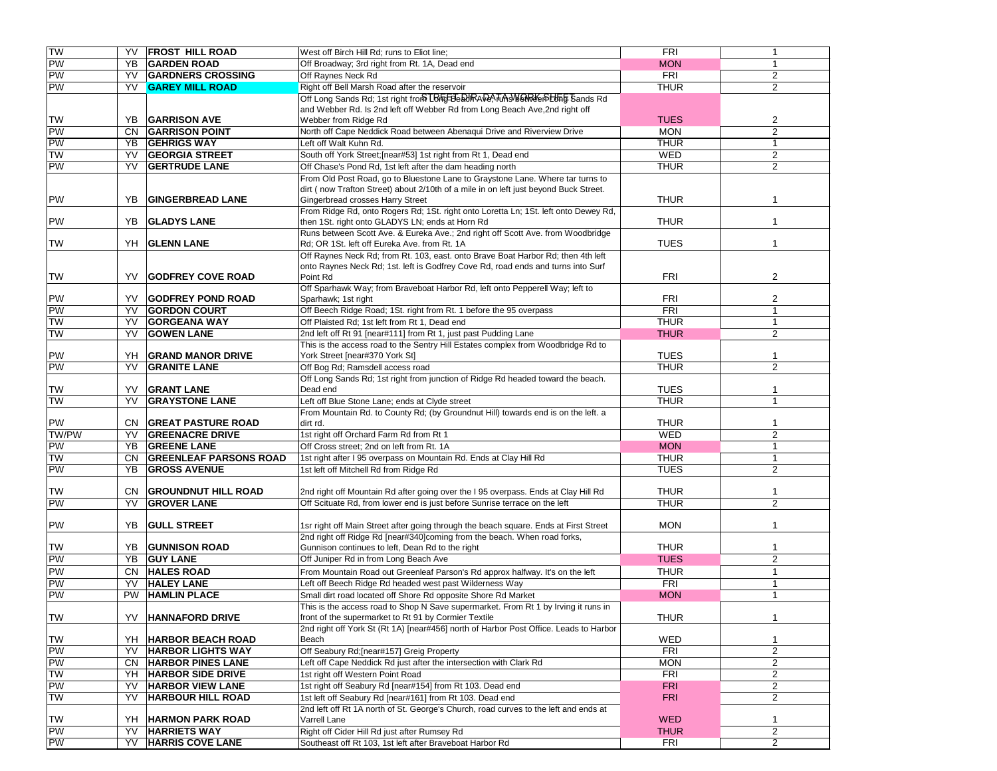| TW        | YV        | <b>FROST HILL ROAD</b>        | West off Birch Hill Rd; runs to Eliot line;                                           | <b>FRI</b>  | 1              |
|-----------|-----------|-------------------------------|---------------------------------------------------------------------------------------|-------------|----------------|
| PW        | YB        | <b>GARDEN ROAD</b>            | Off Broadway; 3rd right from Rt. 1A, Dead end                                         | <b>MON</b>  | 1              |
| PW        | YV        | <b>GARDNERS CROSSING</b>      | Off Raynes Neck Rd                                                                    | <b>FRI</b>  | $\overline{2}$ |
| PW        | <b>YV</b> | <b>GAREY MILL ROAD</b>        | Right off Bell Marsh Road after the reservoir                                         | <b>THUR</b> | 2              |
|           |           |                               | Off Long Sands Rd; 1st right from LBFFEBeRURA DA, TAN SUGREE PLUTE Bands Rd           |             |                |
|           |           |                               | and Webber Rd. Is 2nd left off Webber Rd from Long Beach Ave, 2nd right off           |             |                |
| <b>TW</b> |           | <b>YB</b> GARRISON AVE        | Webber from Ridge Rd                                                                  | <b>TUES</b> | 2              |
| PW        |           | CN GARRISON POINT             | North off Cape Neddick Road between Abenaqui Drive and Riverview Drive                | <b>MON</b>  | $\overline{2}$ |
| PW        | YB        | <b>GEHRIGS WAY</b>            | Left off Walt Kuhn Rd.                                                                | <b>THUR</b> | $\mathbf{1}$   |
| <b>TW</b> | YV        | <b>GEORGIA STREET</b>         | South off York Street;[near#53] 1st right from Rt 1, Dead end                         | WED         | 2              |
| PW        | YV        | <b>GERTRUDE LANE</b>          | Off Chase's Pond Rd, 1st left after the dam heading north                             | <b>THUR</b> | 2              |
|           |           |                               | From Old Post Road, go to Bluestone Lane to Graystone Lane. Where tar turns to        |             |                |
|           |           |                               | dirt (now Trafton Street) about 2/10th of a mile in on left just beyond Buck Street.  |             |                |
| PW        | YB        | <b>GINGERBREAD LANE</b>       | Gingerbread crosses Harry Street                                                      | <b>THUR</b> |                |
|           |           |                               | From Ridge Rd, onto Rogers Rd; 1St. right onto Loretta Ln; 1St. left onto Dewey Rd,   |             |                |
| <b>PW</b> | YB        | <b>GLADYS LANE</b>            | then 1St. right onto GLADYS LN; ends at Horn Rd                                       | <b>THUR</b> | 1              |
|           |           |                               | Runs between Scott Ave. & Eureka Ave.; 2nd right off Scott Ave. from Woodbridge       |             |                |
| TW        | YH        | <b>GLENN LANE</b>             | Rd; OR 1St. left off Eureka Ave. from Rt. 1A                                          | <b>TUES</b> | $\mathbf{1}$   |
|           |           |                               | Off Raynes Neck Rd; from Rt. 103, east. onto Brave Boat Harbor Rd; then 4th left      |             |                |
|           |           |                               | onto Raynes Neck Rd; 1st. left is Godfrey Cove Rd, road ends and turns into Surf      |             |                |
| <b>TW</b> | YV.       | <b>GODFREY COVE ROAD</b>      | Point Rd                                                                              | <b>FRI</b>  | 2              |
|           |           |                               | Off Sparhawk Way; from Braveboat Harbor Rd, left onto Pepperell Way; left to          |             |                |
| PW        | YV        | <b>GODFREY POND ROAD</b>      | Sparhawk; 1st right                                                                   | <b>FRI</b>  | $\overline{2}$ |
| PW        | YV        | <b>GORDON COURT</b>           | Off Beech Ridge Road; 1St. right from Rt. 1 before the 95 overpass                    | <b>FRI</b>  | $\mathbf{1}$   |
| <b>NL</b> | YV        | <b>GORGEANA WAY</b>           | Off Plaisted Rd; 1st left from Rt 1, Dead end                                         | <b>THUR</b> | $\mathbf{1}$   |
| <b>NL</b> | YV        | <b>GOWEN LANE</b>             | 2nd left off Rt 91 [near#111] from Rt 1, just past Pudding Lane                       | <b>THUR</b> | 2              |
|           |           |                               | This is the access road to the Sentry Hill Estates complex from Woodbridge Rd to      |             |                |
| PW        | YH        | <b>GRAND MANOR DRIVE</b>      | York Street [near#370 York St]                                                        | <b>TUES</b> | $\mathbf 1$    |
| PW        | YV        | <b>GRANITE LANE</b>           | Off Bog Rd; Ramsdell access road                                                      | <b>THUR</b> | $\overline{2}$ |
|           |           |                               | Off Long Sands Rd; 1st right from junction of Ridge Rd headed toward the beach.       |             |                |
| TW        | YV        | <b>GRANT LANE</b>             | Dead end                                                                              | <b>TUES</b> | $\mathbf 1$    |
| <b>NL</b> | YV        | <b>GRAYSTONE LANE</b>         | Left off Blue Stone Lane; ends at Clyde street                                        | <b>THUR</b> | 1              |
|           |           |                               | From Mountain Rd. to County Rd; (by Groundnut Hill) towards end is on the left. a     |             |                |
| PW        |           | <b>CN GREAT PASTURE ROAD</b>  | dirt rd.                                                                              | <b>THUR</b> | 1              |
| TW/PW     | YV        | <b>GREENACRE DRIVE</b>        | 1st right off Orchard Farm Rd from Rt 1                                               | WED         | 2              |
| PW        | YB        | <b>GREENE LANE</b>            | Off Cross street; 2nd on left from Rt. 1A                                             | <b>MON</b>  | $\mathbf{1}$   |
| <b>NL</b> | CN.       | <b>GREENLEAF PARSONS ROAD</b> | 1st right after I 95 overpass on Mountain Rd. Ends at Clay Hill Rd                    | <b>THUR</b> | $\mathbf{1}$   |
| <b>PW</b> | YB        | <b>GROSS AVENUE</b>           | 1st left off Mitchell Rd from Ridge Rd                                                | <b>TUES</b> | 2              |
|           |           |                               |                                                                                       |             |                |
| TW        |           | CN GROUNDNUT HILL ROAD        | 2nd right off Mountain Rd after going over the I 95 overpass. Ends at Clay Hill Rd    | <b>THUR</b> | $\mathbf 1$    |
| PW        | YV        | <b>GROVER LANE</b>            | Off Scituate Rd, from lower end is just before Sunrise terrace on the left            | <b>THUR</b> | $\overline{2}$ |
|           |           |                               |                                                                                       |             |                |
| <b>PW</b> | YB        | <b>GULL STREET</b>            | 1sr right off Main Street after going through the beach square. Ends at First Street  | <b>MON</b>  | $\mathbf{1}$   |
|           |           |                               | 2nd right off Ridge Rd [near#340]coming from the beach. When road forks,              |             |                |
| <b>TW</b> | YB        | <b>GUNNISON ROAD</b>          | Gunnison continues to left, Dean Rd to the right                                      | <b>THUR</b> | $\mathbf{1}$   |
| PW        | YB        | <b>GUY LANE</b>               | Off Juniper Rd in from Long Beach Ave                                                 | <b>TUES</b> | 2              |
| <b>PW</b> | CN.       | <b>HALES ROAD</b>             | From Mountain Road out Greenleaf Parson's Rd approx halfway. It's on the left         | <b>THUR</b> | $\mathbf{1}$   |
| <b>PW</b> | YV        | <b>HALEY LANE</b>             | Left off Beech Ridge Rd headed west past Wilderness Way                               | <b>FRI</b>  | $\mathbf{1}$   |
| <b>PW</b> | <b>PW</b> | <b>HAMLIN PLACE</b>           | Small dirt road located off Shore Rd opposite Shore Rd Market                         | <b>MON</b>  | 1              |
|           |           |                               | This is the access road to Shop N Save supermarket. From Rt 1 by Irving it runs in    |             |                |
| <b>TW</b> | YV        | <b>HANNAFORD DRIVE</b>        | front of the supermarket to Rt 91 by Cormier Textile                                  | <b>THUR</b> | $\mathbf{1}$   |
|           |           |                               | 2nd right off York St (Rt 1A) [near#456] north of Harbor Post Office. Leads to Harbor |             |                |
| <b>TW</b> | YH        | <b>HARBOR BEACH ROAD</b>      | Beach                                                                                 | WED         | $\mathbf{1}$   |
| PW        | YV        | <b>HARBOR LIGHTS WAY</b>      | Off Seabury Rd; [near#157] Greig Property                                             | <b>FRI</b>  | $\overline{2}$ |
| <b>PW</b> | CN.       | <b>HARBOR PINES LANE</b>      | Left off Cape Neddick Rd just after the intersection with Clark Rd                    | <b>MON</b>  | $\overline{c}$ |
| <b>TW</b> | YH        | <b>HARBOR SIDE DRIVE</b>      | 1st right off Western Point Road                                                      | <b>FRI</b>  | $\overline{2}$ |
| <b>PW</b> | YV        | <b>HARBOR VIEW LANE</b>       | 1st right off Seabury Rd [near#154] from Rt 103. Dead end                             | <b>FRI</b>  | $\overline{2}$ |
| <b>TW</b> | YV        | <b>HARBOUR HILL ROAD</b>      | 1st left off Seabury Rd [near#161] from Rt 103. Dead end                              | <b>FRI</b>  | $\overline{2}$ |
|           |           |                               | 2nd left off Rt 1A north of St. George's Church, road curves to the left and ends at  |             |                |
| <b>TW</b> | YH.       | <b>HARMON PARK ROAD</b>       | Varrell Lane                                                                          | <b>WED</b>  | $\mathbf{1}$   |
| PW        | YV        | <b>HARRIETS WAY</b>           | Right off Cider Hill Rd just after Rumsey Rd                                          | <b>THUR</b> | $\overline{2}$ |
| PW        | YV        | <b>HARRIS COVE LANE</b>       | Southeast off Rt 103, 1st left after Braveboat Harbor Rd                              | FRI         | $\overline{2}$ |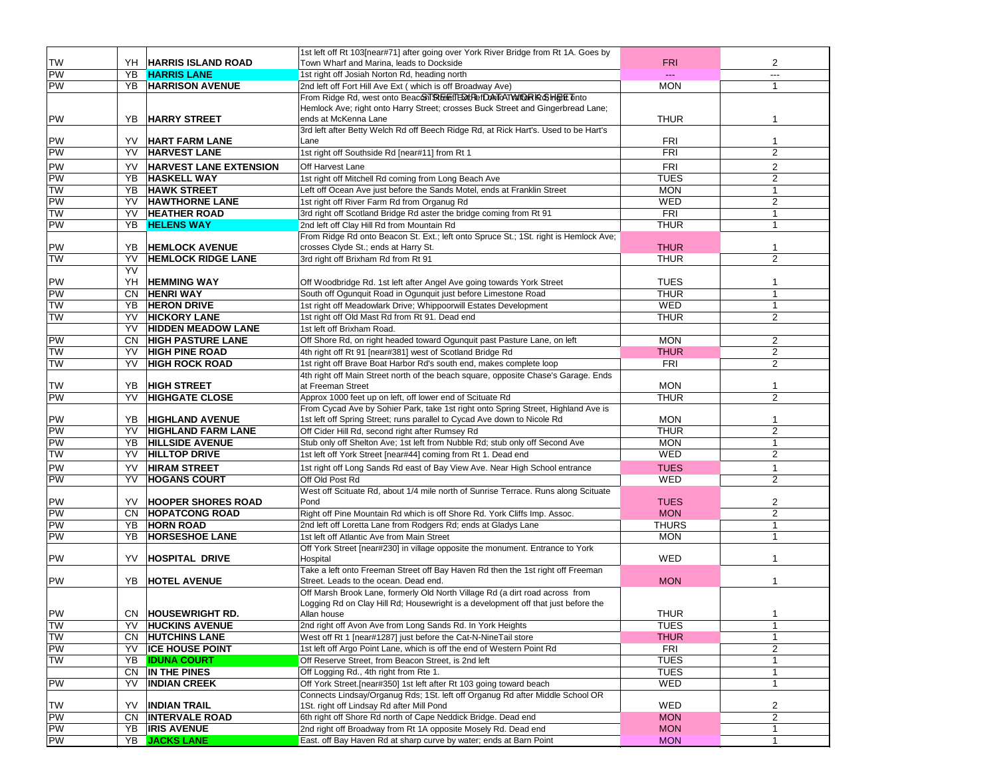|                 |     |                               | 1st left off Rt 103[near#71] after going over York River Bridge from Rt 1A. Goes by                                                     |              |                |
|-----------------|-----|-------------------------------|-----------------------------------------------------------------------------------------------------------------------------------------|--------------|----------------|
| <b>TW</b>       |     | YH   HARRIS ISLAND ROAD       | Town Wharf and Marina, leads to Dockside                                                                                                | <b>FRI</b>   | 2              |
| PW              |     | YB HARRIS LANE                | 1st right off Josiah Norton Rd, heading north                                                                                           |              | ---            |
| <b>PW</b>       | YB  | <b>HARRISON AVENUE</b>        | 2nd left off Fort Hill Ave Ext (which is off Broadway Ave)                                                                              | <b>MON</b>   | $\mathbf{1}$   |
|                 |     |                               | From Ridge Rd, west onto BeaconT&EETED#RefDAToATV#@RK&HHTTT                                                                             |              |                |
|                 |     |                               | Hemlock Ave; right onto Harry Street; crosses Buck Street and Gingerbread Lane;                                                         |              |                |
| PW              | YB. | <b>HARRY STREET</b>           | ends at McKenna Lane                                                                                                                    | <b>THUR</b>  |                |
|                 |     |                               | 3rd left after Betty Welch Rd off Beech Ridge Rd, at Rick Hart's. Used to be Hart's                                                     |              |                |
| PW              | YV. | <b>HART FARM LANE</b>         | Lane                                                                                                                                    | <b>FRI</b>   | $\mathbf{1}$   |
| PW              | YV. | <b>HARVEST LANE</b>           | 1st right off Southside Rd [near#11] from Rt 1                                                                                          | FRI          | 2              |
| <b>PW</b>       | YV  | <b>HARVEST LANE EXTENSION</b> | Off Harvest Lane                                                                                                                        | <b>FRI</b>   | 2              |
| PW              | YB  | <b>HASKELL WAY</b>            | 1st right off Mitchell Rd coming from Long Beach Ave                                                                                    | <b>TUES</b>  | 2              |
| <b>NL</b>       | YB  | <b>HAWK STREET</b>            | Left off Ocean Ave just before the Sands Motel, ends at Franklin Street                                                                 | <b>MON</b>   | $\mathbf{1}$   |
| <b>PW</b>       | YV  | <b>HAWTHORNE LANE</b>         | 1st right off River Farm Rd from Organug Rd                                                                                             | WED          | 2              |
| <b>TW</b>       | YV. | <b>HEATHER ROAD</b>           | 3rd right off Scotland Bridge Rd aster the bridge coming from Rt 91                                                                     | FRI          | $\mathbf{1}$   |
| <b>PW</b>       | YB  | <b>HELENS WAY</b>             | 2nd left off Clay Hill Rd from Mountain Rd                                                                                              | <b>THUR</b>  | $\mathbf{1}$   |
|                 |     |                               | From Ridge Rd onto Beacon St. Ext.; left onto Spruce St.; 1St. right is Hemlock Ave;                                                    |              |                |
| PW              | YB  | <b>HEMLOCK AVENUE</b>         | crosses Clyde St.; ends at Harry St.                                                                                                    | <b>THUR</b>  | $\mathbf 1$    |
| <b>TW</b>       | YV  | <b>HEMLOCK RIDGE LANE</b>     | 3rd right off Brixham Rd from Rt 91                                                                                                     | <b>THUR</b>  | 2              |
|                 | YV  |                               |                                                                                                                                         |              |                |
|                 | YH  |                               |                                                                                                                                         | <b>TUES</b>  |                |
| PW<br><b>PW</b> |     | <b>HEMMING WAY</b>            | Off Woodbridge Rd. 1st left after Angel Ave going towards York Street<br>South off Ogunquit Road in Ogunquit just before Limestone Road | <b>THUR</b>  | 1<br>1         |
|                 | CN  | <b>HENRI WAY</b>              |                                                                                                                                         |              |                |
| <b>TW</b>       | YB  | <b>HERON DRIVE</b>            | 1st right off Meadowlark Drive; Whippoorwill Estates Development                                                                        | WED          | $\mathbf{1}$   |
| TW              | YV  | <b>HICKORY LANE</b>           | 1st right off Old Mast Rd from Rt 91. Dead end                                                                                          | <b>THUR</b>  | 2              |
|                 | YV  | <b>HIDDEN MEADOW LANE</b>     | 1st left off Brixham Road.                                                                                                              |              |                |
| PW              | CN  | <b>HIGH PASTURE LANE</b>      | Off Shore Rd, on right headed toward Ogunquit past Pasture Lane, on left                                                                | <b>MON</b>   | $\overline{2}$ |
| <b>NL</b>       | YV  | <b>HIGH PINE ROAD</b>         | 4th right off Rt 91 [near#381] west of Scotland Bridge Rd                                                                               | <b>THUR</b>  | 2              |
| <b>NL</b>       | YV  | <b>HIGH ROCK ROAD</b>         | 1st right off Brave Boat Harbor Rd's south end, makes complete loop                                                                     | <b>FRI</b>   | 2              |
|                 |     |                               | 4th right off Main Street north of the beach square, opposite Chase's Garage. Ends                                                      |              |                |
| TW              | YB  | <b>HIGH STREET</b>            | at Freeman Street                                                                                                                       | <b>MON</b>   | $\mathbf 1$    |
| PW              | YV  | <b>HIGHGATE CLOSE</b>         | Approx 1000 feet up on left, off lower end of Scituate Rd                                                                               | <b>THUR</b>  | 2              |
|                 |     |                               | From Cycad Ave by Sohier Park, take 1st right onto Spring Street, Highland Ave is                                                       |              |                |
| PW              | YB  | <b>HIGHLAND AVENUE</b>        | 1st left off Spring Street; runs parallel to Cycad Ave down to Nicole Rd                                                                | <b>MON</b>   | $\mathbf 1$    |
| PW              | YV  | <b>HIGHLAND FARM LANE</b>     | Off Cider Hill Rd, second right after Rumsey Rd                                                                                         | <b>THUR</b>  | 2              |
| <b>PW</b>       | YB  | <b>HILLSIDE AVENUE</b>        | Stub only off Shelton Ave; 1st left from Nubble Rd; stub only off Second Ave                                                            | <b>MON</b>   | $\mathbf{1}$   |
| <b>NL</b>       | YV  | <b>HILLTOP DRIVE</b>          | 1st left off York Street [near#44] coming from Rt 1. Dead end                                                                           | <b>WED</b>   | 2              |
| <b>PW</b>       | YV  | <b>HIRAM STREET</b>           | 1st right off Long Sands Rd east of Bay View Ave. Near High School entrance                                                             | <b>TUES</b>  | $\mathbf{1}$   |
| <b>PW</b>       | YV  | <b>HOGANS COURT</b>           | Off Old Post Rd                                                                                                                         | WED          | $\overline{2}$ |
|                 |     |                               | West off Scituate Rd, about 1/4 mile north of Sunrise Terrace. Runs along Scituate                                                      |              |                |
| PW              | YV. | <b>HOOPER SHORES ROAD</b>     | Pond                                                                                                                                    | <b>TUES</b>  | $\overline{2}$ |
| PW              |     | CN HOPATCONG ROAD             | Right off Pine Mountain Rd which is off Shore Rd. York Cliffs Imp. Assoc.                                                               | <b>MON</b>   | $\overline{2}$ |
| PW              | YB  | <b>HORN ROAD</b>              | 2nd left off Loretta Lane from Rodgers Rd; ends at Gladys Lane                                                                          | <b>THURS</b> | $\mathbf{1}$   |
| <b>PW</b>       | YB  | <b>HORSESHOE LANE</b>         | 1st left off Atlantic Ave from Main Street                                                                                              | <b>MON</b>   | $\mathbf{1}$   |
|                 |     |                               | Off York Street [near#230] in village opposite the monument. Entrance to York                                                           |              |                |
| <b>PW</b>       | YV. | <b>HOSPITAL DRIVE</b>         | Hospital                                                                                                                                | WED          |                |
|                 |     |                               | Take a left onto Freeman Street off Bay Haven Rd then the 1st right off Freeman                                                         |              |                |
| <b>PW</b>       |     | YB  HOTEL AVENUE              | Street. Leads to the ocean. Dead end.                                                                                                   | <b>MON</b>   |                |
|                 |     |                               | Off Marsh Brook Lane, formerly Old North Village Rd (a dirt road across from                                                            |              |                |
|                 |     |                               | Logging Rd on Clay Hill Rd; Housewright is a development off that just before the                                                       |              |                |
| <b>PW</b>       |     | CN HOUSEWRIGHT RD.            | Allan house                                                                                                                             | THUR         |                |
| <b>TW</b>       | YV  | <b>HUCKINS AVENUE</b>         | 2nd right off Avon Ave from Long Sands Rd. In York Heights                                                                              | <b>TUES</b>  | $\mathbf{1}$   |
| TW              | CN. | <b>HUTCHINS LANE</b>          | West off Rt 1 [near#1287] just before the Cat-N-NineTail store                                                                          | <b>THUR</b>  | 1              |
| <b>PW</b>       | YV  | <b>ICE HOUSE POINT</b>        | 1st left off Argo Point Lane, which is off the end of Western Point Rd                                                                  | <b>FRI</b>   | $\overline{2}$ |
| <b>TW</b>       | YB  | <b>IDUNA COURT</b>            | Off Reserve Street, from Beacon Street, is 2nd left                                                                                     | <b>TUES</b>  | $\mathbf{1}$   |
|                 | CN  | IN THE PINES                  | Off Logging Rd., 4th right from Rte 1.                                                                                                  | <b>TUES</b>  | $\mathbf{1}$   |
| <b>PW</b>       | YV  | <b>INDIAN CREEK</b>           | Off York Street. [near#350] 1st left after Rt 103 going toward beach                                                                    | WED          | 1              |
|                 |     |                               | Connects Lindsay/Organug Rds; 1St. left off Organug Rd after Middle School OR                                                           |              |                |
| <b>TW</b>       | YV  | <b>INDIAN TRAIL</b>           | 1St. right off Lindsay Rd after Mill Pond                                                                                               | WED          | 2              |
| PW              | CN  | <b>INTERVALE ROAD</b>         | 6th right off Shore Rd north of Cape Neddick Bridge. Dead end                                                                           | <b>MON</b>   | $\overline{2}$ |
| PW              | YB  | <b>IRIS AVENUE</b>            | 2nd right off Broadway from Rt 1A opposite Mosely Rd. Dead end                                                                          | <b>MON</b>   | 1              |
| PW              |     | YB JACKS LANE                 | East. off Bay Haven Rd at sharp curve by water; ends at Barn Point                                                                      | <b>MON</b>   |                |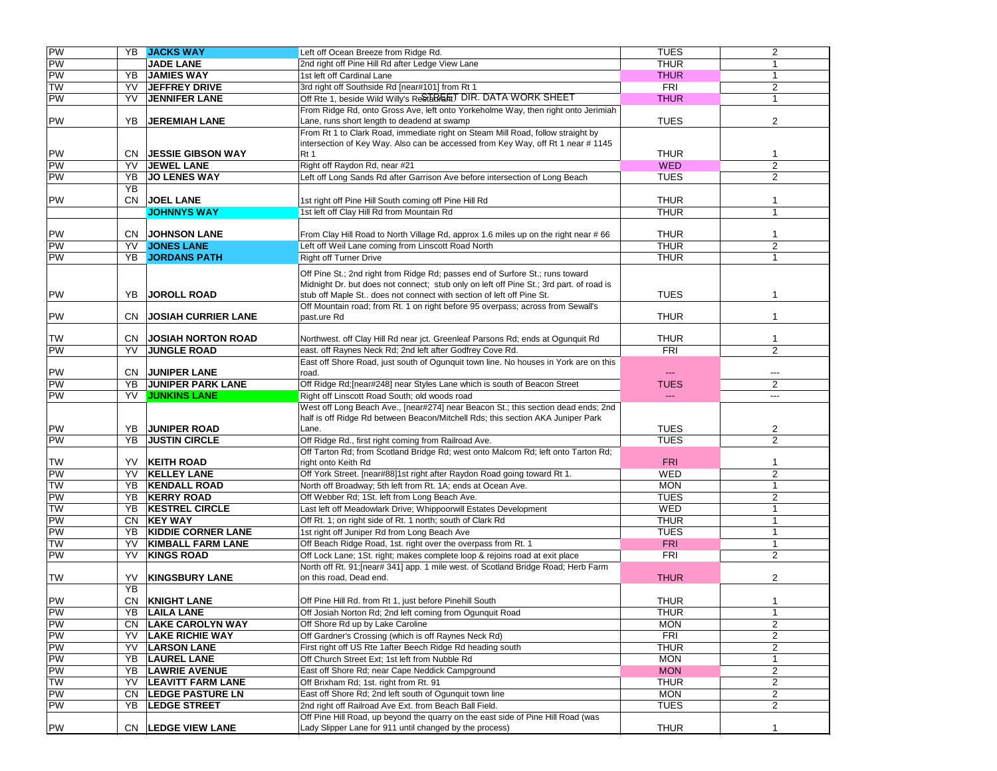| PW                    |           | YB JACKS WAY                               | Left off Ocean Breeze from Ridge Rd.                                                                                                        | TUES           | $\overline{2}$ |
|-----------------------|-----------|--------------------------------------------|---------------------------------------------------------------------------------------------------------------------------------------------|----------------|----------------|
| PW<br>PW              |           | <b>JADE LANE</b>                           | 2nd right off Pine Hill Rd after Ledge View Lane                                                                                            | <b>THUR</b>    | $\mathbf{1}$   |
|                       | YB        | <b>JAMIES WAY</b>                          | 1st left off Cardinal Lane                                                                                                                  | <b>THUR</b>    | 1              |
| <b>TW</b>             | YV        | <b>JEFFREY DRIVE</b>                       | 3rd right off Southside Rd [near#101] from Rt 1                                                                                             | <b>FRI</b>     | 2              |
| PW                    | YV        | <b>JENNIFER LANE</b>                       | Off Rte 1, beside Wild Willy's Restarder DIR. DATA WORK SHEET                                                                               | <b>THUR</b>    | $\mathbf{1}$   |
|                       |           |                                            | From Ridge Rd, onto Gross Ave, left onto Yorkeholme Way, then right onto Jerimiah                                                           |                |                |
| PW                    | YB.       | <b>JEREMIAH LANE</b>                       | Lane, runs short length to deadend at swamp                                                                                                 | <b>TUES</b>    | 2              |
|                       |           |                                            | From Rt 1 to Clark Road, immediate right on Steam Mill Road, follow straight by                                                             |                |                |
|                       |           |                                            | intersection of Key Way. Also can be accessed from Key Way, off Rt 1 near #1145                                                             |                |                |
| PW                    |           | <b>CN JESSIE GIBSON WAY</b>                | Rt 1                                                                                                                                        | <b>THUR</b>    | 1              |
| PW                    | YV        | <b>JEWEL LANE</b>                          | Right off Raydon Rd, near #21                                                                                                               | <b>WED</b>     | $\overline{2}$ |
| <b>PW</b>             | YB        | <b>JO LENES WAY</b>                        | Left off Long Sands Rd after Garrison Ave before intersection of Long Beach                                                                 | <b>TUES</b>    | $\overline{2}$ |
|                       | <b>YB</b> |                                            |                                                                                                                                             |                |                |
|                       |           |                                            |                                                                                                                                             |                |                |
| PW                    | CN        | <b>JOEL LANE</b>                           | 1st right off Pine Hill South coming off Pine Hill Rd                                                                                       | <b>THUR</b>    | -1             |
|                       |           | <b>JOHNNYS WAY</b>                         | 1st left off Clay Hill Rd from Mountain Rd                                                                                                  | <b>THUR</b>    | $\mathbf{1}$   |
|                       |           |                                            |                                                                                                                                             |                |                |
| PW                    |           | <b>CN JOHNSON LANE</b>                     | From Clay Hill Road to North Village Rd, approx 1.6 miles up on the right near #66                                                          | <b>THUR</b>    | 1              |
| PW                    | YV        | <b>JONES LANE</b>                          | Left off Weil Lane coming from Linscott Road North                                                                                          | <b>THUR</b>    | $\overline{c}$ |
| PW                    | YB        | <b>JORDANS PATH</b>                        | <b>Right off Turner Drive</b>                                                                                                               | <b>THUR</b>    | $\mathbf{1}$   |
|                       |           |                                            | Off Pine St.; 2nd right from Ridge Rd; passes end of Surfore St.; runs toward                                                               |                |                |
|                       |           |                                            | Midnight Dr. but does not connect; stub only on left off Pine St.; 3rd part. of road is                                                     |                |                |
| PW                    | YB        | <b>JOROLL ROAD</b>                         | stub off Maple St does not connect with section of left off Pine St.                                                                        | <b>TUES</b>    |                |
|                       |           |                                            | Off Mountain road; from Rt. 1 on right before 95 overpass; across from Sewall's                                                             |                |                |
| PW                    | CN.       | <b>JOSIAH CURRIER LANE</b>                 | past.ure Rd                                                                                                                                 | <b>THUR</b>    | $\mathbf{1}$   |
|                       |           |                                            |                                                                                                                                             |                |                |
| <b>TW</b>             | CN.       | <b>JOSIAH NORTON ROAD</b>                  | Northwest. off Clay Hill Rd near jct. Greenleaf Parsons Rd; ends at Ogunquit Rd                                                             | <b>THUR</b>    | $\mathbf{1}$   |
| PW                    | YV        | <b>JUNGLE ROAD</b>                         | east. off Raynes Neck Rd; 2nd left after Godfrey Cove Rd.                                                                                   | <b>FRI</b>     | 2              |
|                       |           |                                            | East off Shore Road, just south of Ogunquit town line. No houses in York are on this                                                        |                |                |
| PW                    |           | <b>CN JUNIPER LANE</b>                     | road.                                                                                                                                       | ---            | ---            |
| PW                    | YB        | <b>JUNIPER PARK LANE</b>                   | Off Ridge Rd; [near#248] near Styles Lane which is south of Beacon Street                                                                   | <b>TUES</b>    | 2              |
| PW                    | YV        | <b>JUNKINS LANE</b>                        | Right off Linscott Road South; old woods road                                                                                               | $\overline{a}$ | $---$          |
|                       |           |                                            | West off Long Beach Ave., [near#274] near Beacon St.; this section dead ends; 2nd                                                           |                |                |
|                       |           |                                            | half is off Ridge Rd between Beacon/Mitchell Rds; this section AKA Juniper Park                                                             |                |                |
| PW                    | YB        | <b>JUNIPER ROAD</b>                        | Lane.                                                                                                                                       | <b>TUES</b>    | $\overline{2}$ |
| PW                    | YB        | <b>JUSTIN CIRCLE</b>                       | Off Ridge Rd., first right coming from Railroad Ave.                                                                                        | <b>TUES</b>    | 2              |
|                       |           |                                            | Off Tarton Rd; from Scotland Bridge Rd; west onto Malcom Rd; left onto Tarton Rd;                                                           |                |                |
| <b>TW</b>             | YV        | <b>KEITH ROAD</b>                          | right onto Keith Rd                                                                                                                         | <b>FRI</b>     |                |
| PW                    |           |                                            |                                                                                                                                             |                |                |
|                       |           |                                            |                                                                                                                                             |                | $\mathbf{1}$   |
|                       | YV        | <b>KELLEY LANE</b>                         | Off York Street. [near#88]1st right after Raydon Road going toward Rt 1.                                                                    | <b>WED</b>     | $\overline{2}$ |
| <b>TW</b>             | YB        | <b>KENDALL ROAD</b>                        | North off Broadway; 5th left from Rt. 1A; ends at Ocean Ave.                                                                                | <b>MON</b>     | $\mathbf{1}$   |
| PW                    | YB        | <b>KERRY ROAD</b>                          | Off Webber Rd; 1St. left from Long Beach Ave.                                                                                               | <b>TUES</b>    | 2              |
| <b>TW</b>             | YB        | <b>KESTREL CIRCLE</b>                      | Last left off Meadowlark Drive; Whippoorwill Estates Development                                                                            | <b>WED</b>     | $\mathbf{1}$   |
| PW                    | CN        | <b>KEY WAY</b>                             | Off Rt. 1; on right side of Rt. 1 north; south of Clark Rd                                                                                  | <b>THUR</b>    | $\mathbf{1}$   |
| PW                    | YB        | <b>KIDDIE CORNER LANE</b>                  | 1st right off Juniper Rd from Long Beach Ave                                                                                                | <b>TUES</b>    | $\overline{1}$ |
| <b>TW</b>             | YV        | <b>KIMBALL FARM LANE</b>                   | Off Beach Ridge Road, 1st. right over the overpass from Rt. 1                                                                               | <b>FRI</b>     | $\mathbf{1}$   |
| PW                    | YV        | <b>KINGS ROAD</b>                          | Off Lock Lane; 1St. right; makes complete loop & rejoins road at exit place                                                                 | <b>FRI</b>     | 2              |
|                       |           |                                            | North off Rt. 91; [near# 341] app. 1 mile west. of Scotland Bridge Road; Herb Farm                                                          |                |                |
| TW                    | YV        | <b>KINGSBURY LANE</b>                      | on this road, Dead end.                                                                                                                     | <b>THUR</b>    | $\overline{2}$ |
|                       | YB        |                                            |                                                                                                                                             |                |                |
|                       | CN        | <b>KNIGHT LANE</b>                         | Off Pine Hill Rd. from Rt 1, just before Pinehill South                                                                                     | <b>THUR</b>    | 1              |
| PW                    |           |                                            | Off Josiah Norton Rd; 2nd left coming from Ogunquit Road                                                                                    | THUR           | 1              |
|                       | CN        | YB   LAILA LANE<br><b>LAKE CAROLYN WAY</b> | Off Shore Rd up by Lake Caroline                                                                                                            | <b>MON</b>     | 2              |
| $\frac{PW}{PW}$       | YV        | <b>LAKE RICHIE WAY</b>                     |                                                                                                                                             |                |                |
| PW                    |           |                                            | Off Gardner's Crossing (which is off Raynes Neck Rd)                                                                                        | <b>FRI</b>     | 2              |
| PW                    | YV        | <b>LARSON LANE</b>                         | First right off US Rte 1after Beech Ridge Rd heading south                                                                                  | <b>THUR</b>    | $\overline{c}$ |
| $\frac{1}{\text{PW}}$ | YB        | <b>LAUREL LANE</b>                         | Off Church Street Ext; 1st left from Nubble Rd                                                                                              | <b>MON</b>     | $\mathbf 1$    |
| PW                    | YB        | <b>LAWRIE AVENUE</b>                       | East off Shore Rd; near Cape Neddick Campground                                                                                             | <b>MON</b>     | 2              |
| <b>TW</b>             | YV        | <b>LEAVITT FARM LANE</b>                   | Off Brixham Rd; 1st. right from Rt. 91                                                                                                      | <b>THUR</b>    | $\overline{2}$ |
| PW                    | CN        | <b>LEDGE PASTURE LN</b>                    | East off Shore Rd; 2nd left south of Ogunquit town line                                                                                     | <b>MON</b>     | $\overline{2}$ |
| PW                    | YB        | <b>LEDGE STREET</b>                        | 2nd right off Railroad Ave Ext. from Beach Ball Field.                                                                                      | <b>TUES</b>    | $\overline{2}$ |
| PW                    |           | CN LEDGE VIEW LANE                         | Off Pine Hill Road, up beyond the quarry on the east side of Pine Hill Road (was<br>Lady Slipper Lane for 911 until changed by the process) | <b>THUR</b>    | $\mathbf{1}$   |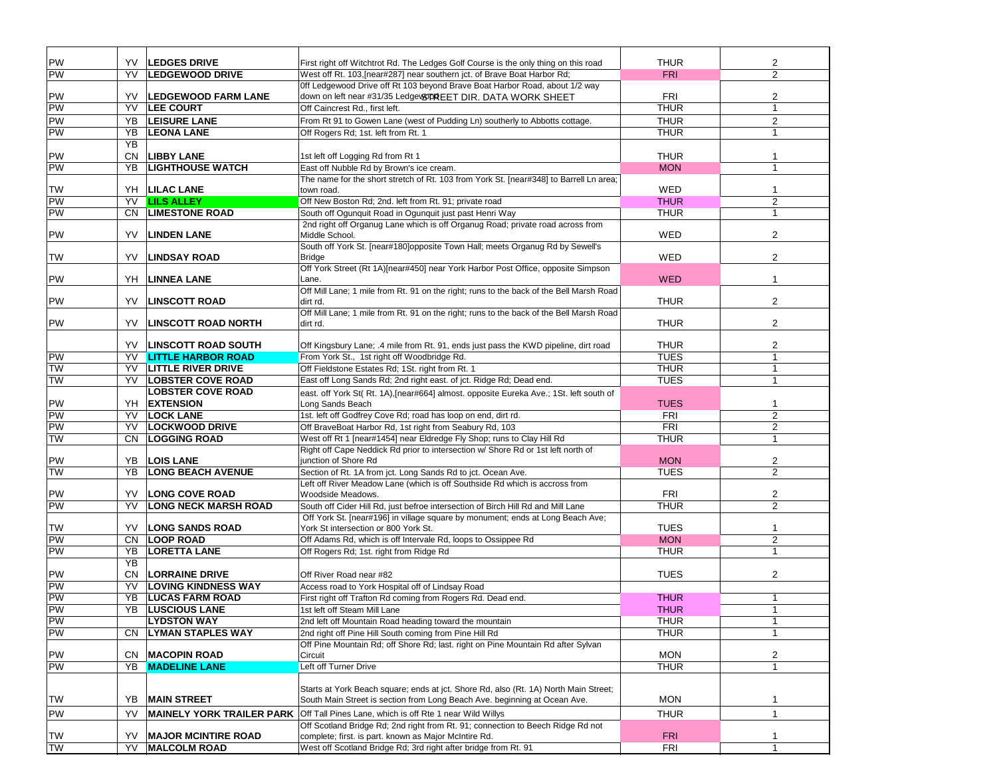| PW        | YV        | <b>LEDGES DRIVE</b>              | First right off Witchtrot Rd. The Ledges Golf Course is the only thing on this road                 | <b>THUR</b> | 2                       |
|-----------|-----------|----------------------------------|-----------------------------------------------------------------------------------------------------|-------------|-------------------------|
| PW        | YV        | <b>LEDGEWOOD DRIVE</b>           | West off Rt. 103, [near#287] near southern jct. of Brave Boat Harbor Rd;                            | <b>FRI</b>  | $\overline{2}$          |
|           |           |                                  | Off Ledgewood Drive off Rt 103 beyond Brave Boat Harbor Road, about 1/2 way                         |             |                         |
| PW        | YV        | <b>LEDGEWOOD FARM LANE</b>       | down on left near #31/35 Ledge\&DREET DIR. DATA WORK SHEET                                          | FRI         | 2                       |
| PW        | YV        | <b>LEE COURT</b>                 | Off Caincrest Rd., first left.                                                                      | <b>THUR</b> | $\mathbf{1}$            |
| PW        | YB        | <b>LEISURE LANE</b>              | From Rt 91 to Gowen Lane (west of Pudding Ln) southerly to Abbotts cottage.                         | <b>THUR</b> | $\overline{c}$          |
| PW        | YB        | <b>LEONA LANE</b>                | Off Rogers Rd; 1st. left from Rt. 1                                                                 | <b>THUR</b> | $\mathbf{1}$            |
|           | YB        |                                  |                                                                                                     |             |                         |
| PW        | <b>CN</b> | <b>LIBBY LANE</b>                | 1st left off Logging Rd from Rt 1                                                                   | <b>THUR</b> | $\mathbf{1}$            |
| PW        | YB        | <b>LIGHTHOUSE WATCH</b>          | East off Nubble Rd by Brown's ice cream.                                                            | <b>MON</b>  | $\mathbf{1}$            |
|           |           |                                  | The name for the short stretch of Rt. 103 from York St. [near#348] to Barrell Ln area;              |             |                         |
| TW        |           | YH   LILAC LANE                  | town road.                                                                                          | <b>WED</b>  | 1                       |
| PW        | YV        | <b>LILS ALLEY</b>                | Off New Boston Rd; 2nd. left from Rt. 91; private road                                              | <b>THUR</b> | 2                       |
| PW        | <b>CN</b> | <b>LIMESTONE ROAD</b>            | South off Ogunquit Road in Ogunquit just past Henri Way                                             | <b>THUR</b> | $\mathbf{1}$            |
|           |           |                                  | 2nd right off Organug Lane which is off Organug Road; private road across from                      |             |                         |
| PW        | YV        | <b>LINDEN LANE</b>               | Middle School.                                                                                      | WED         | 2                       |
|           |           |                                  | South off York St. [near#180]opposite Town Hall; meets Organug Rd by Sewell's                       |             |                         |
| TW        | YV        | <b>LINDSAY ROAD</b>              | <b>Bridge</b>                                                                                       | WED         | $\overline{2}$          |
|           |           |                                  | Off York Street (Rt 1A)[near#450] near York Harbor Post Office, opposite Simpson                    |             |                         |
| PW        | YH        | <b>LINNEA LANE</b>               | Lane.                                                                                               | <b>WED</b>  | $\mathbf{1}$            |
|           |           |                                  | Off Mill Lane; 1 mile from Rt. 91 on the right; runs to the back of the Bell Marsh Road             |             |                         |
| PW        | YV        | <b>LINSCOTT ROAD</b>             | dirt rd.                                                                                            | <b>THUR</b> | $\overline{2}$          |
| PW        | YV        | <b>LINSCOTT ROAD NORTH</b>       | Off Mill Lane; 1 mile from Rt. 91 on the right; runs to the back of the Bell Marsh Road<br>dirt rd. | <b>THUR</b> | 2                       |
|           |           |                                  |                                                                                                     |             |                         |
|           | YV.       | <b>LINSCOTT ROAD SOUTH</b>       | Off Kingsbury Lane; .4 mile from Rt. 91, ends just pass the KWD pipeline, dirt road                 | <b>THUR</b> | $\overline{2}$          |
| PW        | YV        | <b>LITTLE HARBOR ROAD</b>        | From York St., 1st right off Woodbridge Rd.                                                         | <b>TUES</b> | $\mathbf{1}$            |
| <b>TW</b> | YV        | <b>LITTLE RIVER DRIVE</b>        | Off Fieldstone Estates Rd; 1St. right from Rt. 1                                                    | <b>THUR</b> | $\overline{1}$          |
| TW        | YV        | <b>LOBSTER COVE ROAD</b>         | East off Long Sands Rd; 2nd right east. of jct. Ridge Rd; Dead end.                                 | <b>TUES</b> | $\mathbf{1}$            |
|           |           | <b>LOBSTER COVE ROAD</b>         | east. off York St(Rt. 1A), [near#664] almost. opposite Eureka Ave.; 1St. left south of              |             |                         |
| PW        | YH        | <b>EXTENSION</b>                 | Long Sands Beach                                                                                    | <b>TUES</b> | 1                       |
| PW        | YV        | <b>LOCK LANE</b>                 | 1st. left off Godfrey Cove Rd; road has loop on end, dirt rd.                                       | <b>FRI</b>  | $\overline{2}$          |
| PW        | YV        | <b>LOCKWOOD DRIVE</b>            | Off BraveBoat Harbor Rd, 1st right from Seabury Rd, 103                                             | FRI         | $\overline{2}$          |
| TW        | <b>CN</b> | <b>LOGGING ROAD</b>              | West off Rt 1 [near#1454] near Eldredge Fly Shop; runs to Clay Hill Rd                              | <b>THUR</b> | $\mathbf{1}$            |
|           |           |                                  | Right off Cape Neddick Rd prior to intersection w/ Shore Rd or 1st left north of                    |             |                         |
| PW        | YB        | <b>LOIS LANE</b>                 | junction of Shore Rd                                                                                | <b>MON</b>  | $\overline{2}$          |
| TW        | <b>YB</b> | <b>LONG BEACH AVENUE</b>         | Section of Rt. 1A from jct. Long Sands Rd to jct. Ocean Ave.                                        | <b>TUES</b> | $\overline{2}$          |
|           |           |                                  | Left off River Meadow Lane (which is off Southside Rd which is accross from                         |             |                         |
| PW        | YV        | <b>LONG COVE ROAD</b>            | Woodside Meadows.                                                                                   | FRI         | $\overline{\mathbf{c}}$ |
| PW        | YV        | <b>LONG NECK MARSH ROAD</b>      | South off Cider Hill Rd, just befroe intersection of Birch Hill Rd and Mill Lane                    | <b>THUR</b> | $\overline{2}$          |
|           |           |                                  | Off York St. [near#196] in village square by monument; ends at Long Beach Ave;                      |             |                         |
| TW        | YV        | <b>LONG SANDS ROAD</b>           | York St intersection or 800 York St.                                                                | <b>TUES</b> | 1                       |
| PW        | <b>CN</b> | <b>LOOP ROAD</b>                 | Off Adams Rd, which is off Intervale Rd, loops to Ossippee Rd                                       | <b>MON</b>  | $\sqrt{2}$              |
| PW        | YB        | <b>LORETTA LANE</b>              | Off Rogers Rd; 1st. right from Ridge Rd                                                             | <b>THUR</b> | $\mathbf{1}$            |
|           | <b>YB</b> |                                  |                                                                                                     |             |                         |
| PW        | <b>CN</b> | <b>LORRAINE DRIVE</b>            | Off River Road near #82                                                                             | <b>TUES</b> | 2                       |
| PW        | YV        | <b>LOVING KINDNESS WAY</b>       | Access road to York Hospital off of Lindsay Road                                                    |             |                         |
| PW        | YB        | <b>LUCAS FARM ROAD</b>           | First right off Trafton Rd coming from Rogers Rd. Dead end.                                         | <b>THUR</b> | 1                       |
| PW        |           | YB LUSCIOUS LANE                 | 1st left off Steam Mill Lane                                                                        | <b>THUR</b> | 1                       |
| PW        |           | <b>LYDSTON WAY</b>               | 2nd left off Mountain Road heading toward the mountain                                              | <b>THUR</b> | $\mathbf{1}$            |
| PW        | CN        | <b>LYMAN STAPLES WAY</b>         | 2nd right off Pine Hill South coming from Pine Hill Rd                                              | <b>THUR</b> | $\mathbf{1}$            |
|           |           |                                  | Off Pine Mountain Rd; off Shore Rd; last. right on Pine Mountain Rd after Sylvan                    |             |                         |
| PW        | CN.       | <b>MACOPIN ROAD</b>              | Circuit                                                                                             | <b>MON</b>  | 2                       |
| PW        | YB        | <b>MADELINE LANE</b>             | Left off Turner Drive                                                                               | <b>THUR</b> | -1                      |
|           |           |                                  |                                                                                                     |             |                         |
| TW        |           | <b>MAIN STREET</b>               | Starts at York Beach square; ends at jct. Shore Rd, also (Rt. 1A) North Main Street;                | <b>MON</b>  |                         |
|           | YB        |                                  | South Main Street is section from Long Beach Ave. beginning at Ocean Ave.                           |             | 1                       |
| PW        | YV        | <b>MAINELY YORK TRAILER PARK</b> | Off Tall Pines Lane, which is off Rte 1 near Wild Willys                                            | <b>THUR</b> | $\mathbf{1}$            |
|           |           |                                  | Off Scotland Bridge Rd; 2nd right from Rt. 91; connection to Beech Ridge Rd not                     |             |                         |
| TW        | YV        | <b>MAJOR MCINTIRE ROAD</b>       | complete; first. is part. known as Major McIntire Rd.                                               | <b>FRI</b>  | 1                       |
| TW        | YV        | <b>MALCOLM ROAD</b>              | West off Scotland Bridge Rd; 3rd right after bridge from Rt. 91                                     | <b>FRI</b>  | $\mathbf{1}$            |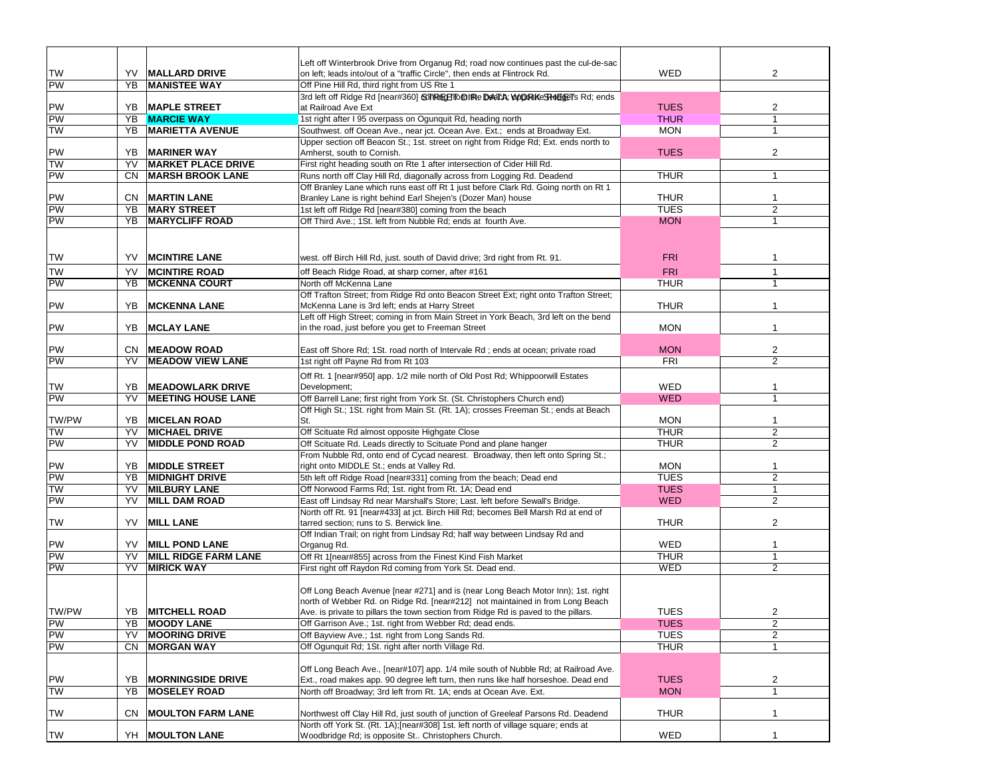|                 |           |                                                 | Left off Winterbrook Drive from Organug Rd; road now continues past the cul-de-sac                                                                                      |             |                |
|-----------------|-----------|-------------------------------------------------|-------------------------------------------------------------------------------------------------------------------------------------------------------------------------|-------------|----------------|
| <b>TW</b>       | YV        | <b>MALLARD DRIVE</b>                            | on left; leads into/out of a "traffic Circle", then ends at Flintrock Rd.                                                                                               | WED         | $\overline{2}$ |
| PW              | YB        | <b>MANISTEE WAY</b>                             | Off Pine Hill Rd, third right from US Rte 1                                                                                                                             |             |                |
|                 |           |                                                 | 3rd left off Ridge Rd [near#360] Son Rund The DealA; WOORKeSHOLGETs Rd; ends                                                                                            |             |                |
| PW              |           | YB   MAPLE STREET                               | at Railroad Ave Ext                                                                                                                                                     | <b>TUES</b> | 2              |
| PW              | YB        | <b>MARCIE WAY</b>                               | 1st right after I 95 overpass on Ogunquit Rd, heading north                                                                                                             | <b>THUR</b> | $\mathbf{1}$   |
| <b>TW</b>       | YB        | <b>MARIETTA AVENUE</b>                          | Southwest. off Ocean Ave., near jct. Ocean Ave. Ext.; ends at Broadway Ext.                                                                                             | <b>MON</b>  | $\mathbf 1$    |
|                 |           |                                                 | Upper section off Beacon St.; 1st. street on right from Ridge Rd; Ext. ends north to                                                                                    | <b>TUES</b> |                |
| PW<br><b>NL</b> | YB.<br>YV | <b>MARINER WAY</b><br><b>MARKET PLACE DRIVE</b> | Amherst, south to Cornish.                                                                                                                                              |             | 2              |
| <b>PW</b>       | CN        | <b>MARSH BROOK LANE</b>                         | First right heading south on Rte 1 after intersection of Cider Hill Rd.<br>Runs north off Clay Hill Rd, diagonally across from Logging Rd. Deadend                      | <b>THUR</b> | 1              |
|                 |           |                                                 | Off Branley Lane which runs east off Rt 1 just before Clark Rd. Going north on Rt 1                                                                                     |             |                |
| PW              |           | <b>CN MARTIN LANE</b>                           | Branley Lane is right behind Earl Shejen's (Dozer Man) house                                                                                                            | <b>THUR</b> | $\mathbf{1}$   |
| PW              | YB        | <b>MARY STREET</b>                              | 1st left off Ridge Rd [near#380] coming from the beach                                                                                                                  | <b>TUES</b> | $\overline{c}$ |
| <b>PW</b>       | YB        | <b>MARYCLIFF ROAD</b>                           | Off Third Ave.; 1St. left from Nubble Rd; ends at fourth Ave.                                                                                                           | <b>MON</b>  | $\mathbf{1}$   |
|                 |           |                                                 |                                                                                                                                                                         |             |                |
|                 |           |                                                 |                                                                                                                                                                         |             |                |
| TW              | YV        | <b>MCINTIRE LANE</b>                            | west. off Birch Hill Rd, just. south of David drive; 3rd right from Rt. 91.                                                                                             | <b>FRI</b>  |                |
| <b>TW</b>       | YV        | <b>MCINTIRE ROAD</b>                            |                                                                                                                                                                         |             | $\mathbf{1}$   |
| PW              | YB        | <b>MCKENNA COURT</b>                            | off Beach Ridge Road, at sharp corner, after #161                                                                                                                       | <b>FRI</b>  | $\overline{1}$ |
|                 |           |                                                 | North off McKenna Lane<br>Off Trafton Street; from Ridge Rd onto Beacon Street Ext; right onto Trafton Street;                                                          | <b>THUR</b> |                |
| PW              | YB        | <b>MCKENNA LANE</b>                             | McKenna Lane is 3rd left; ends at Harry Street                                                                                                                          | <b>THUR</b> |                |
|                 |           |                                                 | Left off High Street; coming in from Main Street in York Beach, 3rd left on the bend                                                                                    |             |                |
| <b>PW</b>       | YB        | <b>MCLAY LANE</b>                               | in the road, just before you get to Freeman Street                                                                                                                      | <b>MON</b>  | $\mathbf{1}$   |
|                 |           |                                                 |                                                                                                                                                                         |             |                |
| <b>PW</b>       |           | <b>CN MEADOW ROAD</b>                           | East off Shore Rd; 1St. road north of Intervale Rd; ends at ocean; private road                                                                                         | <b>MON</b>  | $\overline{2}$ |
| PW              | YV        | <b>MEADOW VIEW LANE</b>                         | 1st right off Payne Rd from Rt 103                                                                                                                                      | <b>FRI</b>  | $\overline{2}$ |
|                 |           |                                                 | Off Rt. 1 [near#950] app. 1/2 mile north of Old Post Rd; Whippoorwill Estates                                                                                           |             |                |
| TW              | YB        | <b>MEADOWLARK DRIVE</b>                         | Development;                                                                                                                                                            | WED         |                |
| PW              | YV        | <b>MEETING HOUSE LANE</b>                       | Off Barrell Lane; first right from York St. (St. Christophers Church end)                                                                                               | <b>WED</b>  | $\mathbf{1}$   |
|                 |           |                                                 | Off High St.; 1St. right from Main St. (Rt. 1A); crosses Freeman St.; ends at Beach                                                                                     |             |                |
| TW/PW           | YB        | <b>MICELAN ROAD</b>                             | St.                                                                                                                                                                     | <b>MON</b>  | -1             |
| <b>TW</b>       | YV        | <b>MICHAEL DRIVE</b>                            | Off Scituate Rd almost opposite Highgate Close                                                                                                                          | <b>THUR</b> | $\overline{2}$ |
| <b>PW</b>       | YV        | <b>MIDDLE POND ROAD</b>                         | Off Scituate Rd. Leads directly to Scituate Pond and plane hanger                                                                                                       | <b>THUR</b> | 2              |
|                 |           |                                                 | From Nubble Rd, onto end of Cycad nearest. Broadway, then left onto Spring St.;                                                                                         |             |                |
| <b>PW</b>       | YB        | <b>MIDDLE STREET</b>                            | right onto MIDDLE St.; ends at Valley Rd.                                                                                                                               | <b>MON</b>  | $\mathbf{1}$   |
| <b>PW</b>       | YB        | <b>MIDNIGHT DRIVE</b>                           | 5th left off Ridge Road [near#331] coming from the beach; Dead end                                                                                                      | <b>TUES</b> | $\overline{2}$ |
| <b>NL</b>       | YV        | <b>MILBURY LANE</b>                             | Off Norwood Farms Rd; 1st. right from Rt. 1A; Dead end                                                                                                                  | <b>TUES</b> | $\mathbf{1}$   |
| <b>PW</b>       | YV        | <b>MILL DAM ROAD</b>                            | East off Lindsay Rd near Marshall's Store; Last. left before Sewall's Bridge.                                                                                           | <b>WED</b>  | 2              |
|                 |           |                                                 | North off Rt. 91 [near#433] at jct. Birch Hill Rd; becomes Bell Marsh Rd at end of                                                                                      |             |                |
| <b>TW</b>       | YV        | <b>MILL LANE</b>                                | tarred section; runs to S. Berwick line.                                                                                                                                | <b>THUR</b> | 2              |
| <b>PW</b>       | YV        | <b>MILL POND LANE</b>                           | Off Indian Trail; on right from Lindsay Rd; half way between Lindsay Rd and<br>Organug Rd.                                                                              | WED         | $\mathbf 1$    |
| PW              | YV        | <b>MILL RIDGE FARM LANE</b>                     | Off Rt 1[near#855] across from the Finest Kind Fish Market                                                                                                              | <b>THUR</b> | $\mathbf{1}$   |
| PW              | YV        | <b>MIRICK WAY</b>                               | First right off Raydon Rd coming from York St. Dead end.                                                                                                                | WED         | 2              |
|                 |           |                                                 |                                                                                                                                                                         |             |                |
|                 |           |                                                 | Off Long Beach Avenue [near #271] and is (near Long Beach Motor Inn); 1st. right                                                                                        |             |                |
|                 |           |                                                 | north of Webber Rd. on Ridge Rd. [near#212] not maintained in from Long Beach                                                                                           |             |                |
| TW/PW           |           | YB MITCHELL ROAD                                | Ave. is private to pillars the town section from Ridge Rd is paved to the pillars.                                                                                      | <b>TUES</b> | 2              |
| PW              | YB        | <b>MOODY LANE</b>                               | Off Garrison Ave.; 1st. right from Webber Rd; dead ends.                                                                                                                | <b>TUES</b> | $\overline{2}$ |
| PW              | YV        | <b>MOORING DRIVE</b>                            | Off Bayview Ave.; 1st. right from Long Sands Rd.                                                                                                                        | <b>TUES</b> | 2              |
| PW              | CN        | <b>MORGAN WAY</b>                               | Off Ogunquit Rd; 1St. right after north Village Rd.                                                                                                                     | <b>THUR</b> | $\mathbf{1}$   |
|                 |           |                                                 |                                                                                                                                                                         |             |                |
|                 |           |                                                 | Off Long Beach Ave., [near#107] app. 1/4 mile south of Nubble Rd; at Railroad Ave.                                                                                      |             |                |
| PW              | YB        | <b>MORNINGSIDE DRIVE</b>                        | Ext., road makes app. 90 degree left turn, then runs like half horseshoe. Dead end                                                                                      | <b>TUES</b> | $\overline{c}$ |
| <b>TW</b>       | YB        | <b>MOSELEY ROAD</b>                             | North off Broadway; 3rd left from Rt. 1A; ends at Ocean Ave. Ext.                                                                                                       | <b>MON</b>  | $\mathbf{1}$   |
|                 |           |                                                 |                                                                                                                                                                         |             |                |
| <b>TW</b>       | CN.       | <b>MOULTON FARM LANE</b>                        | Northwest off Clay Hill Rd, just south of junction of Greeleaf Parsons Rd. Deadend<br>North off York St. (Rt. 1A);[near#308] 1st. left north of village square; ends at | <b>THUR</b> | $\mathbf{1}$   |
| <b>TW</b>       |           | YH   MOULTON LANE                               | Woodbridge Rd; is opposite St Christophers Church.                                                                                                                      | WED         | $\mathbf{1}$   |
|                 |           |                                                 |                                                                                                                                                                         |             |                |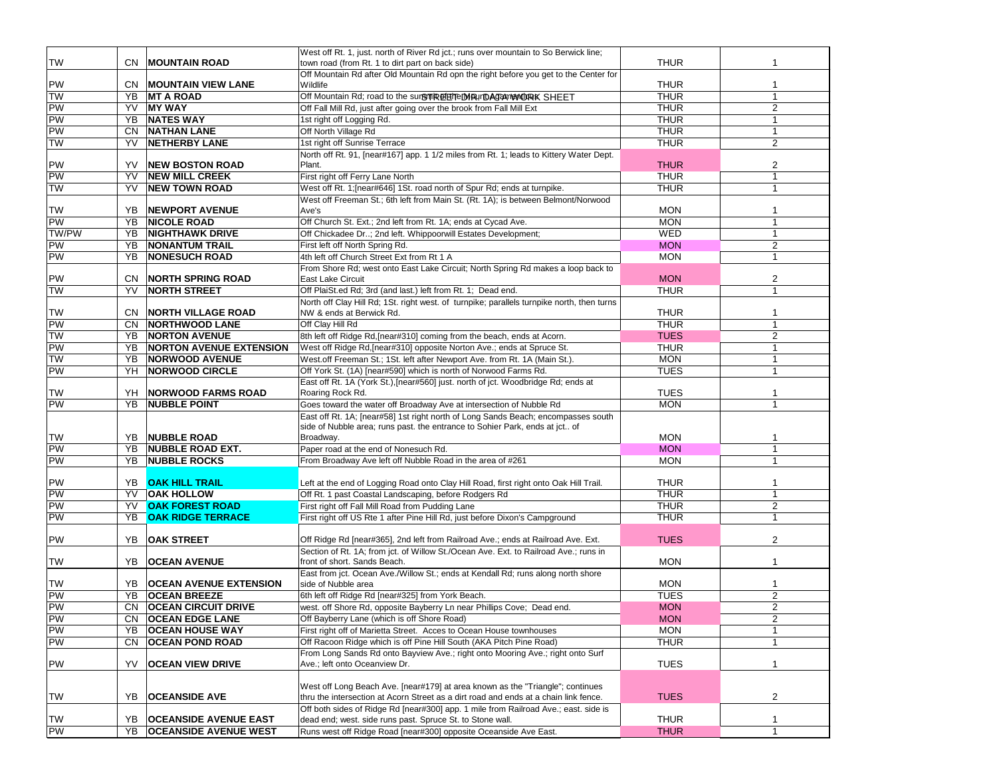|                        |           |                                | West off Rt. 1, just. north of River Rd jct.; runs over mountain to So Berwick line;                                 |                            |                |
|------------------------|-----------|--------------------------------|----------------------------------------------------------------------------------------------------------------------|----------------------------|----------------|
| <b>TW</b>              | CN.       | <b>MOUNTAIN ROAD</b>           | town road (from Rt. 1 to dirt part on back side)                                                                     | <b>THUR</b>                |                |
|                        |           |                                | Off Mountain Rd after Old Mountain Rd opn the right before you get to the Center for                                 |                            |                |
| PW                     |           | <b>CN   MOUNTAIN VIEW LANE</b> | Wildlife                                                                                                             | <b>THUR</b>                | $\mathbf 1$    |
| <b>TW</b>              | YB        | <b>MT A ROAD</b>               | Off Mountain Rd; road to the surGTTREFERTEINBURDAGE MORK SHEET                                                       | <b>THUR</b>                | $\mathbf{1}$   |
| PW                     | YV        | <b>MY WAY</b>                  | Off Fall Mill Rd, just after going over the brook from Fall Mill Ext                                                 | <b>THUR</b>                | 2              |
| PW                     | YB        | <b>NATES WAY</b>               | 1st right off Logging Rd.                                                                                            | <b>THUR</b>                | $\mathbf{1}$   |
| <b>PW</b>              | CN.       | <b>NATHAN LANE</b>             | Off North Village Rd                                                                                                 | <b>THUR</b>                | $\mathbf{1}$   |
| <b>NL</b>              | YV        | <b>NETHERBY LANE</b>           | 1st right off Sunrise Terrace                                                                                        | <b>THUR</b>                | 2              |
|                        |           |                                | North off Rt. 91, [near#167] app. 1 1/2 miles from Rt. 1; leads to Kittery Water Dept.                               |                            |                |
| <b>PW</b><br><b>PW</b> | YV        | <b>NEW BOSTON ROAD</b>         | Plant.                                                                                                               | <b>THUR</b>                | 2              |
|                        | YV        | <b>NEW MILL CREEK</b>          | First right off Ferry Lane North                                                                                     | <b>THUR</b><br><b>THUR</b> | $\mathbf 1$    |
| <b>NL</b>              | YV        | <b>NEW TOWN ROAD</b>           | West off Rt. 1; [near#646] 1St. road north of Spur Rd; ends at turnpike.                                             |                            | 1              |
| <b>TW</b>              | YB.       | <b>NEWPORT AVENUE</b>          | West off Freeman St.; 6th left from Main St. (Rt. 1A); is between Belmont/Norwood<br>Ave's                           | <b>MON</b>                 | -1             |
| PW                     | YB        | <b>NICOLE ROAD</b>             | Off Church St. Ext.; 2nd left from Rt. 1A; ends at Cycad Ave.                                                        | <b>MON</b>                 | -1             |
| TW/PW                  | YB        | <b>NIGHTHAWK DRIVE</b>         | Off Chickadee Dr; 2nd left. Whippoorwill Estates Development;                                                        | <b>WED</b>                 | $\mathbf{1}$   |
| PW                     | YB        | <b>NONANTUM TRAIL</b>          | First left off North Spring Rd.                                                                                      | <b>MON</b>                 | $\overline{c}$ |
| <b>PW</b>              | YB        | <b>NONESUCH ROAD</b>           | 4th left off Church Street Ext from Rt 1 A                                                                           | <b>MON</b>                 | $\mathbf{1}$   |
|                        |           |                                | From Shore Rd; west onto East Lake Circuit; North Spring Rd makes a loop back to                                     |                            |                |
| <b>PW</b>              | CN.       | <b>NORTH SPRING ROAD</b>       | <b>East Lake Circuit</b>                                                                                             | <b>MON</b>                 | $\overline{2}$ |
| <b>NL</b>              | YV        | <b>NORTH STREET</b>            | Off PlaiSt.ed Rd; 3rd (and last.) left from Rt. 1; Dead end.                                                         | <b>THUR</b>                | 1              |
|                        |           |                                | North off Clay Hill Rd; 1St. right west. of turnpike; parallels turnpike north, then turns                           |                            |                |
| <b>TW</b>              | CN.       | <b>NORTH VILLAGE ROAD</b>      | NW & ends at Berwick Rd.                                                                                             | <b>THUR</b>                | 1              |
| PW                     | CN.       | <b>NORTHWOOD LANE</b>          | Off Clay Hill Rd                                                                                                     | <b>THUR</b>                | $\mathbf{1}$   |
| <b>NL</b>              | YB        | <b>NORTON AVENUE</b>           | 8th left off Ridge Rd, [near#310] coming from the beach, ends at Acorn.                                              | <b>TUES</b>                | $\overline{c}$ |
| <b>PW</b>              | YB        | <b>NORTON AVENUE EXTENSION</b> | West off Ridge Rd, [near#310] opposite Norton Ave.; ends at Spruce St.                                               | <b>THUR</b>                | $\mathbf{1}$   |
| <b>NL</b>              | YB        | <b>NORWOOD AVENUE</b>          | West.off Freeman St.; 1St. left after Newport Ave. from Rt. 1A (Main St.).                                           | <b>MON</b>                 | $\mathbf{1}$   |
| <b>PW</b>              | YH        | <b>NORWOOD CIRCLE</b>          | Off York St. (1A) [near#590] which is north of Norwood Farms Rd.                                                     | <b>TUES</b>                | 1              |
|                        |           |                                | East off Rt. 1A (York St.), [near#560] just. north of jct. Woodbridge Rd; ends at                                    |                            |                |
| TW                     | YH        | <b>NORWOOD FARMS ROAD</b>      | Roaring Rock Rd.                                                                                                     | <b>TUES</b>                |                |
| PW                     | YB        | <b>NUBBLE POINT</b>            | Goes toward the water off Broadway Ave at intersection of Nubble Rd                                                  | <b>MON</b>                 | $\mathbf{1}$   |
|                        |           |                                | East off Rt. 1A; [near#58] 1st right north of Long Sands Beach; encompasses south                                    |                            |                |
|                        |           |                                | side of Nubble area; runs past. the entrance to Sohier Park, ends at jct of                                          |                            |                |
| TW                     | YB        | <b>NUBBLE ROAD</b>             | Broadway.                                                                                                            | <b>MON</b>                 | -1             |
| PW                     | YB        | <b>NUBBLE ROAD EXT.</b>        | Paper road at the end of Nonesuch Rd.                                                                                | <b>MON</b>                 | $\mathbf{1}$   |
| <b>PW</b>              | YB        | <b>NUBBLE ROCKS</b>            | From Broadway Ave left off Nubble Road in the area of #261                                                           | <b>MON</b>                 | $\mathbf{1}$   |
|                        |           |                                |                                                                                                                      |                            |                |
| <b>PW</b>              |           | YB OAK HILL TRAIL              | Left at the end of Logging Road onto Clay Hill Road, first right onto Oak Hill Trail.                                | <b>THUR</b>                | 1              |
| <b>PW</b>              | <b>YV</b> | <b>OAK HOLLOW</b>              | Off Rt. 1 past Coastal Landscaping, before Rodgers Rd                                                                | <b>THUR</b>                | 1              |
| <b>PW</b>              | YV        | <b>OAK FOREST ROAD</b>         | First right off Fall Mill Road from Pudding Lane                                                                     | <b>THUR</b>                | $\overline{2}$ |
| <b>PW</b>              | YB.       | <b>OAK RIDGE TERRACE</b>       | First right off US Rte 1 after Pine Hill Rd, just before Dixon's Campground                                          | <b>THUR</b>                | $\overline{1}$ |
|                        |           |                                |                                                                                                                      |                            |                |
| <b>PW</b>              | YB        | <b>OAK STREET</b>              | Off Ridge Rd [near#365], 2nd left from Railroad Ave.; ends at Railroad Ave. Ext.                                     | <b>TUES</b>                | 2              |
| <b>TW</b>              | YB        | <b>OCEAN AVENUE</b>            | Section of Rt. 1A; from jct. of Willow St./Ocean Ave. Ext. to Railroad Ave.; runs in<br>front of short. Sands Beach. | <b>MON</b>                 | -1             |
|                        |           |                                | East from jct. Ocean Ave./Willow St.; ends at Kendall Rd; runs along north shore                                     |                            |                |
| TW                     | YB.       | <b>OCEAN AVENUE EXTENSION</b>  | side of Nubble area                                                                                                  | <b>MON</b>                 | 1              |
| PW                     | YB        | <b>OCEAN BREEZE</b>            | 6th left off Ridge Rd [near#325] from York Beach.                                                                    | <b>TUES</b>                | $\overline{c}$ |
| PW                     |           | CN OCEAN CIRCUIT DRIVE         | west. off Shore Rd, opposite Bayberry Ln near Phillips Cove; Dead end.                                               | <b>MON</b>                 | 2              |
| PW                     | CN.       | <b>OCEAN EDGE LANE</b>         | Off Bayberry Lane (which is off Shore Road)                                                                          | <b>MON</b>                 | $\overline{2}$ |
| PW                     | YB        | <b>OCEAN HOUSE WAY</b>         | First right off of Marietta Street. Acces to Ocean House townhouses                                                  | <b>MON</b>                 | $\mathbf{1}$   |
| PW                     | CN        | <b>OCEAN POND ROAD</b>         | Off Racoon Ridge which is off Pine Hill South (AKA Pitch Pine Road)                                                  | <b>THUR</b>                | 1              |
|                        |           |                                | From Long Sands Rd onto Bayview Ave.; right onto Mooring Ave.; right onto Surf                                       |                            |                |
| PW                     | YV        | <b>OCEAN VIEW DRIVE</b>        | Ave.; left onto Oceanview Dr.                                                                                        | <b>TUES</b>                | $\mathbf{1}$   |
|                        |           |                                |                                                                                                                      |                            |                |
|                        |           |                                | West off Long Beach Ave. [near#179] at area known as the "Triangle"; continues                                       |                            |                |
| <b>TW</b>              | YB        | <b>OCEANSIDE AVE</b>           | thru the intersection at Acorn Street as a dirt road and ends at a chain link fence.                                 | <b>TUES</b>                | 2              |
|                        |           |                                | Off both sides of Ridge Rd [near#300] app. 1 mile from Railroad Ave.; east. side is                                  |                            |                |
| <b>TW</b>              | YB        | <b>OCEANSIDE AVENUE EAST</b>   | dead end; west. side runs past. Spruce St. to Stone wall.                                                            | <b>THUR</b>                | 1              |
| PW                     | YB        | <b>OCEANSIDE AVENUE WEST</b>   | Runs west off Ridge Road [near#300] opposite Oceanside Ave East.                                                     | <b>THUR</b>                | $\mathbf{1}$   |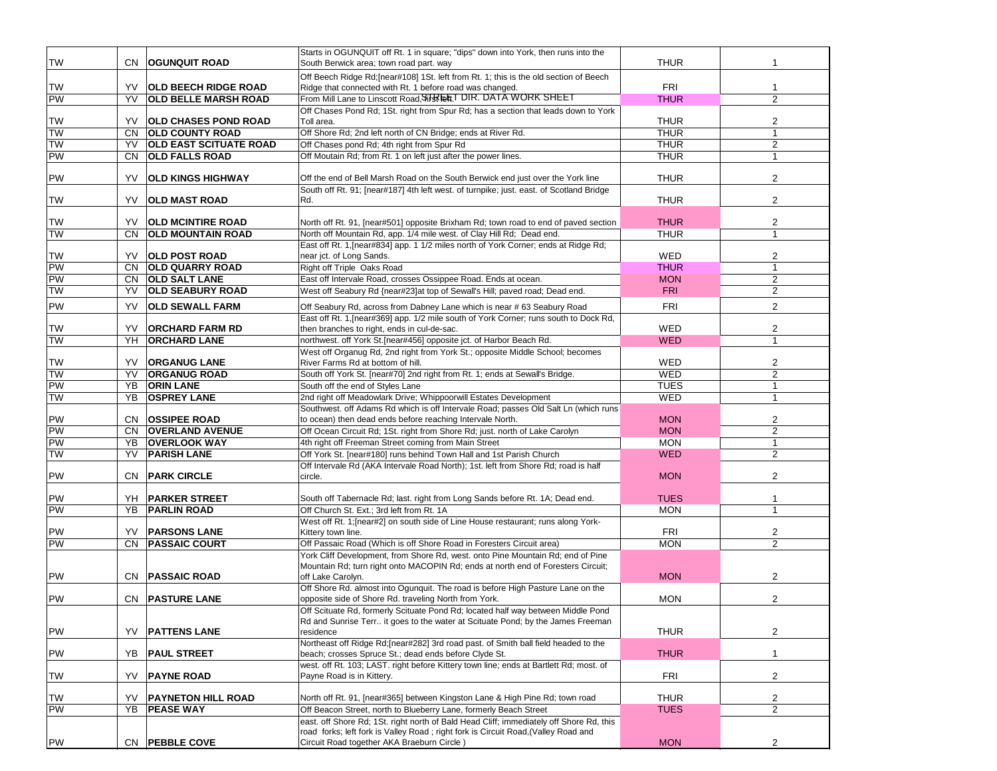| <b>TW</b> | CN        | <b>OGUNQUIT ROAD</b>          | Starts in OGUNQUIT off Rt. 1 in square; "dips" down into York, then runs into the<br>South Berwick area; town road part. way | <b>THUR</b> |                |
|-----------|-----------|-------------------------------|------------------------------------------------------------------------------------------------------------------------------|-------------|----------------|
|           |           |                               |                                                                                                                              |             |                |
|           |           |                               | Off Beech Ridge Rd; [near#108] 1St. left from Rt. 1; this is the old section of Beech                                        |             |                |
| TW        | YV        | <b>OLD BEECH RIDGE ROAD</b>   | Ridge that connected with Rt. 1 before road was changed.                                                                     | <b>FRI</b>  | 1              |
| PW        | YV        | <b>OLD BELLE MARSH ROAD</b>   | From Mill Lane to Linscott Road, Sirg Let T DIR. DATA WORK SHEET                                                             | <b>THUR</b> | $\overline{2}$ |
|           |           |                               | Off Chases Pond Rd; 1St. right from Spur Rd; has a section that leads down to York                                           |             |                |
| <b>TW</b> | YV        | <b>OLD CHASES POND ROAD</b>   | Toll area.                                                                                                                   | <b>THUR</b> | 2              |
| <b>TW</b> | <b>CN</b> | <b>OLD COUNTY ROAD</b>        | Off Shore Rd; 2nd left north of CN Bridge; ends at River Rd.                                                                 | <b>THUR</b> | $\overline{1}$ |
| <b>TW</b> | YV        | <b>OLD EAST SCITUATE ROAD</b> | Off Chases pond Rd; 4th right from Spur Rd                                                                                   | <b>THUR</b> | $\overline{2}$ |
| PW        | <b>CN</b> | <b>OLD FALLS ROAD</b>         | Off Moutain Rd; from Rt. 1 on left just after the power lines.                                                               | <b>THUR</b> | $\mathbf{1}$   |
|           |           |                               |                                                                                                                              |             |                |
| PW        | YV        | <b>OLD KINGS HIGHWAY</b>      | Off the end of Bell Marsh Road on the South Berwick end just over the York line                                              | <b>THUR</b> | 2              |
|           |           |                               | South off Rt. 91; [near#187] 4th left west. of turnpike; just. east. of Scotland Bridge                                      |             |                |
| TW        | YV        | <b>OLD MAST ROAD</b>          | Rd.                                                                                                                          | <b>THUR</b> | 2              |
|           |           |                               |                                                                                                                              |             |                |
| TW        | YV        | <b>OLD MCINTIRE ROAD</b>      | North off Rt. 91, [near#501] opposite Brixham Rd; town road to end of paved section                                          | <b>THUR</b> | $\overline{2}$ |
| <b>TW</b> | CN        | <b>OLD MOUNTAIN ROAD</b>      | North off Mountain Rd, app. 1/4 mile west. of Clay Hill Rd; Dead end.                                                        | <b>THUR</b> | 1              |
|           |           |                               | East off Rt. 1, [near#834] app. 1 1/2 miles north of York Corner; ends at Ridge Rd;                                          |             |                |
| TW        | YV        | <b>OLD POST ROAD</b>          | near jct. of Long Sands.                                                                                                     | WED         | 2              |
| PW        | <b>CN</b> | <b>OLD QUARRY ROAD</b>        | Right off Triple Oaks Road                                                                                                   | <b>THUR</b> | $\overline{1}$ |
| PW        | CN        | <b>OLD SALT LANE</b>          | East off Intervale Road, crosses Ossippee Road. Ends at ocean.                                                               | <b>MON</b>  | $\overline{c}$ |
| TW        | YV        | <b>OLD SEABURY ROAD</b>       | West off Seabury Rd {near#23]at top of Sewall's Hill; paved road; Dead end.                                                  | <b>FRI</b>  | $\overline{2}$ |
|           |           |                               |                                                                                                                              |             |                |
| PW        | YV        | <b>OLD SEWALL FARM</b>        | Off Seabury Rd, across from Dabney Lane which is near #63 Seabury Road                                                       | <b>FRI</b>  | 2              |
|           |           |                               | East off Rt. 1, [near#369] app. 1/2 mile south of York Corner; runs south to Dock Rd,                                        |             |                |
| TW        | YV        | <b>ORCHARD FARM RD</b>        | then branches to right, ends in cul-de-sac.                                                                                  | WED         | $\overline{2}$ |
| <b>TW</b> | YH        | <b>ORCHARD LANE</b>           | northwest. off York St.[near#456] opposite jct. of Harbor Beach Rd.                                                          | <b>WED</b>  |                |
|           |           |                               | West off Organug Rd, 2nd right from York St.; opposite Middle School; becomes                                                |             |                |
| <b>TW</b> | YV        | <b>ORGANUG LANE</b>           | River Farms Rd at bottom of hill.                                                                                            | WED         | $\overline{2}$ |
| <b>TW</b> | YV        | <b>ORGANUG ROAD</b>           | South off York St. [near#70] 2nd right from Rt. 1; ends at Sewall's Bridge.                                                  | <b>WED</b>  | $\overline{2}$ |
| <b>PW</b> | YB        | <b>ORIN LANE</b>              | South off the end of Styles Lane                                                                                             | <b>TUES</b> | 1              |
| <b>TW</b> | YB        | <b>OSPREY LANE</b>            | 2nd right off Meadowlark Drive; Whippoorwill Estates Development                                                             | WED         | $\mathbf{1}$   |
|           |           |                               | Southwest. off Adams Rd which is off Intervale Road; passes Old Salt Ln (which runs                                          |             |                |
| PW        | CN.       | <b>OSSIPEE ROAD</b>           | to ocean) then dead ends before reaching Intervale North.                                                                    | <b>MON</b>  | $\overline{2}$ |
| PW        | CN        | <b>OVERLAND AVENUE</b>        | Off Ocean Circuit Rd; 1St. right from Shore Rd; just. north of Lake Carolyn                                                  | <b>MON</b>  | 2              |
| PW        | YB        | <b>OVERLOOK WAY</b>           | 4th right off Freeman Street coming from Main Street                                                                         | <b>MON</b>  | $\mathbf{1}$   |
| TW        | YV        | <b>PARISH LANE</b>            | Off York St. [near#180] runs behind Town Hall and 1st Parish Church                                                          | <b>WED</b>  | 2              |
|           |           |                               | Off Intervale Rd (AKA Intervale Road North); 1st. left from Shore Rd; road is half                                           |             |                |
| PW        |           | CN <b>PARK CIRCLE</b>         | circle.                                                                                                                      | <b>MON</b>  | 2              |
|           |           |                               |                                                                                                                              |             |                |
| PW        | YH        | <b>PARKER STREET</b>          | South off Tabernacle Rd; last. right from Long Sands before Rt. 1A; Dead end.                                                | <b>TUES</b> |                |
| PW        |           | YB   PARLIN ROAD              | Off Church St. Ext.; 3rd left from Rt. 1A                                                                                    | <b>MON</b>  | $\overline{1}$ |
|           |           |                               | West off Rt. 1; [near#2] on south side of Line House restaurant; runs along York-                                            |             |                |
| PW        | YV        | <b>PARSONS LANE</b>           | Kittery town line.                                                                                                           | <b>FRI</b>  | $\overline{c}$ |
| PW        | CN        | <b>PASSAIC COURT</b>          | Off Passaic Road (Which is off Shore Road in Foresters Circuit area)                                                         | <b>MON</b>  | 2              |
|           |           |                               | York Cliff Development, from Shore Rd, west. onto Pine Mountain Rd; end of Pine                                              |             |                |
|           |           |                               | Mountain Rd; turn right onto MACOPIN Rd; ends at north end of Foresters Circuit;                                             |             |                |
| PW        | CN.       | <b>PASSAIC ROAD</b>           | off Lake Carolyn.                                                                                                            | <b>MON</b>  | 2              |
|           |           |                               | Off Shore Rd. almost into Ogunguit. The road is before High Pasture Lane on the                                              |             |                |
| <b>PW</b> |           | <b>CN PASTURE LANE</b>        | opposite side of Shore Rd. traveling North from York.                                                                        | <b>MON</b>  | $\overline{c}$ |
|           |           |                               | Off Scituate Rd, formerly Scituate Pond Rd; located half way between Middle Pond                                             |             |                |
|           |           |                               | Rd and Sunrise Terr it goes to the water at Scituate Pond; by the James Freeman                                              |             |                |
| PW        | YV        | <b>PATTENS LANE</b>           | residence                                                                                                                    | <b>THUR</b> | $\overline{2}$ |
|           |           |                               | Northeast off Ridge Rd; [near#282] 3rd road past. of Smith ball field headed to the                                          |             |                |
| PW        | YB        | <b>PAUL STREET</b>            | beach; crosses Spruce St.; dead ends before Clyde St.                                                                        | <b>THUR</b> | $\mathbf{1}$   |
|           |           |                               | west. off Rt. 103; LAST. right before Kittery town line; ends at Bartlett Rd; most. of                                       |             |                |
| TW        | YV        | <b>PAYNE ROAD</b>             | Payne Road is in Kittery.                                                                                                    | <b>FRI</b>  | 2              |
|           |           |                               |                                                                                                                              |             |                |
| TW        | YV        | <b>PAYNETON HILL ROAD</b>     | North off Rt. 91, [near#365] between Kingston Lane & High Pine Rd; town road                                                 | <b>THUR</b> | 2              |
| PW        | YB        | <b>PEASE WAY</b>              | Off Beacon Street, north to Blueberry Lane, formerly Beach Street                                                            | <b>TUES</b> | $\overline{2}$ |
|           |           |                               | east. off Shore Rd; 1St. right north of Bald Head Cliff; immediately off Shore Rd, this                                      |             |                |
|           |           |                               | road forks; left fork is Valley Road; right fork is Circuit Road, (Valley Road and                                           |             |                |
| PW        |           | CN PEBBLE COVE                | Circuit Road together AKA Braeburn Circle)                                                                                   | <b>MON</b>  | 2              |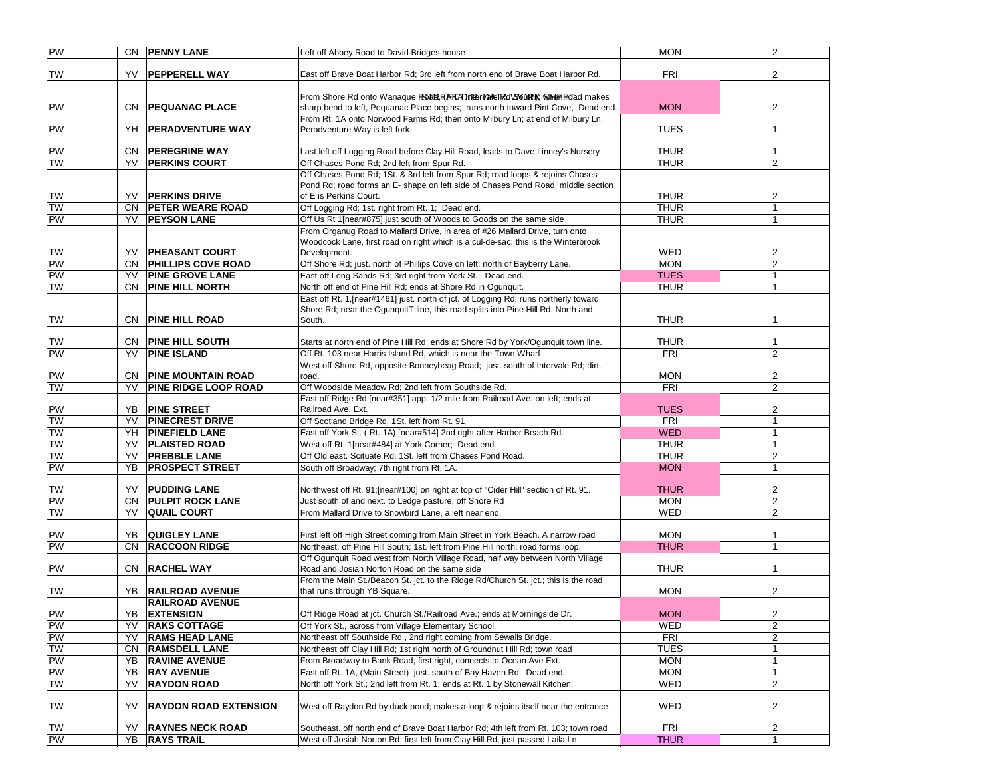| <b>PW</b>       |            | CN   PENNY LANE                                     | Left off Abbey Road to David Bridges house                                                                                                | <b>MON</b>               | $\overline{2}$      |
|-----------------|------------|-----------------------------------------------------|-------------------------------------------------------------------------------------------------------------------------------------------|--------------------------|---------------------|
|                 |            |                                                     |                                                                                                                                           |                          |                     |
| TW              |            | YV <b>PEPPERELL WAY</b>                             | East off Brave Boat Harbor Rd; 3rd left from north end of Brave Boat Harbor Rd.                                                           | <b>FRI</b>               | 2                   |
|                 |            |                                                     |                                                                                                                                           |                          |                     |
|                 |            |                                                     | From Shore Rd onto Wanaque FSGBR日AFAPINRerDARTRdVSVQDRMK SHHt日面Gad makes                                                                  |                          |                     |
| PW              |            | CN   PEQUANAC PLACE                                 | sharp bend to left, Pequanac Place begins; runs north toward Pint Cove, Dead end.                                                         | <b>MON</b>               | 2                   |
| PW              |            | YH   PERADVENTURE WAY                               | From Rt. 1A onto Norwood Farms Rd; then onto Milbury Ln; at end of Milbury Ln,                                                            | <b>TUES</b>              | 1                   |
|                 |            |                                                     | Peradventure Way is left fork.                                                                                                            |                          |                     |
| <b>PW</b>       |            | <b>CN PEREGRINE WAY</b>                             | Last left off Logging Road before Clay Hill Road, leads to Dave Linney's Nursery                                                          | <b>THUR</b>              | 1                   |
| <b>TW</b>       | YV         | <b>PERKINS COURT</b>                                | Off Chases Pond Rd; 2nd left from Spur Rd.                                                                                                | <b>THUR</b>              | $\overline{2}$      |
|                 |            |                                                     | Off Chases Pond Rd; 1St. & 3rd left from Spur Rd; road loops & rejoins Chases                                                             |                          |                     |
|                 |            |                                                     | Pond Rd; road forms an E- shape on left side of Chases Pond Road; middle section                                                          |                          |                     |
| TW              | YV         | <b>PERKINS DRIVE</b>                                | of E is Perkins Court.                                                                                                                    | <b>THUR</b>              | 2                   |
| <b>TW</b>       | <b>CN</b>  | <b>PETER WEARE ROAD</b>                             | Off Logging Rd; 1st. right from Rt. 1; Dead end.                                                                                          | <b>THUR</b>              | $\mathbf{1}$        |
| <b>PW</b>       | YV         | <b>PEYSON LANE</b>                                  | Off Us Rt 1[near#875] just south of Woods to Goods on the same side                                                                       | <b>THUR</b>              | 1                   |
|                 |            |                                                     | From Organug Road to Mallard Drive, in area of #26 Mallard Drive, turn onto                                                               |                          |                     |
|                 |            |                                                     | Woodcock Lane, first road on right which is a cul-de-sac; this is the Winterbrook                                                         |                          |                     |
| <b>TW</b><br>PW | YV.<br>CN. | <b>PHEASANT COURT</b>                               | Development.                                                                                                                              | <b>WED</b><br><b>MON</b> | 2<br>$\overline{2}$ |
| <b>PW</b>       | YV         | <b>PHILLIPS COVE ROAD</b><br><b>PINE GROVE LANE</b> | Off Shore Rd; just. north of Phillips Cove on left; north of Bayberry Lane.<br>East off Long Sands Rd; 3rd right from York St.; Dead end. | <b>TUES</b>              | $\mathbf{1}$        |
| TW              | CN.        | <b>PINE HILL NORTH</b>                              | North off end of Pine Hill Rd; ends at Shore Rd in Ogunquit.                                                                              | <b>THUR</b>              | 1                   |
|                 |            |                                                     | East off Rt. 1, [near#1461] just. north of jct. of Logging Rd; runs northerly toward                                                      |                          |                     |
|                 |            |                                                     | Shore Rd; near the OgunguitT line, this road splits into Pine Hill Rd. North and                                                          |                          |                     |
| TW              |            | CN   PINE HILL ROAD                                 | South.                                                                                                                                    | <b>THUR</b>              | 1                   |
|                 |            |                                                     |                                                                                                                                           |                          |                     |
| <b>TW</b>       | CN.        | <b>PINE HILL SOUTH</b>                              | Starts at north end of Pine Hill Rd; ends at Shore Rd by York/Ogunquit town line.                                                         | <b>THUR</b>              | 1                   |
| <b>PW</b>       | YV         | <b>PINE ISLAND</b>                                  | Off Rt. 103 near Harris Island Rd, which is near the Town Wharf                                                                           | <b>FRI</b>               | $\overline{2}$      |
|                 |            |                                                     | West off Shore Rd, opposite Bonneybeag Road; just. south of Intervale Rd; dirt.                                                           |                          |                     |
| PW              | CN.        | <b>PINE MOUNTAIN ROAD</b>                           | road.                                                                                                                                     | <b>MON</b>               | 2                   |
| <b>TW</b>       | YV         | <b>PINE RIDGE LOOP ROAD</b>                         | Off Woodside Meadow Rd: 2nd left from Southside Rd.                                                                                       | <b>FRI</b>               | $\overline{2}$      |
|                 |            |                                                     | East off Ridge Rd; [near#351] app. 1/2 mile from Railroad Ave. on left; ends at<br>Railroad Ave. Ext.                                     | <b>TUES</b>              |                     |
| PW<br><b>TW</b> | YB.<br>YV  | <b>PINE STREET</b><br><b>PINECREST DRIVE</b>        | Off Scotland Bridge Rd; 1St. left from Rt. 91                                                                                             | <b>FRI</b>               | 2<br>$\mathbf{1}$   |
| <b>TW</b>       | YH         | <b>PINEFIELD LANE</b>                               | East off York St. (Rt. 1A), [near#514] 2nd right after Harbor Beach Rd.                                                                   | <b>WED</b>               | $\mathbf{1}$        |
| <b>TW</b>       | YV         | <b>PLAISTED ROAD</b>                                | West off Rt. 1[near#484] at York Corner; Dead end.                                                                                        | <b>THUR</b>              | $\mathbf{1}$        |
| <b>TW</b>       | YV         | <b>PREBBLE LANE</b>                                 | Off Old east. Scituate Rd; 1St. left from Chases Pond Road.                                                                               | <b>THUR</b>              | $\overline{2}$      |
| <b>PW</b>       | YB         | <b>PROSPECT STREET</b>                              | South off Broadway; 7th right from Rt. 1A.                                                                                                | <b>MON</b>               | $\mathbf{1}$        |
|                 |            |                                                     |                                                                                                                                           |                          |                     |
| <b>TW</b>       | YV         | <b>PUDDING LANE</b>                                 | Northwest off Rt. 91; [near#100] on right at top of "Cider Hill" section of Rt. 91.                                                       | <b>THUR</b>              | $\overline{c}$      |
| <b>PW</b>       | CN.        | <b>PULPIT ROCK LANE</b>                             | Just south of and next. to Ledge pasture, off Shore Rd                                                                                    | <b>MON</b>               | $\overline{2}$      |
| TW              | YV         | <b>QUAIL COURT</b>                                  | From Mallard Drive to Snowbird Lane, a left near end.                                                                                     | <b>WED</b>               | $\overline{2}$      |
|                 |            |                                                     |                                                                                                                                           |                          |                     |
| PW              | YB.        | <b>QUIGLEY LANE</b>                                 | First left off High Street coming from Main Street in York Beach. A narrow road                                                           | <b>MON</b>               | 1                   |
| <b>PW</b>       | CN.        | <b>RACCOON RIDGE</b>                                | Northeast. off Pine Hill South; 1st. left from Pine Hill north; road forms loop.                                                          | <b>THUR</b>              | $\mathbf{1}$        |
| PW              |            | CN RACHEL WAY                                       | Off Ogunquit Road west from North Village Road, half way between North Village<br>Road and Josiah Norton Road on the same side            | <b>THUR</b>              | 1                   |
|                 |            |                                                     | From the Main St./Beacon St. jct. to the Ridge Rd/Church St. jct.; this is the road                                                       |                          |                     |
| TW              | YB.        | <b>RAILROAD AVENUE</b>                              | that runs through YB Square.                                                                                                              | <b>MON</b>               | $\overline{2}$      |
|                 |            | <b>RAILROAD AVENUE</b>                              |                                                                                                                                           |                          |                     |
| <b>PW</b>       |            | YB EXTENSION                                        | Off Ridge Road at jct. Church St./Railroad Ave.; ends at Morningside Dr.                                                                  | <b>MON</b>               | 2                   |
| <b>PW</b>       | YV         | <b>RAKS COTTAGE</b>                                 | Off York St., across from Village Elementary School.                                                                                      | WED                      | $\overline{2}$      |
| <b>PW</b>       | YV         | <b>RAMS HEAD LANE</b>                               | Northeast off Southside Rd., 2nd right coming from Sewalls Bridge.                                                                        | <b>FRI</b>               | 2                   |
| <b>TW</b>       | CN         | <b>RAMSDELL LANE</b>                                | Northeast off Clay Hill Rd; 1st right north of Groundnut Hill Rd; town road                                                               | <b>TUES</b>              | 1                   |
| PW              | YB         | <b>RAVINE AVENUE</b>                                | From Broadway to Bank Road, first right, connects to Ocean Ave Ext.                                                                       | <b>MON</b>               | 1                   |
| <b>PW</b>       | YB         | <b>RAY AVENUE</b>                                   | East off Rt. 1A, (Main Street) just. south of Bay Haven Rd; Dead end.                                                                     | <b>MON</b>               | 1                   |
| Ì               | YV         | <b>RAYDON ROAD</b>                                  | North off York St.; 2nd left from Rt. 1; ends at Rt. 1 by Stonewall Kitchen;                                                              | <b>WED</b>               | $\overline{2}$      |
|                 |            |                                                     |                                                                                                                                           |                          |                     |
| TW              | YV         | <b>RAYDON ROAD EXTENSION</b>                        | West off Raydon Rd by duck pond; makes a loop & rejoins itself near the entrance.                                                         | WED                      | $\overline{2}$      |
|                 | YV         |                                                     | Southeast. off north end of Brave Boat Harbor Rd; 4th left from Rt. 103; town road                                                        | FRI                      |                     |
| TW<br>PW        |            | <b>RAYNES NECK ROAD</b><br>YB   RAYS TRAIL          | West off Josiah Norton Rd; first left from Clay Hill Rd, just passed Laila Ln                                                             | <b>THUR</b>              | 2<br>$\overline{1}$ |
|                 |            |                                                     |                                                                                                                                           |                          |                     |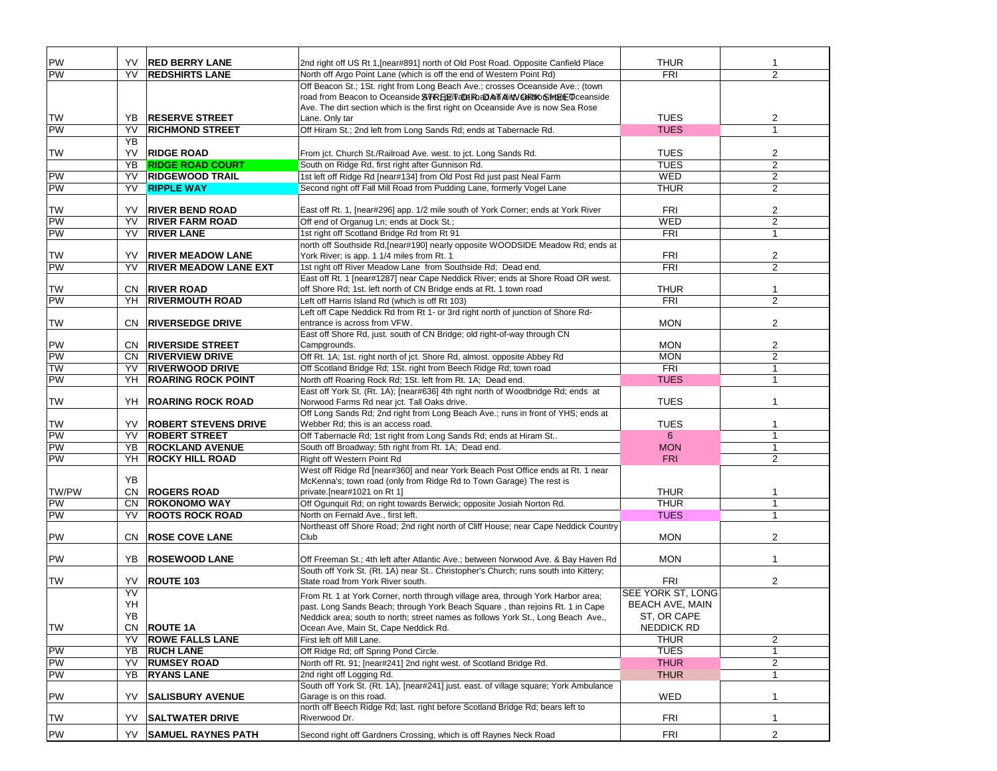| PW        | YV.       | <b>RED BERRY LANE</b>        | 2nd right off US Rt 1, [near#891] north of Old Post Road. Opposite Canfield Place                                                                                 | <b>THUR</b>            |                |
|-----------|-----------|------------------------------|-------------------------------------------------------------------------------------------------------------------------------------------------------------------|------------------------|----------------|
| PW        | YV        | <b>REDSHIRTS LANE</b>        | North off Argo Point Lane (which is off the end of Western Point Rd)                                                                                              | <b>FRI</b>             | $\overline{2}$ |
|           |           |                              | Off Beacon St.; 1St. right from Long Beach Ave.; crosses Oceanside Ave.; (town<br>Ave. The dirt section which is the first right on Oceanside Ave is now Sea Rose |                        |                |
| TW        | YB        | <b>RESERVE STREET</b>        | Lane. Only tar                                                                                                                                                    | <b>TUES</b>            | 2              |
| PW        | YV        | <b>RICHMOND STREET</b>       | Off Hiram St.; 2nd left from Long Sands Rd; ends at Tabernacle Rd.                                                                                                | <b>TUES</b>            | $\overline{1}$ |
|           | <b>YB</b> |                              |                                                                                                                                                                   |                        |                |
| TW        | YV        | <b>RIDGE ROAD</b>            | From jct. Church St./Railroad Ave. west. to jct. Long Sands Rd.                                                                                                   | <b>TUES</b>            | 2              |
|           | YB        | <b>RIDGE ROAD COURT</b>      | South on Ridge Rd, first right after Gunnison Rd.                                                                                                                 | <b>TUES</b>            | 2              |
| <b>PW</b> | YV        | <b>RIDGEWOOD TRAIL</b>       | 1st left off Ridge Rd [near#134] from Old Post Rd just past Neal Farm                                                                                             | <b>WED</b>             | 2              |
| <b>PW</b> | YV        | <b>RIPPLE WAY</b>            | Second right off Fall Mill Road from Pudding Lane, formerly Vogel Lane                                                                                            | <b>THUR</b>            | 2              |
|           |           |                              |                                                                                                                                                                   |                        |                |
| TW        | YV        | <b>RIVER BEND ROAD</b>       | East off Rt. 1, [near#296] app. 1/2 mile south of York Corner; ends at York River                                                                                 | <b>FRI</b>             | 2              |
| PW        | YV        | <b>RIVER FARM ROAD</b>       | Off end of Organug Ln; ends at Dock St.;                                                                                                                          | <b>WED</b>             | 2              |
| PW        | YV        | <b>RIVER LANE</b>            | 1st right off Scotland Bridge Rd from Rt 91<br>north off Southside Rd, [near#190] nearly opposite WOODSIDE Meadow Rd; ends at                                     | <b>FRI</b>             | $\mathbf{1}$   |
| TW        | YV        | <b>RIVER MEADOW LANE</b>     | York River; is app. 1 1/4 miles from Rt. 1                                                                                                                        | <b>FRI</b>             | $\overline{2}$ |
| <b>PW</b> | YV        | <b>RIVER MEADOW LANE EXT</b> | 1st right off River Meadow Lane from Southside Rd; Dead end.                                                                                                      | <b>FRI</b>             | 2              |
|           |           |                              | East off Rt. 1 [near#1287] near Cape Neddick River; ends at Shore Road OR west.                                                                                   |                        |                |
| TW        | CN.       | <b>RIVER ROAD</b>            | off Shore Rd; 1st. left north of CN Bridge ends at Rt. 1 town road                                                                                                | <b>THUR</b>            | $\mathbf 1$    |
| <b>PW</b> | YH        | <b>RIVERMOUTH ROAD</b>       | Left off Harris Island Rd (which is off Rt 103)                                                                                                                   | <b>FRI</b>             | 2              |
| TW        | CN.       | <b>RIVERSEDGE DRIVE</b>      | Left off Cape Neddick Rd from Rt 1- or 3rd right north of junction of Shore Rd-<br>entrance is across from VFW.                                                   | <b>MON</b>             | 2              |
|           |           |                              | East off Shore Rd, just. south of CN Bridge; old right-of-way through CN                                                                                          |                        |                |
| PW        | CN.       | <b>RIVERSIDE STREET</b>      | Campgrounds.                                                                                                                                                      | <b>MON</b>             | 2              |
| PW        | CN.       | <b>RIVERVIEW DRIVE</b>       | Off Rt. 1A; 1st. right north of jct. Shore Rd, almost. opposite Abbey Rd                                                                                          | <b>MON</b>             | 2              |
| TW        | YV        | <b>RIVERWOOD DRIVE</b>       | Off Scotland Bridge Rd; 1St. right from Beech Ridge Rd; town road                                                                                                 | <b>FRI</b>             | $\mathbf{1}$   |
| PW        | YH        | <b>ROARING ROCK POINT</b>    | North off Roaring Rock Rd; 1St. left from Rt. 1A; Dead end.                                                                                                       | <b>TUES</b>            | $\mathbf{1}$   |
|           |           |                              | East off York St. (Rt. 1A); [near#636] 4th right north of Woodbridge Rd; ends at                                                                                  |                        |                |
| TW        | YH        | <b>ROARING ROCK ROAD</b>     | Norwood Farms Rd near jct. Tall Oaks drive.                                                                                                                       | <b>TUES</b>            | $\overline{1}$ |
| <b>TW</b> | YV        | <b>ROBERT STEVENS DRIVE</b>  | Off Long Sands Rd; 2nd right from Long Beach Ave.; runs in front of YHS; ends at<br>Webber Rd; this is an access road.                                            | <b>TUES</b>            | 1              |
| PW        | YV        | <b>ROBERT STREET</b>         | Off Tabernacle Rd; 1st right from Long Sands Rd; ends at Hiram St                                                                                                 | $6^{\circ}$            | $\mathbf{1}$   |
| <b>PW</b> | YB        | <b>ROCKLAND AVENUE</b>       | South off Broadway; 5th right from Rt. 1A; Dead end.                                                                                                              | <b>MON</b>             | $\mathbf{1}$   |
| <b>PW</b> | YH        | <b>ROCKY HILL ROAD</b>       | Right off Western Point Rd                                                                                                                                        | <b>FRI</b>             | $\overline{2}$ |
|           | YB        |                              | West off Ridge Rd [near#360] and near York Beach Post Office ends at Rt. 1 near<br>McKenna's; town road (only from Ridge Rd to Town Garage) The rest is           |                        |                |
| TW/PW     | CN        | <b>ROGERS ROAD</b>           | private.[near#1021 on Rt 1]                                                                                                                                       | <b>THUR</b>            |                |
| PW        | <b>CN</b> | <b>ROKONOMO WAY</b>          | Off Ogunquit Rd; on right towards Berwick; opposite Josiah Norton Rd.                                                                                             | <b>THUR</b>            | $\mathbf{1}$   |
| PW        | YV        | <b>ROOTS ROCK ROAD</b>       | North on Fernald Ave., first left.                                                                                                                                | <b>TUES</b>            | $\mathbf{1}$   |
|           |           |                              | Northeast off Shore Road; 2nd right north of Cliff House; near Cape Neddick Country                                                                               |                        |                |
| PW        | CN.       | <b>ROSE COVE LANE</b>        | Club                                                                                                                                                              | <b>MON</b>             | $\overline{2}$ |
| PW        | YB        | <b>ROSEWOOD LANE</b>         | Off Freeman St.; 4th left after Atlantic Ave.; between Norwood Ave. & Bay Haven Rd                                                                                | <b>MON</b>             |                |
|           |           |                              | South off York St. (Rt. 1A) near St Christopher's Church; runs south into Kittery;                                                                                |                        |                |
| <b>TW</b> | YV        | <b>ROUTE 103</b>             | State road from York River south.                                                                                                                                 | <b>FRI</b>             | 2              |
|           | YV        |                              | From Rt. 1 at York Corner, north through village area, through York Harbor area;                                                                                  | SEE YORK ST, LONG      |                |
|           | YH        |                              | past. Long Sands Beach; through York Beach Square, than rejoins Rt. 1 in Cape                                                                                     | <b>BEACH AVE, MAIN</b> |                |
|           | YB        |                              | Neddick area; south to north; street names as follows York St., Long Beach Ave.,                                                                                  | ST, OR CAPE            |                |
| <b>TW</b> | CN        | <b>ROUTE 1A</b>              | Ocean Ave, Main St, Cape Neddick Rd.                                                                                                                              | NEDDICK RD             |                |
|           | YV        | <b>ROWE FALLS LANE</b>       | First left off Mill Lane.                                                                                                                                         | <b>THUR</b>            | $\overline{2}$ |
| <b>PW</b> | YB        | <b>RUCH LANE</b>             | Off Ridge Rd; off Spring Pond Circle.                                                                                                                             | <b>TUES</b>            | 1              |
| <b>PW</b> | YV        | <b>RUMSEY ROAD</b>           | North off Rt. 91; [near#241] 2nd right west. of Scotland Bridge Rd.                                                                                               | <b>THUR</b>            | $\overline{2}$ |
| PW        | YB        | <b>RYANS LANE</b>            | 2nd right off Logging Rd.<br>South off York St. (Rt. 1A), [near#241] just. east. of village square; York Ambulance                                                | <b>THUR</b>            | $\mathbf{1}$   |
| PW        | YV        | <b>SALISBURY AVENUE</b>      | Garage is on this road.                                                                                                                                           | WED                    | $\mathbf{1}$   |
|           |           |                              | north off Beech Ridge Rd; last. right before Scotland Bridge Rd; bears left to                                                                                    |                        |                |
| TW        | YV        | <b>SALTWATER DRIVE</b>       | Riverwood Dr.                                                                                                                                                     | <b>FRI</b>             | $\mathbf{1}$   |
| <b>PW</b> | YV        | <b>SAMUEL RAYNES PATH</b>    | Second right off Gardners Crossing, which is off Raynes Neck Road                                                                                                 | <b>FRI</b>             | $\overline{2}$ |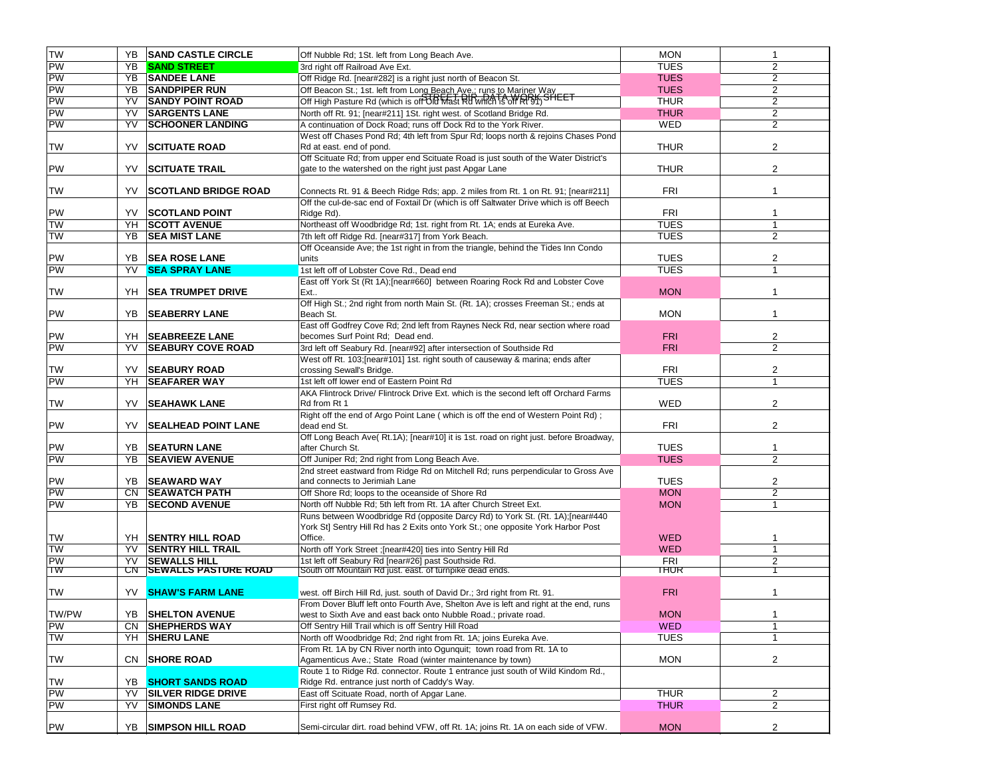| <b>TW</b> | YB.            | <b>SAND CASTLE CIRCLE</b>   | Off Nubble Rd; 1St. left from Long Beach Ave.                                                                                                                      | <b>MON</b>  | $\mathbf{1}$            |
|-----------|----------------|-----------------------------|--------------------------------------------------------------------------------------------------------------------------------------------------------------------|-------------|-------------------------|
| PW        | YB             | <b>SAND STREET</b>          | 3rd right off Railroad Ave Ext.                                                                                                                                    | <b>TUES</b> | $\overline{2}$          |
| PW        | YB             | <b>SANDEE LANE</b>          | Off Ridge Rd. [near#282] is a right just north of Beacon St.                                                                                                       | <b>TUES</b> | 2                       |
| PW        | YB             | <b>SANDPIPER RUN</b>        | Off Beacon St.; 1st. left from Long Beach Ave.; runs to Mariner Way                                                                                                | <b>TUES</b> | 2                       |
| <b>PW</b> | YV             | <b>SANDY POINT ROAD</b>     | Off High Pasture Rd (which is off Old Mast Rd WARTA WARK SHEET                                                                                                     | <b>THUR</b> | 2                       |
| <b>PW</b> | YV             | <b>SARGENTS LANE</b>        | North off Rt. 91; [near#211] 1St. right west. of Scotland Bridge Rd.                                                                                               | <b>THUR</b> | $\overline{c}$          |
| <b>PW</b> | YV             | <b>SCHOONER LANDING</b>     | A continuation of Dock Road; runs off Dock Rd to the York River.                                                                                                   | WED         | $\overline{2}$          |
| TW        | YV             | <b>SCITUATE ROAD</b>        | West off Chases Pond Rd; 4th left from Spur Rd; loops north & rejoins Chases Pond<br>Rd at east. end of pond.                                                      | <b>THUR</b> | 2                       |
|           |                |                             | Off Scituate Rd; from upper end Scituate Road is just south of the Water District's                                                                                |             |                         |
| PW        | YV             | SCITUATE TRAIL              | gate to the watershed on the right just past Apgar Lane                                                                                                            | <b>THUR</b> | $\overline{2}$          |
| TW        | YV             | <b>SCOTLAND BRIDGE ROAD</b> | Connects Rt. 91 & Beech Ridge Rds; app. 2 miles from Rt. 1 on Rt. 91; [near#211]                                                                                   | <b>FRI</b>  | $\overline{1}$          |
| PW        | YV.            | <b>SCOTLAND POINT</b>       | Off the cul-de-sac end of Foxtail Dr (which is off Saltwater Drive which is off Beech<br>Ridge Rd).                                                                | <b>FRI</b>  | $\mathbf{1}$            |
| <b>NL</b> | YH             | <b>SCOTT AVENUE</b>         | Northeast off Woodbridge Rd; 1st. right from Rt. 1A; ends at Eureka Ave.                                                                                           | <b>TUES</b> | $\mathbf{1}$            |
| <b>TW</b> | YB             | <b>SEA MIST LANE</b>        | 7th left off Ridge Rd. [near#317] from York Beach.                                                                                                                 | <b>TUES</b> | $\overline{2}$          |
|           |                |                             | Off Oceanside Ave; the 1st right in from the triangle, behind the Tides Inn Condo                                                                                  |             |                         |
| PW        |                | YB SEA ROSE LANE            | units                                                                                                                                                              | <b>TUES</b> | $\overline{2}$          |
| <b>PW</b> | YV             | <b>SEA SPRAY LANE</b>       | 1st left off of Lobster Cove Rd., Dead end                                                                                                                         | <b>TUES</b> | 1                       |
| TW        | YH             | <b>SEA TRUMPET DRIVE</b>    | East off York St (Rt 1A);[near#660] between Roaring Rock Rd and Lobster Cove<br>Ext                                                                                | <b>MON</b>  | $\overline{1}$          |
| PW        | YB             | <b>SEABERRY LANE</b>        | Off High St.; 2nd right from north Main St. (Rt. 1A); crosses Freeman St.; ends at<br>Beach St.                                                                    | <b>MON</b>  | -1                      |
|           |                |                             | East off Godfrey Cove Rd; 2nd left from Raynes Neck Rd, near section where road                                                                                    |             |                         |
| <b>PW</b> | YH             | <b>SEABREEZE LANE</b>       | becomes Surf Point Rd; Dead end.                                                                                                                                   | <b>FRI</b>  | $\overline{c}$          |
| <b>PW</b> | YV             | <b>SEABURY COVE ROAD</b>    | 3rd left off Seabury Rd. [near#92] after intersection of Southside Rd                                                                                              | <b>FRI</b>  | $\overline{2}$          |
|           |                |                             | West off Rt. 103; [near#101] 1st. right south of causeway & marina; ends after                                                                                     |             |                         |
| <b>TW</b> | YV.            | <b>SEABURY ROAD</b>         | crossing Sewall's Bridge.                                                                                                                                          | <b>FRI</b>  | $\overline{\mathbf{c}}$ |
| <b>PW</b> | YH             | <b>SEAFARER WAY</b>         | 1st left off lower end of Eastern Point Rd                                                                                                                         | <b>TUES</b> | $\overline{1}$          |
| TW        | YV             | <b>SEAHAWK LANE</b>         | AKA Flintrock Drive/ Flintrock Drive Ext. which is the second left off Orchard Farms<br>Rd from Rt 1                                                               | WED         | $\overline{c}$          |
|           |                |                             | Right off the end of Argo Point Lane (which is off the end of Western Point Rd);                                                                                   |             |                         |
| PW        | YV             | <b>SEALHEAD POINT LANE</b>  | dead end St.                                                                                                                                                       | <b>FRI</b>  | $\overline{2}$          |
| PW        | YB             | <b>SEATURN LANE</b>         | Off Long Beach Ave(Rt.1A); [near#10] it is 1st. road on right just. before Broadway,<br>after Church St.                                                           | <b>TUES</b> | 1                       |
| PW        | YB             | <b>SEAVIEW AVENUE</b>       | Off Juniper Rd; 2nd right from Long Beach Ave.                                                                                                                     | <b>TUES</b> | $\overline{2}$          |
|           |                |                             | 2nd street eastward from Ridge Rd on Mitchell Rd; runs perpendicular to Gross Ave                                                                                  |             |                         |
| PW        | YB.            | <b>SEAWARD WAY</b>          | and connects to Jerimiah Lane                                                                                                                                      | <b>TUES</b> | 2                       |
| PW        | CN.            | <b>SEAWATCH PATH</b>        | Off Shore Rd; loops to the oceanside of Shore Rd                                                                                                                   | <b>MON</b>  | $\overline{2}$          |
| <b>PW</b> | YB             | <b>SECOND AVENUE</b>        | North off Nubble Rd; 5th left from Rt. 1A after Church Street Ext.                                                                                                 | <b>MON</b>  | $\mathbf{1}$            |
|           |                |                             | Runs between Woodbridge Rd (opposite Darcy Rd) to York St. (Rt. 1A); [near#440<br>York St] Sentry Hill Rd has 2 Exits onto York St.; one opposite York Harbor Post |             |                         |
| TW        |                | YH SENTRY HILL ROAD         | Office.                                                                                                                                                            | <b>WED</b>  | -1                      |
| TW        | YV             | <b>SENTRY HILL TRAIL</b>    | North off York Street ; [near#420] ties into Sentry Hill Rd                                                                                                        | <b>WED</b>  | $\mathbf{1}$            |
| <b>PW</b> | YV             | <b>SEWALLS HILL</b>         | 1st left off Seabury Rd [near#26] past Southside Rd.                                                                                                               | <b>FRI</b>  | 2                       |
| TW        | C <sub>N</sub> | <b>SEWALLS PASTURE ROAD</b> | South off Mountain Rd just. east. of turnpike dead ends.                                                                                                           | THUR        |                         |
| <b>TW</b> |                | <b>YV SHAW'S FARM LANE</b>  | west. off Birch Hill Rd, just. south of David Dr.; 3rd right from Rt. 91.                                                                                          | <b>FRI</b>  | $\overline{\mathbf{1}}$ |
|           |                |                             | From Dover Bluff left onto Fourth Ave, Shelton Ave is left and right at the end, runs                                                                              |             |                         |
| TW/PW     | YB             | <b>SHELTON AVENUE</b>       | west to Sixth Ave and east back onto Nubble Road.; private road.                                                                                                   | <b>MON</b>  | $\mathbf{1}$            |
| PW        | CN.            | <b>SHEPHERDS WAY</b>        | Off Sentry Hill Trail which is off Sentry Hill Road                                                                                                                | <b>WED</b>  | $\mathbf{1}$            |
| <b>TW</b> | YH             | <b>SHERU LANE</b>           | North off Woodbridge Rd; 2nd right from Rt. 1A; joins Eureka Ave.                                                                                                  | <b>TUES</b> | $\mathbf{1}$            |
|           |                |                             | From Rt. 1A by CN River north into Ogunquit; town road from Rt. 1A to                                                                                              |             |                         |
| <b>TW</b> |                | CN SHORE ROAD               | Agamenticus Ave.; State Road (winter maintenance by town)                                                                                                          | <b>MON</b>  | 2                       |
| <b>TW</b> | YB.            | <b>SHORT SANDS ROAD</b>     | Route 1 to Ridge Rd. connector. Route 1 entrance just south of Wild Kindom Rd.,<br>Ridge Rd. entrance just north of Caddy's Way.                                   |             |                         |
| PW        | YV             | <b>SILVER RIDGE DRIVE</b>   | East off Scituate Road, north of Apgar Lane.                                                                                                                       | <b>THUR</b> | $\overline{2}$          |
| <b>PW</b> | YV             | <b>SIMONDS LANE</b>         | First right off Rumsey Rd.                                                                                                                                         | <b>THUR</b> | $\overline{c}$          |
|           |                |                             |                                                                                                                                                                    |             |                         |
| PW        |                | YB SIMPSON HILL ROAD        | Semi-circular dirt. road behind VFW, off Rt. 1A; joins Rt. 1A on each side of VFW.                                                                                 | <b>MON</b>  | 2                       |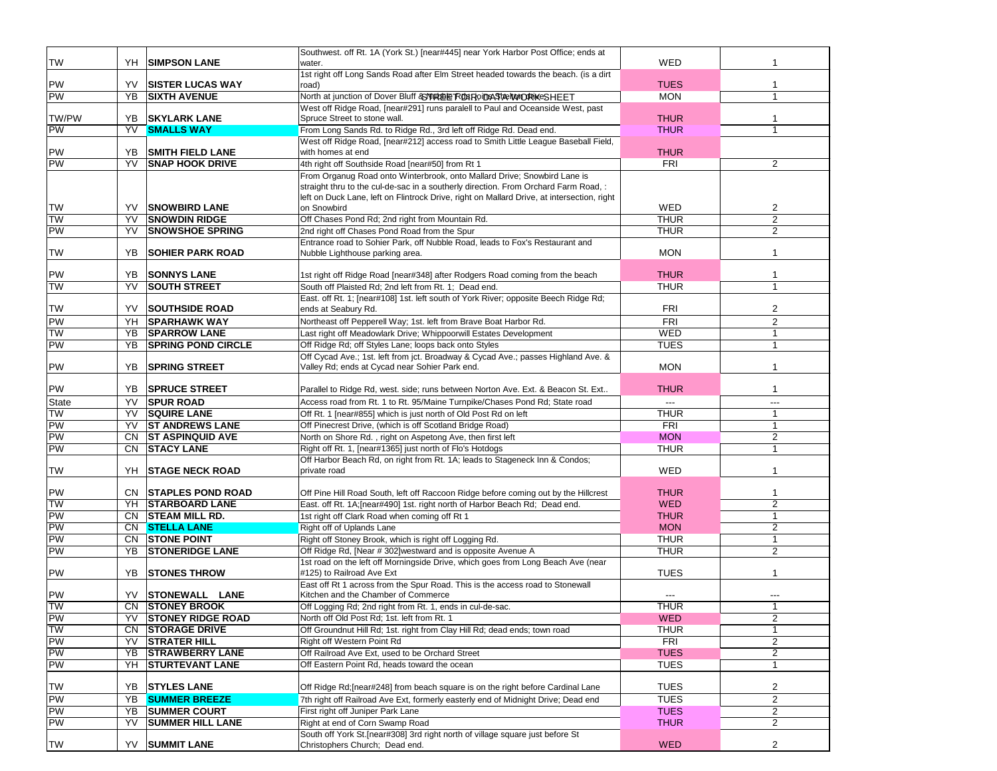| <b>TW</b> | YH  | <b>ISIMPSON LANE</b>      | Southwest. off Rt. 1A (York St.) [near#445] near York Harbor Post Office; ends at<br>water. | WED            |                |
|-----------|-----|---------------------------|---------------------------------------------------------------------------------------------|----------------|----------------|
|           |     |                           | 1st right off Long Sands Road after Elm Street headed towards the beach. (is a dirt         |                |                |
| PW        | YV  | <b>ISISTER LUCAS WAY</b>  | road)                                                                                       | <b>TUES</b>    | 1              |
| PW        | YB  | <b>SIXTH AVENUE</b>       | North at junction of Dover Bluff & WIRE ER DIRODASTA NORIKE SHEET                           | <b>MON</b>     | $\mathbf{1}$   |
|           |     |                           | West off Ridge Road, [near#291] runs paralell to Paul and Oceanside West, past              |                |                |
| TW/PW     | YB. | <b>SKYLARK LANE</b>       | Spruce Street to stone wall.                                                                | <b>THUR</b>    | $\mathbf 1$    |
| PW        | YV  | <b>SMALLS WAY</b>         | From Long Sands Rd. to Ridge Rd., 3rd left off Ridge Rd. Dead end.                          | <b>THUR</b>    |                |
|           |     |                           | West off Ridge Road, [near#212] access road to Smith Little League Baseball Field,          |                |                |
|           | YB  | <b>SMITH FIELD LANE</b>   | with homes at end                                                                           | <b>THUR</b>    |                |
| PW<br>PW  | YV  | <b>SNAP HOOK DRIVE</b>    | 4th right off Southside Road [near#50] from Rt 1                                            | <b>FRI</b>     | 2              |
|           |     |                           | From Organug Road onto Winterbrook, onto Mallard Drive; Snowbird Lane is                    |                |                |
|           |     |                           | straight thru to the cul-de-sac in a southerly direction. From Orchard Farm Road, :         |                |                |
|           |     |                           | left on Duck Lane, left on Flintrock Drive, right on Mallard Drive, at intersection, right  |                |                |
| <b>TW</b> | YV  | <b>SNOWBIRD LANE</b>      | on Snowbird                                                                                 | WED            | 2              |
| <b>TW</b> | YV  | <b>SNOWDIN RIDGE</b>      | Off Chases Pond Rd; 2nd right from Mountain Rd.                                             | <b>THUR</b>    | 2              |
| PW        | YV  | <b>SNOWSHOE SPRING</b>    | 2nd right off Chases Pond Road from the Spur                                                | <b>THUR</b>    | $\overline{2}$ |
|           |     |                           | Entrance road to Sohier Park, off Nubble Road, leads to Fox's Restaurant and                |                |                |
| TW        | YB  | <b>SOHIER PARK ROAD</b>   | Nubble Lighthouse parking area.                                                             | <b>MON</b>     | -1             |
|           |     |                           |                                                                                             |                |                |
| PW        | YB  | <b>SONNYS LANE</b>        | 1st right off Ridge Road [near#348] after Rodgers Road coming from the beach                | <b>THUR</b>    | $\mathbf 1$    |
| <b>TW</b> | YV  | <b>SOUTH STREET</b>       | South off Plaisted Rd; 2nd left from Rt. 1; Dead end.                                       | <b>THUR</b>    | 1              |
|           |     |                           | East. off Rt. 1; [near#108] 1st. left south of York River; opposite Beech Ridge Rd;         |                |                |
| <b>TW</b> | YV  | <b>SOUTHSIDE ROAD</b>     | ends at Seabury Rd.                                                                         | <b>FRI</b>     | $\overline{2}$ |
| PW        | YH  | <b>SPARHAWK WAY</b>       | Northeast off Pepperell Way; 1st. left from Brave Boat Harbor Rd.                           | <b>FRI</b>     | 2              |
| <b>TW</b> | YB  | <b>SPARROW LANE</b>       | Last right off Meadowlark Drive; Whippoorwill Estates Development                           | <b>WED</b>     | $\mathbf{1}$   |
| PW        | YB  | <b>SPRING POND CIRCLE</b> | Off Ridge Rd; off Styles Lane; loops back onto Styles                                       | <b>TUES</b>    | $\mathbf{1}$   |
|           |     |                           | Off Cycad Ave.; 1st. left from jct. Broadway & Cycad Ave.; passes Highland Ave. &           |                |                |
| PW        | YB  | <b>SPRING STREET</b>      | Valley Rd; ends at Cycad near Sohier Park end.                                              | <b>MON</b>     | $\mathbf{1}$   |
|           |     |                           |                                                                                             |                |                |
| PW        | YB  | <b>SPRUCE STREET</b>      | Parallel to Ridge Rd, west. side; runs between Norton Ave. Ext. & Beacon St. Ext            | <b>THUR</b>    | $\mathbf{1}$   |
| State     | YV  | <b>SPUR ROAD</b>          | Access road from Rt. 1 to Rt. 95/Maine Turnpike/Chases Pond Rd; State road                  | $\overline{a}$ | ---            |
| <b>TW</b> | YV  | <b>SQUIRE LANE</b>        | Off Rt. 1 [near#855] which is just north of Old Post Rd on left                             | <b>THUR</b>    | $\mathbf{1}$   |
| PW        | YV  | <b>ST ANDREWS LANE</b>    | Off Pinecrest Drive, (which is off Scotland Bridge Road)                                    | <b>FRI</b>     | 1              |
| PW        | CN  | <b>ST ASPINQUID AVE</b>   | North on Shore Rd., right on Aspetong Ave, then first left                                  | <b>MON</b>     | $\overline{c}$ |
| PW        | CN  | <b>STACY LANE</b>         | Right off Rt. 1, [near#1365] just north of Flo's Hotdogs                                    | <b>THUR</b>    | $\mathbf{1}$   |
|           |     |                           | Off Harbor Beach Rd, on right from Rt. 1A; leads to Stageneck Inn & Condos;                 |                |                |
| <b>TW</b> | YH  | <b>STAGE NECK ROAD</b>    | private road                                                                                | WED            | $\mathbf{1}$   |
| PW        |     | CN STAPLES POND ROAD      | Off Pine Hill Road South, left off Raccoon Ridge before coming out by the Hillcrest         | <b>THUR</b>    | 1              |
| <b>TW</b> |     | YH STARBOARD LANE         | East. off Rt. 1A; [near#490] 1st. right north of Harbor Beach Rd; Dead end.                 | <b>WED</b>     | $\overline{2}$ |
| PW        |     | CN STEAM MILL RD.         | 1st right off Clark Road when coming off Rt 1                                               | <b>THUR</b>    | $\mathbf{1}$   |
| PW        | CN. | <b>STELLA LANE</b>        | Right off of Uplands Lane                                                                   | <b>MON</b>     | $\overline{c}$ |
| PW        | CN. | <b>STONE POINT</b>        | Right off Stoney Brook, which is right off Logging Rd.                                      | <b>THUR</b>    | $\mathbf{1}$   |
| PW        | YB  | <b>STONERIDGE LANE</b>    | Off Ridge Rd, [Near # 302] westward and is opposite Avenue A                                | <b>THUR</b>    | $\overline{c}$ |
|           |     |                           | 1st road on the left off Morningside Drive, which goes from Long Beach Ave (near            |                |                |
| PW        | YB  | <b>STONES THROW</b>       | #125) to Railroad Ave Ext                                                                   | <b>TUES</b>    |                |
|           |     |                           | East off Rt 1 across from the Spur Road. This is the access road to Stonewall               |                |                |
| PW        | YV  | <b>STONEWALL LANE</b>     | Kitchen and the Chamber of Commerce                                                         |                |                |
| TW        |     | CN STONEY BROOK           | Off Logging Rd; 2nd right from Rt. 1, ends in cul-de-sac.                                   | <b>THUR</b>    | $\overline{1}$ |
| PW        | YV  | <b>STONEY RIDGE ROAD</b>  | North off Old Post Rd; 1st. left from Rt. 1                                                 | <b>WED</b>     | $\overline{2}$ |
| <b>TW</b> | CN  | <b>STORAGE DRIVE</b>      | Off Groundnut Hill Rd; 1st. right from Clay Hill Rd; dead ends; town road                   | <b>THUR</b>    | $\mathbf{1}$   |
| PW        | YV  | <b>STRATER HILL</b>       | Right off Western Point Rd                                                                  | <b>FRI</b>     | $\overline{2}$ |
| PW        | YΒ  | <b>STRAWBERRY LANE</b>    | Off Railroad Ave Ext, used to be Orchard Street                                             | <b>TUES</b>    | 2              |
| PW        | YH  | <b>STURTEVANT LANE</b>    | Off Eastern Point Rd, heads toward the ocean                                                | <b>TUES</b>    | $\mathbf{1}$   |
|           |     |                           |                                                                                             |                |                |
| <b>TW</b> | YB  | <b>STYLES LANE</b>        | Off Ridge Rd; [near#248] from beach square is on the right before Cardinal Lane             | <b>TUES</b>    | 2              |
| PW        | YB  | <b>SUMMER BREEZE</b>      | 7th right off Railroad Ave Ext, formerly easterly end of Midnight Drive; Dead end           | <b>TUES</b>    | $\overline{2}$ |
| PW        | YB  | <b>SUMMER COURT</b>       | First right off Juniper Park Lane                                                           | <b>TUES</b>    | $\overline{2}$ |
| PW        | YV  | <b>SUMMER HILL LANE</b>   | Right at end of Corn Swamp Road                                                             | <b>THUR</b>    | $\overline{2}$ |
|           |     |                           | South off York St. [near#308] 3rd right north of village square just before St              |                |                |
| <b>TW</b> |     | YV SUMMIT LANE            | Christophers Church; Dead end.                                                              | <b>WED</b>     | $\overline{2}$ |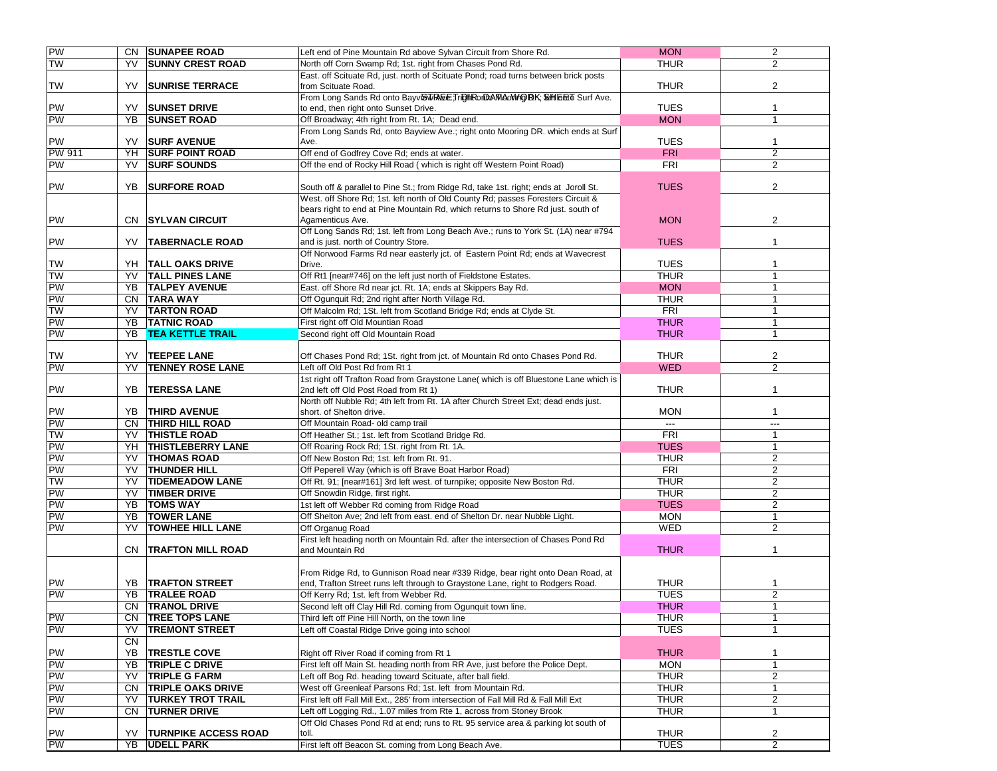| PW              |     | CN SUNAPEE ROAD             | Left end of Pine Mountain Rd above Sylvan Circuit from Shore Rd.                                       | <b>MON</b>     | $\overline{2}$                   |
|-----------------|-----|-----------------------------|--------------------------------------------------------------------------------------------------------|----------------|----------------------------------|
| <b>TW</b>       | YV  | <b>SUNNY CREST ROAD</b>     | North off Corn Swamp Rd; 1st. right from Chases Pond Rd.                                               | <b>THUR</b>    | 2                                |
|                 |     |                             | East. off Scituate Rd, just. north of Scituate Pond; road turns between brick posts                    |                |                                  |
| <b>TW</b>       | YV. | <b>SUNRISE TERRACE</b>      | from Scituate Road.                                                                                    | <b>THUR</b>    | $\overline{2}$                   |
|                 |     |                             | From Long Sands Rd onto Bayv@WREETriDthRonDAWAOWhOBK; @HIbEro Surf Ave.                                |                |                                  |
| PW              | YV  | <b>SUNSET DRIVE</b>         | to end, then right onto Sunset Drive.                                                                  | <b>TUES</b>    | 1                                |
| <b>PW</b>       | YB  | <b>SUNSET ROAD</b>          | Off Broadway; 4th right from Rt. 1A; Dead end.                                                         | <b>MON</b>     | $\mathbf{1}$                     |
|                 |     |                             | From Long Sands Rd, onto Bayview Ave.; right onto Mooring DR. which ends at Surf                       |                |                                  |
| PW              | YV  | <b>SURF AVENUE</b>          | Ave.                                                                                                   | <b>TUES</b>    | $\mathbf{1}$                     |
| <b>PW 911</b>   | YH  | <b>SURF POINT ROAD</b>      | Off end of Godfrey Cove Rd; ends at water.                                                             | <b>FRI</b>     | 2                                |
| <b>PW</b>       | YV  | <b>SURF SOUNDS</b>          | Off the end of Rocky Hill Road (which is right off Western Point Road)                                 | <b>FRI</b>     | 2                                |
|                 |     |                             |                                                                                                        |                |                                  |
| <b>PW</b>       | YB  | <b>SURFORE ROAD</b>         | South off & parallel to Pine St.; from Ridge Rd, take 1st. right; ends at Joroll St.                   | <b>TUES</b>    | 2                                |
|                 |     |                             | West. off Shore Rd; 1st. left north of Old County Rd; passes Foresters Circuit &                       |                |                                  |
| PW              |     |                             | bears right to end at Pine Mountain Rd, which returns to Shore Rd just. south of                       | <b>MON</b>     | $\overline{2}$                   |
|                 | CN. | <b>SYLVAN CIRCUIT</b>       | Agamenticus Ave.<br>Off Long Sands Rd; 1st. left from Long Beach Ave.; runs to York St. (1A) near #794 |                |                                  |
| <b>PW</b>       | YV  | <b>TABERNACLE ROAD</b>      | and is just. north of Country Store.                                                                   | <b>TUES</b>    | $\mathbf{1}$                     |
|                 |     |                             | Off Norwood Farms Rd near easterly jct. of Eastern Point Rd; ends at Wavecrest                         |                |                                  |
| <b>TW</b>       |     | YH   TALL OAKS DRIVE        | Drive.                                                                                                 | <b>TUES</b>    | 1                                |
| <b>TW</b>       | YV  | <b>TALL PINES LANE</b>      | Off Rt1 [near#746] on the left just north of Fieldstone Estates.                                       | <b>THUR</b>    | $\mathbf{1}$                     |
| PW              | YB  | <b>TALPEY AVENUE</b>        | East. off Shore Rd near jct. Rt. 1A; ends at Skippers Bay Rd.                                          | <b>MON</b>     | $\mathbf{1}$                     |
| PW              | CN. | <b>TARA WAY</b>             | Off Ogunquit Rd; 2nd right after North Village Rd.                                                     | <b>THUR</b>    | $\mathbf{1}$                     |
| <b>NL</b>       | YV  | <b>TARTON ROAD</b>          | Off Malcolm Rd; 1St. left from Scotland Bridge Rd; ends at Clyde St.                                   | FRI            | 1                                |
| <b>PW</b>       | YB  | <b>TATNIC ROAD</b>          | First right off Old Mountian Road                                                                      | <b>THUR</b>    | $\mathbf{1}$                     |
| <b>PW</b>       | YB  | <b>TEA KETTLE TRAIL</b>     | Second right off Old Mountain Road                                                                     | <b>THUR</b>    | $\mathbf{1}$                     |
|                 |     |                             |                                                                                                        |                |                                  |
| <b>TW</b>       | YV  | <b>TEEPEE LANE</b>          | Off Chases Pond Rd; 1St. right from jct. of Mountain Rd onto Chases Pond Rd.                           | <b>THUR</b>    | $\overline{2}$                   |
| PW              | YV  | <b>TENNEY ROSE LANE</b>     | Left off Old Post Rd from Rt 1                                                                         | <b>WED</b>     | $\overline{2}$                   |
|                 |     |                             | 1st right off Trafton Road from Graystone Lane( which is off Bluestone Lane which is                   |                |                                  |
| PW              | YB. | <b>TERESSA LANE</b>         | 2nd left off Old Post Road from Rt 1)                                                                  | <b>THUR</b>    | $\mathbf{1}$                     |
|                 |     |                             | North off Nubble Rd; 4th left from Rt. 1A after Church Street Ext; dead ends just.                     |                |                                  |
| PW              | YB. | <b>THIRD AVENUE</b>         | short. of Shelton drive.                                                                               | <b>MON</b>     | $\mathbf{1}$                     |
| PW              |     | CN THIRD HILL ROAD          | Off Mountain Road- old camp trail                                                                      | $\overline{a}$ | $\overline{a}$                   |
| TW              | YV  | <b>THISTLE ROAD</b>         | Off Heather St.; 1st. left from Scotland Bridge Rd.                                                    | <b>FRI</b>     | $\mathbf{1}$                     |
| <b>PW</b>       |     | YH THISTLEBERRY LANE        | Off Roaring Rock Rd; 1St. right from Rt. 1A.                                                           | <b>TUES</b>    | $\mathbf{1}$                     |
| <b>PW</b>       | YV  | <b>THOMAS ROAD</b>          | Off New Boston Rd; 1st. left from Rt. 91.                                                              | <b>THUR</b>    | $\overline{2}$                   |
| PW<br><b>TW</b> | YV  | <b>THUNDER HILL</b>         | Off Peperell Way (which is off Brave Boat Harbor Road)                                                 | FRI            | $\overline{2}$<br>$\overline{2}$ |
|                 | YV  | <b>TIDEMEADOW LANE</b>      | Off Rt. 91; [near#161] 3rd left west. of turnpike; opposite New Boston Rd.                             | <b>THUR</b>    |                                  |
| PW<br>PW        | YV  | <b>TIMBER DRIVE</b>         | Off Snowdin Ridge, first right.                                                                        | <b>THUR</b>    | $\overline{2}$                   |
|                 | YB  | <b>TOMS WAY</b>             | 1st left off Webber Rd coming from Ridge Road                                                          | <b>TUES</b>    | $\overline{2}$                   |
| <b>PW</b>       | YB  | <b>TOWER LANE</b>           | Off Shelton Ave; 2nd left from east. end of Shelton Dr. near Nubble Light.                             | <b>MON</b>     | $\mathbf{1}$                     |
| <b>PW</b>       | YV  | <b>TOWHEE HILL LANE</b>     | Off Organug Road<br>First left heading north on Mountain Rd. after the intersection of Chases Pond Rd  | <b>WED</b>     | 2                                |
|                 |     | CN   TRAFTON MILL ROAD      | and Mountain Rd                                                                                        | <b>THUR</b>    | 1                                |
|                 |     |                             |                                                                                                        |                |                                  |
|                 |     |                             | From Ridge Rd, to Gunnison Road near #339 Ridge, bear right onto Dean Road, at                         |                |                                  |
| PW              | YB. | <b>ITRAFTON STREET</b>      | end, Trafton Street runs left through to Graystone Lane, right to Rodgers Road.                        | <b>THUR</b>    | -1                               |
| PW              | YB  | <b>TRALEE ROAD</b>          | Off Kerry Rd; 1st. left from Webber Rd.                                                                | <b>TUES</b>    | $\overline{2}$                   |
|                 |     | CN TRANOL DRIVE             | Second left off Clay Hill Rd. coming from Ogunquit town line.                                          | <b>THUR</b>    | $\overline{1}$                   |
| PW              |     | CN TREE TOPS LANE           | Third left off Pine Hill North, on the town line                                                       | <b>THUR</b>    | 1                                |
| <b>PW</b>       | YV  | <b>TREMONT STREET</b>       | Left off Coastal Ridge Drive going into school                                                         | <b>TUES</b>    | $\mathbf{1}$                     |
|                 | CN  |                             |                                                                                                        |                |                                  |
| PW              | YB  | <b>TRESTLE COVE</b>         | Right off River Road if coming from Rt 1                                                               | <b>THUR</b>    | 1                                |
| PW              | YΒ  | <b>TRIPLE C DRIVE</b>       | First left off Main St. heading north from RR Ave, just before the Police Dept.                        | <b>MON</b>     | $\mathbf{1}$                     |
| PW              | YV  | <b>TRIPLE G FARM</b>        | Left off Bog Rd. heading toward Scituate, after ball field.                                            | <b>THUR</b>    | $\overline{2}$                   |
| PW              | CN  | <b>TRIPLE OAKS DRIVE</b>    | West off Greenleaf Parsons Rd; 1st. left from Mountain Rd.                                             | <b>THUR</b>    | 1                                |
| PW              | YV  | <b>TURKEY TROT TRAIL</b>    | First left off Fall Mill Ext., 285' from intersection of Fall Mill Rd & Fall Mill Ext                  | <b>THUR</b>    | $\overline{2}$                   |
| PW              | CN  | <b>TURNER DRIVE</b>         | Left off Logging Rd., 1.07 miles from Rte 1, across from Stoney Brook                                  | <b>THUR</b>    | 1                                |
|                 |     |                             | Off Old Chases Pond Rd at end; runs to Rt. 95 service area & parking lot south of                      |                |                                  |
| PW              | YV  | <b>TURNPIKE ACCESS ROAD</b> | toll.                                                                                                  | <b>THUR</b>    | 2                                |
| PW              | YB  | <b>UDELL PARK</b>           | First left off Beacon St. coming from Long Beach Ave.                                                  | <b>TUES</b>    | $\overline{2}$                   |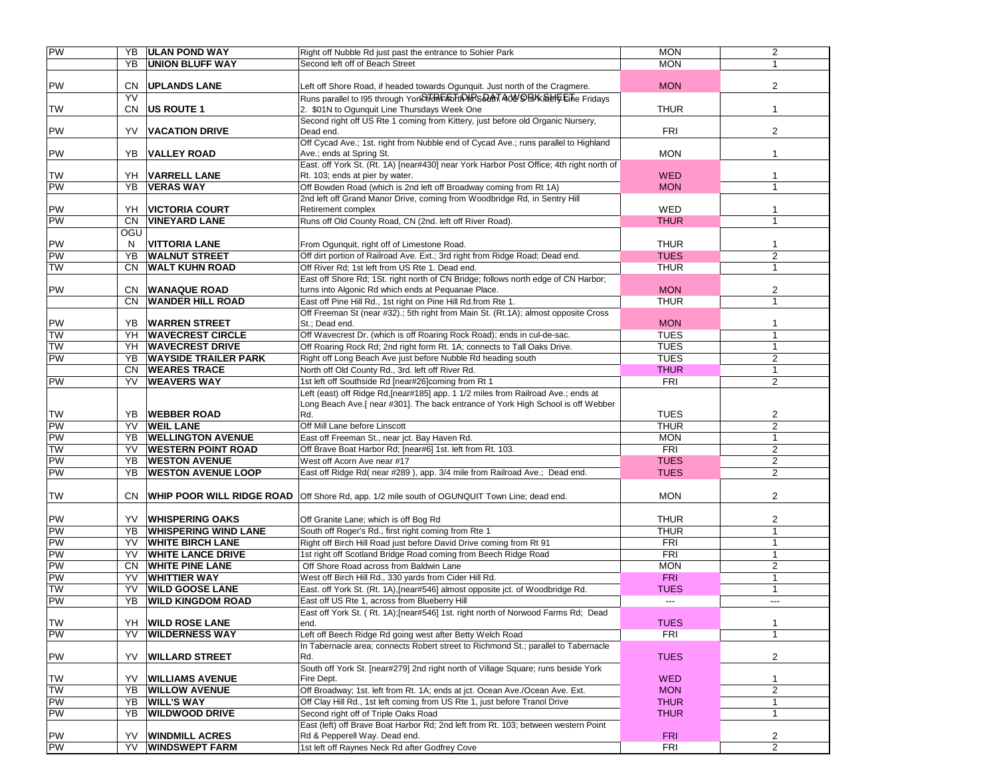| PW        |     | <b>YB ULAN POND WAY</b>                   | Right off Nubble Rd just past the entrance to Sohier Park                               | <b>MON</b>  | $\overline{2}$ |
|-----------|-----|-------------------------------------------|-----------------------------------------------------------------------------------------|-------------|----------------|
|           | YB  | <b>UNION BLUFF WAY</b>                    | Second left off of Beach Street                                                         | <b>MON</b>  | $\mathbf{1}$   |
|           |     |                                           |                                                                                         |             |                |
| PW        | CN  | <b>UPLANDS LANE</b>                       | Left off Shore Road, if headed towards Ogunquit. Just north of the Cragmere.            | <b>MON</b>  | $\overline{2}$ |
|           | YV  |                                           | Runs parallel to 195 through York To RE For HA RS DAT AON ORK Rel FL Fridays            |             |                |
| <b>TW</b> | CN  | US ROUTE 1                                | 2. \$01N to Ogunquit Line Thursdays Week One                                            | <b>THUR</b> | $\mathbf{1}$   |
|           |     |                                           | Second right off US Rte 1 coming from Kittery, just before old Organic Nursery,         |             |                |
| PW        | YV  | <b>VACATION DRIVE</b>                     | Dead end.                                                                               | <b>FRI</b>  | $\overline{2}$ |
|           |     |                                           | Off Cycad Ave.; 1st. right from Nubble end of Cycad Ave.; runs parallel to Highland     |             |                |
| PW        | YB  | VALLEY ROAD                               | Ave.; ends at Spring St.                                                                | <b>MON</b>  | $\mathbf{1}$   |
|           |     |                                           | East. off York St. (Rt. 1A) [near#430] near York Harbor Post Office; 4th right north of |             |                |
| <b>TW</b> | YH  | VARRELL LANE                              | Rt. 103; ends at pier by water.                                                         | <b>WED</b>  | 1              |
| PW        | YB  | <b>VERAS WAY</b>                          | Off Bowden Road (which is 2nd left off Broadway coming from Rt 1A)                      | <b>MON</b>  | $\overline{1}$ |
|           |     |                                           | 2nd left off Grand Manor Drive, coming from Woodbridge Rd, in Sentry Hill               |             |                |
| PW        | YH  | <b>VICTORIA COURT</b>                     | Retirement complex                                                                      | <b>WED</b>  | $\mathbf{1}$   |
| PW        | CN  | <b>VINEYARD LANE</b>                      | Runs off Old County Road, CN (2nd. left off River Road).                                | <b>THUR</b> | $\mathbf{1}$   |
|           | OGU |                                           |                                                                                         |             |                |
| PW        | N   | <b>VITTORIA LANE</b>                      | From Ogunquit, right off of Limestone Road.                                             | <b>THUR</b> | 1              |
| PW        | YB  | <b>WALNUT STREET</b>                      | Off dirt portion of Railroad Ave. Ext.; 3rd right from Ridge Road; Dead end.            | <b>TUES</b> | $\overline{2}$ |
| <b>TW</b> | CN  | <b>WALT KUHN ROAD</b>                     | Off River Rd; 1st left from US Rte 1. Dead end.                                         | <b>THUR</b> | $\mathbf{1}$   |
|           |     |                                           | East off Shore Rd; 1St. right north of CN Bridge; follows north edge of CN Harbor;      |             |                |
| PW        | CN. | WANAQUE ROAD                              | turns into Algonic Rd which ends at Pequanae Place.                                     | <b>MON</b>  | $\overline{2}$ |
|           | CN  | <b>WANDER HILL ROAD</b>                   | East off Pine Hill Rd., 1st right on Pine Hill Rd.from Rte 1.                           | <b>THUR</b> | $\mathbf{1}$   |
|           |     |                                           | Off Freeman St (near #32).; 5th right from Main St. (Rt.1A); almost opposite Cross      |             |                |
| PW        | YB. | <b>WARREN STREET</b>                      | St.: Dead end.                                                                          | <b>MON</b>  | $\mathbf{1}$   |
| <b>TW</b> | YH  | <b>WAVECREST CIRCLE</b>                   | Off Wavecrest Dr. (which is off Roaring Rock Road); ends in cul-de-sac.                 | <b>TUES</b> | $\mathbf{1}$   |
| <b>TW</b> | YH  | <b>WAVECREST DRIVE</b>                    | Off Roaring Rock Rd; 2nd right form Rt. 1A; connects to Tall Oaks Drive.                | <b>TUES</b> | $\mathbf{1}$   |
| PW        | YB  | <b>WAYSIDE TRAILER PARK</b>               | Right off Long Beach Ave just before Nubble Rd heading south                            | <b>TUES</b> | $\overline{2}$ |
|           | CN  | <b>WEARES TRACE</b><br><b>WEAVERS WAY</b> | North off Old County Rd., 3rd. left off River Rd.                                       | <b>THUR</b> | $\mathbf{1}$   |
| <b>PW</b> | YV  |                                           | 1st left off Southside Rd [near#26]coming from Rt 1                                     | <b>FRI</b>  | $\overline{2}$ |
|           |     |                                           | Left (east) off Ridge Rd, [near#185] app. 1 1/2 miles from Railroad Ave.; ends at       |             |                |
| <b>TW</b> | YB  | <b>WEBBER ROAD</b>                        | Long Beach Ave.[near #301]. The back entrance of York High School is off Webber<br>Rd.  | <b>TUES</b> | 2              |
| PW        | YV  | <b>WEIL LANE</b>                          | Off Mill Lane before Linscott                                                           | <b>THUR</b> | $\overline{2}$ |
| PW        | YB  | <b>WELLINGTON AVENUE</b>                  | East off Freeman St., near jct. Bay Haven Rd.                                           | <b>MON</b>  | $\mathbf{1}$   |
| <b>TW</b> | YV  | <b>WESTERN POINT ROAD</b>                 | Off Brave Boat Harbor Rd; [near#6] 1st. left from Rt. 103.                              | FRI         | 2              |
| PW        | YB  | <b>WESTON AVENUE</b>                      | West off Acorn Ave near #17                                                             | <b>TUES</b> | $\overline{2}$ |
| PW        | YB  | <b>WESTON AVENUE LOOP</b>                 | East off Ridge Rd(near #289), app. 3/4 mile from Railroad Ave.; Dead end.               | <b>TUES</b> | 2              |
|           |     |                                           |                                                                                         |             |                |
| <b>TW</b> | CN. | <b>WHIP POOR WILL RIDGE ROAD</b>          | Off Shore Rd, app. 1/2 mile south of OGUNQUIT Town Line; dead end.                      | <b>MON</b>  | 2              |
|           |     |                                           |                                                                                         |             |                |
| PW        | YV. | <b>WHISPERING OAKS</b>                    | Off Granite Lane; which is off Bog Rd                                                   | <b>THUR</b> | $\overline{2}$ |
| PW        | YB  | <b>WHISPERING WIND LANE</b>               | South off Roger's Rd., first right coming from Rte 1                                    | <b>THUR</b> | $\mathbf{1}$   |
| PW        | YV  | <b>WHITE BIRCH LANE</b>                   | Right off Birch Hill Road just before David Drive coming from Rt 91                     | <b>FRI</b>  | $\mathbf{1}$   |
| PW        | YV  | <b>WHITE LANCE DRIVE</b>                  | 1st right off Scotland Bridge Road coming from Beech Ridge Road                         | FRI         | $\mathbf{1}$   |
| PW        | CN  | <b>WHITE PINE LANE</b>                    | Off Shore Road across from Baldwin Lane                                                 | <b>MON</b>  | $\overline{2}$ |
| PW        | YV  | <b>WHITTIER WAY</b>                       | West off Birch Hill Rd., 330 yards from Cider Hill Rd.                                  | <b>FRI</b>  | $\mathbf{1}$   |
| <b>TW</b> | YV  | <b>WILD GOOSE LANE</b>                    | East. off York St. (Rt. 1A), [near#546] almost opposite jct. of Woodbridge Rd.          | <b>TUES</b> | $\mathbf{1}$   |
| PW        | YB  | <b>WILD KINGDOM ROAD</b>                  | East off US Rte 1, across from Blueberry Hill                                           | ---         | $---$          |
|           |     |                                           | East off York St. (Rt. 1A);[near#546] 1st. right north of Norwood Farms Rd; Dead        |             |                |
| TW        | YH  | <b>WILD ROSE LANE</b>                     | end.                                                                                    | <b>TUES</b> | 1              |
| PW        | YV  | <b>WILDERNESS WAY</b>                     | Left off Beech Ridge Rd going west after Betty Welch Road                               | <b>FRI</b>  | $\mathbf{1}$   |
|           |     |                                           | In Tabernacle area: connects Robert street to Richmond St.: parallel to Tabernacle      |             |                |
| PW        | YV  | <b>WILLARD STREET</b>                     | Rd.                                                                                     | <b>TUES</b> | $\overline{2}$ |
|           |     |                                           | South off York St. [near#279] 2nd right north of Village Square; runs beside York       |             |                |
| <b>TW</b> | YV  | <b>WILLIAMS AVENUE</b>                    | Fire Dept.                                                                              | <b>WED</b>  | 1              |
| <b>TW</b> | YΒ  | <b>WILLOW AVENUE</b>                      | Off Broadway; 1st. left from Rt. 1A; ends at jct. Ocean Ave./Ocean Ave. Ext.            | <b>MON</b>  | $\overline{2}$ |
| PW        | YΒ  | <b>WILL'S WAY</b>                         | Off Clay Hill Rd., 1st left coming from US Rte 1, just before Tranol Drive              | <b>THUR</b> | 1              |
| PW        | YΒ  | <b>WILDWOOD DRIVE</b>                     | Second right off of Triple Oaks Road                                                    | <b>THUR</b> | $\mathbf{1}$   |
|           |     |                                           | East (left) off Brave Boat Harbor Rd; 2nd left from Rt. 103; between western Point      |             |                |
| PW<br>PW  | YV  | <b>WINDMILL ACRES</b>                     | Rd & Pepperell Way. Dead end.                                                           | <b>FRI</b>  | 2              |
|           | YV  | <b>WINDSWEPT FARM</b>                     | 1st left off Raynes Neck Rd after Godfrey Cove                                          | <b>FRI</b>  | $\overline{2}$ |